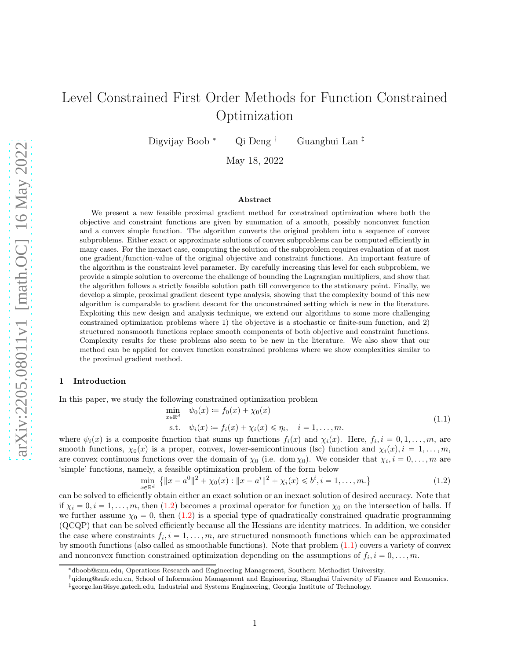Digvijay Boob <sup>∗</sup> Qi Deng † Guanghui Lan ‡

May 18, 2022

### Abstract

We present a new feasible proximal gradient method for constrained optimization where both the objective and constraint functions are given by summation of a smooth, possibly nonconvex function and a convex simple function. The algorithm converts the original problem into a sequence of convex subproblems. Either exact or approximate solutions of convex subproblems can be computed efficiently in many cases. For the inexact case, computing the solution of the subproblem requires evaluation of at most one gradient/function-value of the original objective and constraint functions. An important feature of the algorithm is the constraint level parameter. By carefully increasing this level for each subproblem, we provide a simple solution to overcome the challenge of bounding the Lagrangian multipliers, and show that the algorithm follows a strictly feasible solution path till convergence to the stationary point. Finally, we develop a simple, proximal gradient descent type analysis, showing that the complexity bound of this new algorithm is comparable to gradient descent for the unconstrained setting which is new in the literature. Exploiting this new design and analysis technique, we extend our algorithms to some more challenging constrained optimization problems where 1) the objective is a stochastic or finite-sum function, and 2) structured nonsmooth functions replace smooth components of both objective and constraint functions. Complexity results for these problems also seem to be new in the literature. We also show that our method can be applied for convex function constrained problems where we show complexities similar to the proximal gradient method.

# 1 Introduction

In this paper, we study the following constrained optimization problem

<span id="page-0-1"></span>
$$
\min_{x \in \mathbb{R}^d} \psi_0(x) := f_0(x) + \chi_0(x) \tag{1.1}
$$

s.t. 
$$
\psi_i(x) := f_i(x) + \chi_i(x) \le \eta_i
$$
,  $i = 1, ..., m$ .  
composite function that sums up functions  $f_i(x)$  and  $\chi_i(x)$ . Here,  $f_i, i = 0, 1, ..., m$ , are

where  $\psi_i(x)$  is a smooth functions,  $\chi_0(x)$  is a proper, convex, lower-semicontinuous (lsc) function and  $\chi_i(x)$ ,  $i = 1, \ldots, m$ , are convex continuous functions over the domain of  $\chi_0$  (i.e. dom  $\chi_0$ ). We consider that  $\chi_i, i = 0, \ldots, m$  are 'simple' functions, namely, a feasible optimization problem of the form below

<span id="page-0-0"></span>
$$
\min_{x \in \mathbb{R}^d} \left\{ \|x - a^0\|^2 + \chi_0(x) : \|x - a^i\|^2 + \chi_i(x) \leqslant b^i, i = 1, \dots, m. \right\}
$$
\n(1.2)

can be solved to efficiently obtain either an exact solution or an inexact solution of desired accuracy. Note that if  $\chi_i = 0, i = 1, \ldots, m$ , then [\(1.2\)](#page-0-0) becomes a proximal operator for function  $\chi_0$  on the intersection of balls. If we further assume  $\chi_0 = 0$ , then [\(1.2\)](#page-0-0) is a special type of quadratically constrained quadratic programming (QCQP) that can be solved efficiently because all the Hessians are identity matrices. In addition, we consider the case where constraints  $f_i, i = 1, \ldots, m$ , are structured nonsmooth functions which can be approximated by smooth functions (also called as smoothable functions). Note that problem [\(1.1\)](#page-0-1) covers a variety of convex and nonconvex function constrained optimization depending on the assumptions of  $f_i$ ,  $i = 0, ..., m$ .

<sup>∗</sup>dboob@smu.edu, Operations Research and Engineering Management, Southern Methodist University.

<sup>†</sup>qideng@sufe.edu.cn, School of Information Management and Engineering, Shanghai University of Finance and Economics.

<sup>‡</sup>george.lan@isye.gatech.edu, Industrial and Systems Engineering, Georgia Institute of Technology.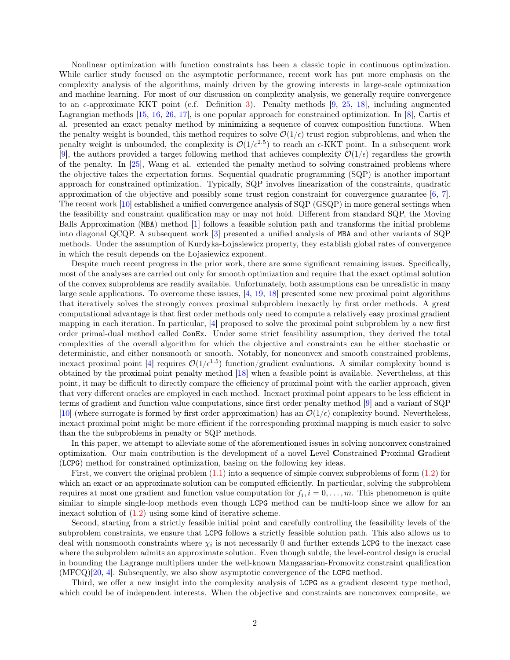Nonlinear optimization with function constraints has been a classic topic in continuous optimization. While earlier study focused on the asymptotic performance, recent work has put more emphasis on the complexity analysis of the algorithms, mainly driven by the growing interests in large-scale optimization and machine learning. For most of our discussion on complexity analysis, we generally require convergence to an  $\epsilon$ -approximate KKT point (c.f. Definition [3\)](#page-4-0). Penalty methods [\[9,](#page-29-0) [25,](#page-29-1) [18\]](#page-29-2), including augmented Lagrangian methods [\[15,](#page-29-3) [16,](#page-29-4) [26,](#page-29-5) [17\]](#page-29-6), is one popular approach for constrained optimization. In [\[8\]](#page-29-7), Cartis et al. presented an exact penalty method by minimizing a sequence of convex composition functions. When the penalty weight is bounded, this method requires to solve  $\mathcal{O}(1/\epsilon)$  trust region subproblems, and when the penalty weight is unbounded, the complexity is  $\mathcal{O}(1/\epsilon^{2.5})$  to reach an  $\epsilon$ -KKT point. In a subsequent work [\[9\]](#page-29-0), the authors provided a target following method that achieves complexity  $\mathcal{O}(1/\epsilon)$  regardless the growth of the penalty. In [\[25\]](#page-29-1), Wang et al. extended the penalty method to solving constrained problems where the objective takes the expectation forms. Sequential quadratic programming (SQP) is another important approach for constrained optimization. Typically, SQP involves linearization of the constraints, quadratic approximation of the objective and possibly some trust region constraint for convergence guarantee [\[6,](#page-29-8) [7\]](#page-29-9). The recent work [\[10\]](#page-29-10) established a unified convergence analysis of SQP (GSQP) in more general settings when the feasibility and constraint qualification may or may not hold. Different from standard SQP, the Moving Balls Approximation (MBA) method [\[1\]](#page-28-0) follows a feasible solution path and transforms the initial problems into diagonal QCQP. A subsequent work [\[3\]](#page-29-11) presented a unified analysis of MBA and other variants of SQP methods. Under the assumption of Kurdyka-Łojasiewicz property, they establish global rates of convergence in which the result depends on the Łojasiewicz exponent.

Despite much recent progress in the prior work, there are some significant remaining issues. Specifically, most of the analyses are carried out only for smooth optimization and require that the exact optimal solution of the convex subproblems are readily available. Unfortunately, both assumptions can be unrealistic in many large scale applications. To overcome these issues, [\[4,](#page-29-12) [19,](#page-29-13) [18\]](#page-29-2) presented some new proximal point algorithms that iteratively solves the strongly convex proximal subproblem inexactly by first order methods. A great computational advantage is that first order methods only need to compute a relatively easy proximal gradient mapping in each iteration. In particular, [\[4\]](#page-29-12) proposed to solve the proximal point subproblem by a new first order primal-dual method called ConEx. Under some strict feasibility assumption, they derived the total complexities of the overall algorithm for which the objective and constraints can be either stochastic or deterministic, and either nonsmooth or smooth. Notably, for nonconvex and smooth constrained problems, inexact proximal point [\[4\]](#page-29-12) requires  $\mathcal{O}(1/\epsilon^{1.5})$  function/gradient evaluations. A similar complexity bound is obtained by the proximal point penalty method [\[18\]](#page-29-2) when a feasible point is available. Nevertheless, at this point, it may be difficult to directly compare the efficiency of proximal point with the earlier approach, given that very different oracles are employed in each method. Inexact proximal point appears to be less efficient in terms of gradient and function value computations, since first order penalty method [\[9\]](#page-29-0) and a variant of SQP [\[10\]](#page-29-10) (where surrogate is formed by first order approximation) has an  $\mathcal{O}(1/\epsilon)$  complexity bound. Nevertheless, inexact proximal point might be more efficient if the corresponding proximal mapping is much easier to solve than the the subproblems in penalty or SQP methods.

In this paper, we attempt to alleviate some of the aforementioned issues in solving nonconvex constrained optimization. Our main contribution is the development of a novel Level Constrained Proximal Gradient (LCPG) method for constrained optimization, basing on the following key ideas.

First, we convert the original problem  $(1.1)$  into a sequence of simple convex subproblems of form  $(1.2)$  for which an exact or an approximate solution can be computed efficiently. In particular, solving the subproblem requires at most one gradient and function value computation for  $f_i$ ,  $i = 0, \ldots, m$ . This phenomenon is quite similar to simple single-loop methods even though LCPG method can be multi-loop since we allow for an inexact solution of [\(1.2\)](#page-0-0) using some kind of iterative scheme.

Second, starting from a strictly feasible initial point and carefully controlling the feasibility levels of the subproblem constraints, we ensure that LCPG follows a strictly feasible solution path. This also allows us to deal with nonsmooth constraints where  $\chi_i$  is not necessarily 0 and further extends LCPG to the inexact case where the subproblem admits an approximate solution. Even though subtle, the level-control design is crucial in bounding the Lagrange multipliers under the well-known Mangasarian-Fromovitz constraint qualification (MFCQ)[\[20,](#page-29-14) [4\]](#page-29-12). Subsequently, we also show asymptotic convergence of the LCPG method.

Third, we offer a new insight into the complexity analysis of LCPG as a gradient descent type method, which could be of independent interests. When the objective and constraints are nonconvex composite, we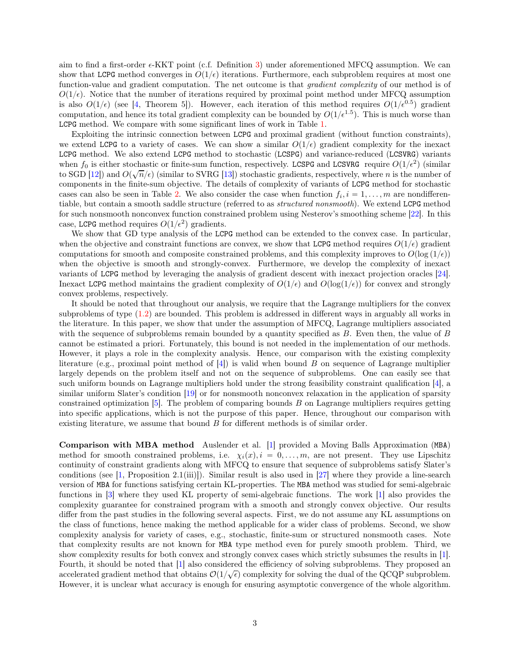aim to find a first-order  $\epsilon$ -KKT point (c.f. Definition [3\)](#page-4-0) under aforementioned MFCQ assumption. We can show that LCPG method converges in  $O(1/\epsilon)$  iterations. Furthermore, each subproblem requires at most one function-value and gradient computation. The net outcome is that *gradient complexity* of our method is of  $O(1/\epsilon)$ . Notice that the number of iterations required by proximal point method under MFCQ assumption is also  $O(1/\epsilon)$  (see [\[4,](#page-29-12) Theorem 5]). However, each iteration of this method requires  $O(1/\epsilon^{0.5})$  gradient computation, and hence its total gradient complexity can be bounded by  $O(1/\epsilon^{1.5})$ . This is much worse than LCPG method. We compare with some significant lines of work in Table [1.](#page-3-0)

Exploiting the intrinsic connection between LCPG and proximal gradient (without function constraints), we extend LCPG to a variety of cases. We can show a similar  $O(1/\epsilon)$  gradient complexity for the inexact LCPG method. We also extend LCPG method to stochastic (LCSPG) and variance-reduced (LCSVRG) variants when  $f_0$  is either stochastic or finite-sum function, respectively. LCSPG and LCSVRG require  $O(1/\epsilon^2)$  (similar) to SGD [\[12\]](#page-29-15)) and  $O(\sqrt{n}/\epsilon)$  (similar to SVRG [\[13\]](#page-29-16)) stochastic gradients, respectively, where n is the number of components in the finite-sum objective. The details of complexity of variants of LCPG method for stochastic cases can also be seen in Table [2.](#page-3-1) We also consider the case when function  $f_i, i = 1, \ldots, m$  are nondifferentiable, but contain a smooth saddle structure (referred to as structured nonsmooth). We extend LCPG method for such nonsmooth nonconvex function constrained problem using Nesterov's smoothing scheme [\[22\]](#page-29-17). In this case, LCPG method requires  $O(1/\epsilon^2)$  gradients.

We show that GD type analysis of the LCPG method can be extended to the convex case. In particular, when the objective and constraint functions are convex, we show that LCPG method requires  $O(1/\epsilon)$  gradient computations for smooth and composite constrained problems, and this complexity improves to  $O(\log{(1/\epsilon)})$ when the objective is smooth and strongly-convex. Furthermore, we develop the complexity of inexact variants of LCPG method by leveraging the analysis of gradient descent with inexact projection oracles [\[24\]](#page-29-18). Inexact LCPG method maintains the gradient complexity of  $O(1/\epsilon)$  and  $O(\log(1/\epsilon))$  for convex and strongly convex problems, respectively.

It should be noted that throughout our analysis, we require that the Lagrange multipliers for the convex subproblems of type [\(1.2\)](#page-0-0) are bounded. This problem is addressed in different ways in arguably all works in the literature. In this paper, we show that under the assumption of MFCQ, Lagrange multipliers associated with the sequence of subproblems remain bounded by a quantity specified as B. Even then, the value of B cannot be estimated a priori. Fortunately, this bound is not needed in the implementation of our methods. However, it plays a role in the complexity analysis. Hence, our comparison with the existing complexity literature (e.g., proximal point method of  $[4]$ ) is valid when bound B on sequence of Lagrange multiplier largely depends on the problem itself and not on the sequence of subproblems. One can easily see that such uniform bounds on Lagrange multipliers hold under the strong feasibility constraint qualification [\[4\]](#page-29-12), a similar uniform Slater's condition [\[19\]](#page-29-13) or for nonsmooth nonconvex relaxation in the application of sparsity constrained optimization  $[5]$ . The problem of comparing bounds B on Lagrange multipliers requires getting into specific applications, which is not the purpose of this paper. Hence, throughout our comparison with existing literature, we assume that bound B for different methods is of similar order.

Comparison with MBA method Auslender et al. [\[1\]](#page-28-0) provided a Moving Balls Approximation (MBA) method for smooth constrained problems, i.e.  $\chi_i(x), i = 0, \ldots, m$ , are not present. They use Lipschitz continuity of constraint gradients along with MFCQ to ensure that sequence of subproblems satisfy Slater's conditions (see [\[1,](#page-28-0) Proposition 2.1(iii)]). Similar result is also used in [\[27\]](#page-29-20) where they provide a line-search version of MBA for functions satisfying certain KL-properties. The MBA method was studied for semi-algebraic functions in [\[3\]](#page-29-11) where they used KL property of semi-algebraic functions. The work [\[1\]](#page-28-0) also provides the complexity guarantee for constrained program with a smooth and strongly convex objective. Our results differ from the past studies in the following several aspects. First, we do not assume any KL assumptions on the class of functions, hence making the method applicable for a wider class of problems. Second, we show complexity analysis for variety of cases, e.g., stochastic, finite-sum or structured nonsmooth cases. Note that complexity results are not known for MBA type method even for purely smooth problem. Third, we show complexity results for both convex and strongly convex cases which strictly subsumes the results in [\[1\]](#page-28-0). Fourth, it should be noted that [\[1\]](#page-28-0) also considered the efficiency of solving subproblems. They proposed an accelerated gradient method that obtains  $\mathcal{O}(1/\sqrt{\epsilon})$  complexity for solving the dual of the QCQP subproblem. However, it is unclear what accuracy is enough for ensuring asymptotic convergence of the whole algorithm.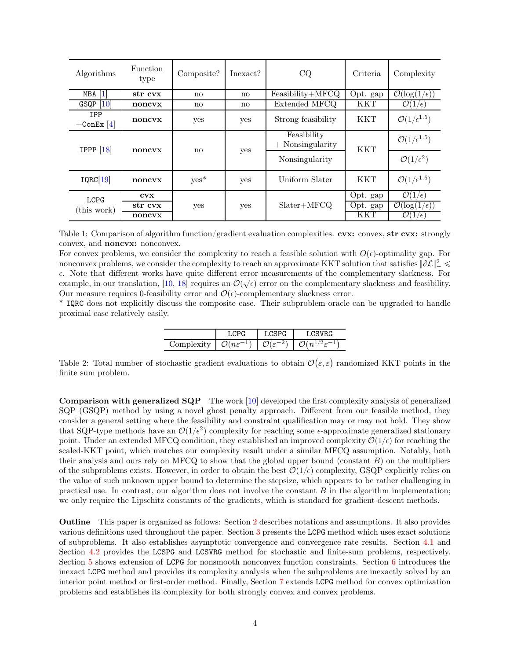<span id="page-3-0"></span>

| Algorithms                  | <b>Function</b><br>type | Composite? | Inexact?               | CQ                                | Criteria   | Complexity                      |
|-----------------------------|-------------------------|------------|------------------------|-----------------------------------|------------|---------------------------------|
| $\overline{1}$<br>MBA       | str cvx                 | no         | $\mathbf{n}\mathbf{o}$ | $Feasibility+MFCQ$                | Opt. gap   | $\mathcal{O}(\log(1/\epsilon))$ |
| <b>10</b><br>GSQP           | noncyx                  | no         | $\mathbf{n}\mathbf{o}$ | Extended MFCQ                     | <b>KKT</b> | $\mathcal{O}(1/\epsilon)$       |
| <b>IPP</b><br>$+$ ConEx [4] | noncyx                  | yes        | yes                    | Strong feasibility                | <b>KKT</b> | $\mathcal{O}(1/\epsilon^{1.5})$ |
| IPPP $[18]$                 | noncyx                  | no         | yes                    | Feasibility<br>$+$ Nonsingularity | <b>KKT</b> | $\mathcal{O}(1/\epsilon^{1.5})$ |
|                             |                         |            |                        | Nonsingularity                    |            | $\mathcal{O}(1/\epsilon^2)$     |
| IQRC[19]                    | noncyx                  | $yes*$     | yes                    | Uniform Slater                    | <b>KKT</b> | $\mathcal{O}(1/\epsilon^{1.5})$ |
| <b>LCPG</b><br>(this work)  | $\bf{cv} \bf{x}$        | yes        | yes                    | $Slater+MFCQ$                     | Opt. gap   | $\mathcal{O}(1/\epsilon)$       |
|                             | str cvx                 |            |                        |                                   | Opt. gap   | $\mathcal{O}(\log(1/\epsilon))$ |
|                             | noncyx                  |            |                        |                                   | KKT        | $\mathcal{O}(1/\epsilon)$       |

Table 1: Comparison of algorithm function/gradient evaluation complexities. cvx: convex, str cvx: strongly convex, and noncvx: nonconvex.

For convex problems, we consider the complexity to reach a feasible solution with  $O(\epsilon)$ -optimality gap. For nonconvex problems, we consider the complexity to reach an approximate KKT solution that satisfies  $\|\partial \mathcal{L}\|_{\mathcal{I}}^2 \leq$  $\epsilon$ . Note that different works have quite different error measurements of the complementary slackness. For example, in our translation, [\[10,](#page-29-10) [18\]](#page-29-2) requires an  $\mathcal{O}(\sqrt{\epsilon})$  error on the complementary slackness and feasibility. Our measure requires 0-feasibility error and  $\mathcal{O}(\epsilon)$ -complementary slackness error.

<span id="page-3-1"></span>\* IQRC does not explicitly discuss the composite case. Their subproblem oracle can be upgraded to handle proximal case relatively easily.

| $\check{ }$<br>$\cdot$ | <b>.</b><br>$n\varepsilon$<br>$\tilde{\phantom{a}}$ | o<br>∸ | $\overline{\phantom{a}}$<br>◡ |
|------------------------|-----------------------------------------------------|--------|-------------------------------|

Table 2: Total number of stochastic gradient evaluations to obtain  $\mathcal{O}(\varepsilon,\varepsilon)$  randomized KKT points in the finite sum problem.

Comparison with generalized SQP The work [\[10\]](#page-29-10) developed the first complexity analysis of generalized SQP (GSQP) method by using a novel ghost penalty approach. Different from our feasible method, they consider a general setting where the feasibility and constraint qualification may or may not hold. They show that SQP-type methods have an  $\mathcal{O}(1/\epsilon^2)$  complexity for reaching some  $\epsilon$ -approximate generalized stationary point. Under an extended MFCQ condition, they established an improved complexity  $\mathcal{O}(1/\epsilon)$  for reaching the scaled-KKT point, which matches our complexity result under a similar MFCQ assumption. Notably, both their analysis and ours rely on MFCQ to show that the global upper bound (constant  $B$ ) on the multipliers of the subproblems exists. However, in order to obtain the best  $\mathcal{O}(1/\epsilon)$  complexity, GSQP explicitly relies on the value of such unknown upper bound to determine the stepsize, which appears to be rather challenging in practical use. In contrast, our algorithm does not involve the constant  $B$  in the algorithm implementation; we only require the Lipschitz constants of the gradients, which is standard for gradient descent methods.

<span id="page-3-2"></span>Outline This paper is organized as follows: Section [2](#page-3-2) describes notations and assumptions. It also provides various definitions used throughout the paper. Section [3](#page-5-0) presents the LCPG method which uses exact solutions of subproblems. It also establishes asymptotic convergence and convergence rate results. Section [4.1](#page-10-0) and Section [4.2](#page-13-0) provides the LCSPG and LCSVRG method for stochastic and finite-sum problems, respectively. Section [5](#page-16-0) shows extension of LCPG for nonsmooth nonconvex function constraints. Section [6](#page-19-0) introduces the inexact LCPG method and provides its complexity analysis when the subproblems are inexactly solved by an interior point method or first-order method. Finally, Section [7](#page-25-0) extends LCPG method for convex optimization problems and establishes its complexity for both strongly convex and convex problems.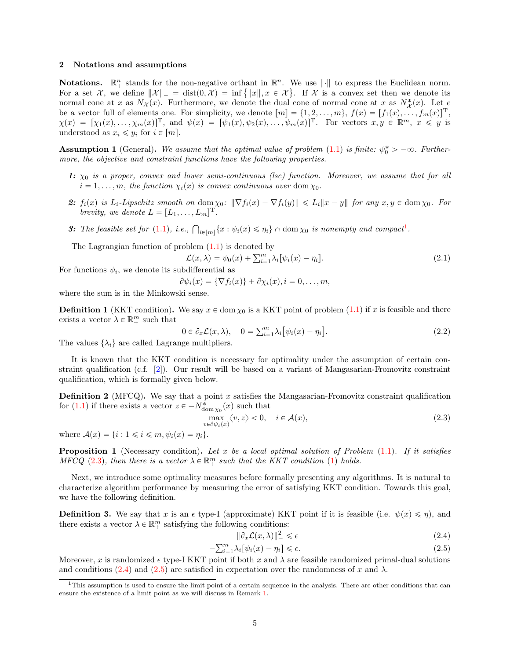#### 2 Notations and assumptions

Notations.  $\mathbb{R}^n_+$  stands for the non-negative orthant in  $\mathbb{R}^n$ . We use  $\|\cdot\|$  to express the Euclidean norm. For a set X, we define  $||\mathcal{X}||_-=$  dist $(0,\mathcal{X}) = \inf \{||x||, x \in \mathcal{X}\}\$ . If X is a convex set then we denote its normal cone at x as  $N_{\mathcal{X}}(x)$ . Furthermore, we denote the dual cone of normal cone at x as  $N_{\mathcal{X}}^{*}(x)$ . Let e be a vector full of elements one. For simplicity, we denote  $[m] = \{1, 2, \ldots, m\}, f(x) = [f_1(x), \ldots, f_m(x)]^T$ ,  $\chi(x) = [\chi_1(x), \ldots, \chi_m(x)]^T$ , and  $\psi(x) = [\psi_1(x), \psi_2(x), \ldots, \psi_m(x)]^T$ . For vectors  $x, y \in \mathbb{R}^m$ ,  $x \leq y$  is understood as  $x_i \leq y_i$  for  $i \in [m]$ .

**Assumption 1** (General). We assume that the optimal value of problem  $(1.1)$  is finite:  $\psi_0^* > -\infty$ . Furthermore, the objective and constraint functions have the following properties.

- 1:  $\chi_0$  is a proper, convex and lower semi-continuous (lsc) function. Moreover, we assume that for all  $i = 1, \ldots, m$ , the function  $\chi_i(x)$  is convex continuous over dom  $\chi_0$ .
- 2:  $f_i(x)$  is  $L_i$ -Lipschitz smooth on dom  $\chi_0$ :  $\|\nabla f_i(x) \nabla f_i(y)\| \le L_i \|x y\|$  for any  $x, y \in \text{dom}\,\chi_0$ . For brevity, we denote  $L = [L_1, \ldots, L_m]^{\mathrm{T}}$ .
- <span id="page-4-6"></span>3: The feasible set for [\(1.1\)](#page-0-1), i.e.,  $\bigcap_{i\in[m]} \{x : \psi_i(x) \leq \eta_i\} \cap \text{dom}\,\chi_0$  is nonempty and compact<sup>[1](#page-4-1)</sup>.

The Lagrangian function of problem  $(1.1)$  is denoted by

<span id="page-4-7"></span>
$$
\mathcal{L}(x,\lambda) = \psi_0(x) + \sum_{i=1}^m \lambda_i [\psi_i(x) - \eta_i]. \tag{2.1}
$$

For functions  $\psi_i$ , we denote its subdifferential as

$$
\partial \psi_i(x) = \{ \nabla f_i(x) \} + \partial \chi_i(x), i = 0, \ldots, m,
$$

where the sum is in the Minkowski sense.

<span id="page-4-3"></span>**Definition 1** (KKT condition). We say  $x \in \text{dom } \chi_0$  is a KKT point of problem [\(1.1\)](#page-0-1) if x is feasible and there exists a vector  $\lambda \in \mathbb{R}^m_+$  such that

$$
0 \in \partial_x \mathcal{L}(x, \lambda), \quad 0 = \sum_{i=1}^m \lambda_i \big[ \psi_i(x) - \eta_i \big]. \tag{2.2}
$$

The values  $\{\lambda_i\}$  are called Lagrange multipliers.

It is known that the KKT condition is necessary for optimality under the assumption of certain constraint qualification (c.f. [\[2\]](#page-29-21)). Our result will be based on a variant of Mangasarian-Fromovitz constraint qualification, which is formally given below.

**Definition 2** (MFCQ). We say that a point  $x$  satisfies the Mangasarian-Fromovitz constraint qualification for [\(1.1\)](#page-0-1) if there exists a vector  $z \in -N^*_{\text{dom } \chi_0}(x)$  such that

<span id="page-4-2"></span>
$$
\max_{v \in \partial \psi_i(x)} \langle v, z \rangle < 0, \quad i \in \mathcal{A}(x),\tag{2.3}
$$

where  $\mathcal{A}(x) = \{i : 1 \leq i \leq m, \psi_i(x) = \eta_i\}.$ 

**Proposition 1** (Necessary condition). Let x be a local optimal solution of Problem  $(1.1)$ . If it satisfies MFCQ [\(2.3\)](#page-4-2), then there is a vector  $\lambda \in \mathbb{R}^m_+$  such that the KKT condition [\(1\)](#page-4-3) holds.

Next, we introduce some optimality measures before formally presenting any algorithms. It is natural to characterize algorithm performance by measuring the error of satisfying KKT condition. Towards this goal, we have the following definition.

<span id="page-4-0"></span>**Definition 3.** We say that x is an  $\epsilon$  type-I (approximate) KKT point if it is feasible (i.e.  $\psi(x) \leq \eta$ ), and there exists a vector  $\lambda \in \mathbb{R}^m_+$  satisfying the following conditions:

<span id="page-4-5"></span><span id="page-4-4"></span>
$$
\|\partial_x \mathcal{L}(x,\lambda)\|^2_{\mathcal{L}} \leq \epsilon \tag{2.4}
$$

$$
-\sum_{i=1}^{m} \lambda_i [\psi_i(x) - \eta_i] \le \epsilon.
$$
\n(2.5)

Moreover, x is randomized  $\epsilon$  type-I KKT point if both x and  $\lambda$  are feasible randomized primal-dual solutions and conditions [\(2.4\)](#page-4-4) and [\(2.5\)](#page-4-5) are satisfied in expectation over the randomness of x and  $\lambda$ .

<span id="page-4-1"></span> $1$ This assumption is used to ensure the limit point of a certain sequence in the analysis. There are other conditions that can ensure the existence of a limit point as we will discuss in Remark [1.](#page-8-0)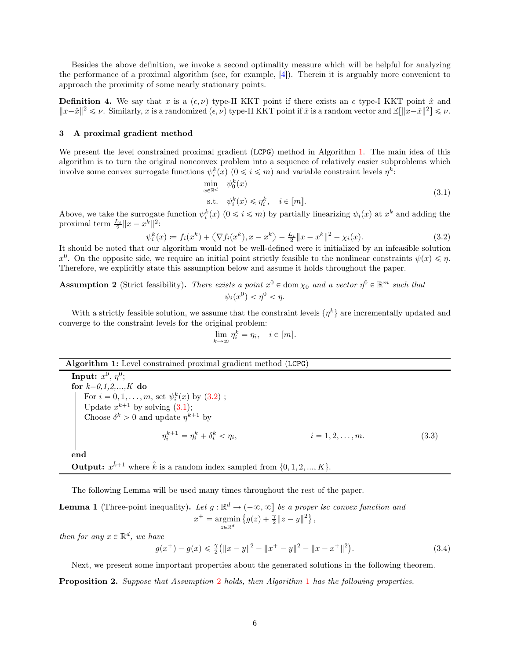Besides the above definition, we invoke a second optimality measure which will be helpful for analyzing the performance of a proximal algorithm (see, for example, [\[4\]](#page-29-12)). Therein it is arguably more convenient to approach the proximity of some nearly stationary points.

**Definition 4.** We say that x is a  $(\epsilon, \nu)$  type-II KKT point if there exists an  $\epsilon$  type-I KKT point  $\hat{x}$  and  $||x-\hat{x}||^2 \leq \nu$ . Similarly, x is a randomized  $(\epsilon, \nu)$  type-II KKT point if  $\hat{x}$  is a random vector and  $\mathbb{E}[\Vert x-\hat{x}\Vert^2] \leq \nu$ .

## <span id="page-5-0"></span>3 A proximal gradient method

We present the level constrained proximal gradient (LCPG) method in Algorithm [1.](#page-5-1) The main idea of this algorithm is to turn the original nonconvex problem into a sequence of relatively easier subproblems which involve some convex surrogate functions  $\psi_i^k(x)$   $(0 \le i \le m)$  and variable constraint levels  $\eta^k$ :

<span id="page-5-3"></span><span id="page-5-2"></span>
$$
\min_{x \in \mathbb{R}^d} \psi_0^k(x)
$$
\n
$$
\text{s.t. } \psi_i^k(x) \le \eta_i^k, \quad i \in [m].
$$
\n
$$
(3.1)
$$

Above, we take the surrogate function  $\psi_i^k(x)$   $(0 \le i \le m)$  by partially linearizing  $\psi_i(x)$  at  $x^k$  and adding the proximal term  $\frac{L_i}{2} ||x - x^k||^2$ :

$$
\psi_i^k(x) := f_i(x^k) + \left\langle \nabla f_i(x^k), x - x^k \right\rangle + \frac{L_i}{2} \|x - x^k\|^2 + \chi_i(x). \tag{3.2}
$$

It should be noted that our algorithm would not be well-defined were it initialized by an infeasible solution  $x^0$ . On the opposite side, we require an initial point strictly feasible to the nonlinear constraints  $\psi(x) \leq \eta$ . Therefore, we explicitly state this assumption below and assume it holds throughout the paper.

<span id="page-5-4"></span>**Assumption 2** (Strict feasibility). There exists a point  $x^0 \in \text{dom}\,\chi_0$  and a vector  $\eta^0 \in \mathbb{R}^m$  such that  $\psi_i(x^0) < \eta^0 < \eta.$ 

With a strictly feasible solution, we assume that the constraint levels  $\{\eta^k\}$  are incrementally updated and converge to the constraint levels for the original problem:

<span id="page-5-7"></span>
$$
\lim_{k \to \infty} \eta_i^k = \eta_i, \quad i \in [m].
$$

# Algorithm 1: Level constrained proximal gradient method (LCPG)

Input:  $x^0$ ,  $\eta^0$ ; for  $k=0,1,2,...,K$  do For  $i = 0, 1, ..., m$ , set  $\psi_i^k(x)$  by  $(3.2)$ ; Update  $x^{k+1}$  by solving  $(3.1);$ Choose  $\delta^k > 0$  and update  $\eta^{k+1}$  by  $\eta_i^{k+1} = \eta_i^k + \delta_i^k < \eta_i$  $i = 1, 2, \ldots, m.$  (3.3) end

<span id="page-5-1"></span>**Output:**  $x^{\hat{k}+1}$  where  $\hat{k}$  is a random index sampled from  $\{0, 1, 2, ..., K\}$ .

The following Lemma will be used many times throughout the rest of the paper.

<span id="page-5-5"></span>**Lemma 1** (Three-point inequality). Let  $g : \mathbb{R}^d \to (-\infty, \infty]$  be a proper lsc convex function and  $x^+$  = argmin<br> $z \in \mathbb{R}^d$  $\{g(z) + \frac{\gamma}{2} ||z - y||^2\},\$ 

then for any  $x \in \mathbb{R}^d$ , we have

$$
g(x^{+}) - g(x) \leq \frac{\gamma}{2} (||x - y||^{2} - ||x^{+} - y||^{2} - ||x - x^{+}||^{2}).
$$
\n(3.4)

Next, we present some important properties about the generated solutions in the following theorem.

<span id="page-5-6"></span>Proposition 2. Suppose that Assumption [2](#page-5-4) holds, then Algorithm [1](#page-5-1) has the following properties.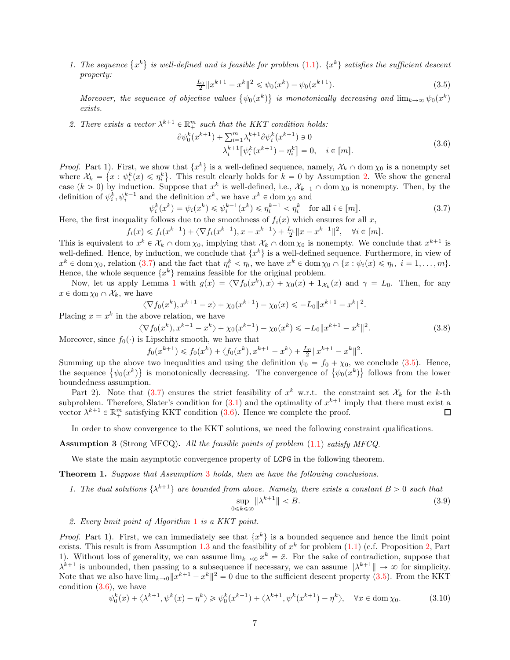1. The sequence  $\{x^k\}$  is well-defined and is feasible for problem [\(1.1\)](#page-0-1).  $\{x^k\}$  satisfies the sufficient descent property:

<span id="page-6-1"></span>
$$
\frac{L_0}{2} \|x^{k+1} - x^k\|^2 \leq \psi_0(x^k) - \psi_0(x^{k+1}).\tag{3.5}
$$

Moreover, the sequence of objective values  $\{\psi_0(x^k)\}\;$  is monotonically decreasing and  $\lim_{k\to\infty}\psi_0(x^k)$ exists.

2. There exists a vector  $\lambda^{k+1} \in \mathbb{R}^m_+$  such that the KKT condition holds:

<span id="page-6-2"></span> $\partial \psi_0^k$ 

$$
(x^{k+1}) + \sum_{i=1}^{m} \lambda_i^{k+1} \partial \psi_i^k (x^{k+1}) \ni 0
$$
  

$$
\lambda_i^{k+1} [\psi_i^k (x^{k+1}) - \eta_i^k] = 0, \quad i \in [m].
$$
 (3.6)

*Proof.* Part 1). First, we show that  $\{x^k\}$  is a well-defined sequence, namely,  $\mathcal{X}_k \cap \text{dom } \chi_0$  is a nonempty set where  $\mathcal{X}_k = \{x : \psi_i^k(x) \leq \eta_i^k\}$ . This result clearly holds for  $k = 0$  by Assumption [2.](#page-5-4) We show the general case  $(k > 0)$  by induction. Suppose that  $x^k$  is well-defined, i.e.,  $\mathcal{X}_{k-1} \cap \text{dom } \chi_0$  is nonempty. Then, by the definition of  $\psi_i^k, \psi_i^{k-1}$  and the definition  $x^k$ , we have  $x^k \in \text{dom}\,\chi_0$  and

<span id="page-6-0"></span>
$$
\psi_i^k(x^k) = \psi_i(x^k) \le \psi_i^{k-1}(x^k) \le \eta_i^{k-1} < \eta_i^k \quad \text{for all } i \in [m].\tag{3.7}
$$
\n
$$
\text{is follows due to the amoathness of } f(x) \text{ which ensures for all } x
$$

Here, the first inequality follows due to the smoothness of  $f_i(x)$  which ensures for all x,

$$
f_i(x) \leq f_i(x^{k-1}) + \langle \nabla f_i(x^{k-1}), x - x^{k-1} \rangle + \frac{L_i}{2} \|x - x^{k-1}\|^2, \quad \forall i \in [m].
$$

This is equivalent to  $x^k \in \mathcal{X}_k \cap \text{dom } \chi_0$ , implying that  $\mathcal{X}_k \cap \text{dom } \chi_0$  is nonempty. We conclude that  $x^{k+1}$  is well-defined. Hence, by induction, we conclude that  $\{x^k\}$  is a well-defined sequence. Furthermore, in view of  $x^k \in \text{dom}\,\chi_0$ , relation [\(3.7\)](#page-6-0) and the fact that  $\eta_i^k < \eta_i$ , we have  $x^k \in \text{dom}\,\chi_0 \cap \{x : \psi_i(x) \leq \eta_i, i = 1, \ldots, m\}$ . Hence, the whole sequence  $\{x^k\}$  remains feasible for the original problem.

Now, let us apply Lemma [1](#page-5-5) with  $g(x) = \langle \nabla f_0(x^k), x \rangle + \chi_0(x) + \mathbf{1}_{\mathcal{X}_k}(x)$  and  $\gamma = L_0$ . Then, for any  $x \in \text{dom } \chi_0 \cap \mathcal{X}_k$ , we have

<span id="page-6-7"></span>
$$
\langle \nabla f_0(x^k), x^{k+1} - x \rangle + \chi_0(x^{k+1}) - \chi_0(x) \le -L_0 \|x^{k+1} - x^k\|^2.
$$
  
above relation, we have

Placing  $x = x^k$  in the above relation, we have

$$
\langle \nabla f_0(x^k), x^{k+1} - x^k \rangle + \chi_0(x^{k+1}) - \chi_0(x^k) \leq -L_0 \| x^{k+1} - x^k \|^2.
$$
 (3.8)

Moreover, since  $f_0(\cdot)$  is Lipschitz smooth, we have that

$$
f_0(x^{k+1}) \leq f_0(x^k) + \langle f_0(x^k), x^{k+1} - x^k \rangle + \frac{L_0}{2} ||x^{k+1} - x^k||^2.
$$

Summing up the above two inequalities and using the definition  $\psi_0 = f_0 + \chi_0$ , we conclude [\(3.5\)](#page-6-1). Hence, the sequence  $\{\psi_0(x^k)\}\$  is monotonically decreasing. The convergence of  $\{\psi_0(x^k)\}\$  follows from the lower boundedness assumption.

Part 2). Note that [\(3.7\)](#page-6-0) ensures the strict feasibility of  $x^k$  w.r.t. the constraint set  $\mathcal{X}_k$  for the k-th subproblem. Therefore, Slater's condition for  $(3.1)$  and the optimality of  $x^{k+1}$  imply that there must exist a vector  $\lambda^{k+1} \in \mathbb{R}^m_+$  satisfying KKT condition [\(3.6\)](#page-6-2). Hence we complete the proof.  $\Box$ 

In order to show convergence to the KKT solutions, we need the following constraint qualifications.

# <span id="page-6-3"></span>**Assumption 3** (Strong MFCQ). All the feasible points of problem  $(1.1)$  satisfy MFCQ.

We state the main asymptotic convergence property of LCPG in the following theorem.

<span id="page-6-5"></span>Theorem 1. Suppose that Assumption [3](#page-6-3) holds, then we have the following conclusions.

1. The dual solutions  $\{\lambda^{k+1}\}\$  are bounded from above. Namely, there exists a constant  $B > 0$  such that

<span id="page-6-6"></span>
$$
\sup_{0 \le k \le \infty} \|\lambda^{k+1}\| < B. \tag{3.9}
$$

2. Every limit point of Algorithm [1](#page-5-1) is a KKT point.

*Proof.* Part 1). First, we can immediately see that  $\{x^k\}$  is a bounded sequence and hence the limit point exists. This result is from Assumption [1.3](#page-4-6) and the feasibility of  $x^k$  for problem  $(1.1)$  (c.f. Proposition [2,](#page-5-6) Part 1). Without loss of generality, we can assume  $\lim_{k\to\infty} x^k = \bar{x}$ . For the sake of contradiction, suppose that  $\lambda^{k+1}$  is unbounded, then passing to a subsequence if necessary, we can assume  $\|\lambda^{k+1}\| \to \infty$  for simplicity. Note that we also have  $\lim_{k\to 0}||x^{k+1}-x^k||^2=0$  due to the sufficient descent property [\(3.5\)](#page-6-1). From the KKT condition  $(3.6)$ , we have

<span id="page-6-4"></span>
$$
\psi_0^k(x) + \langle \lambda^{k+1}, \psi^k(x) - \eta^k \rangle \ge \psi_0^k(x^{k+1}) + \langle \lambda^{k+1}, \psi^k(x^{k+1}) - \eta^k \rangle, \quad \forall x \in \text{dom}\,\chi_0.
$$
 (3.10)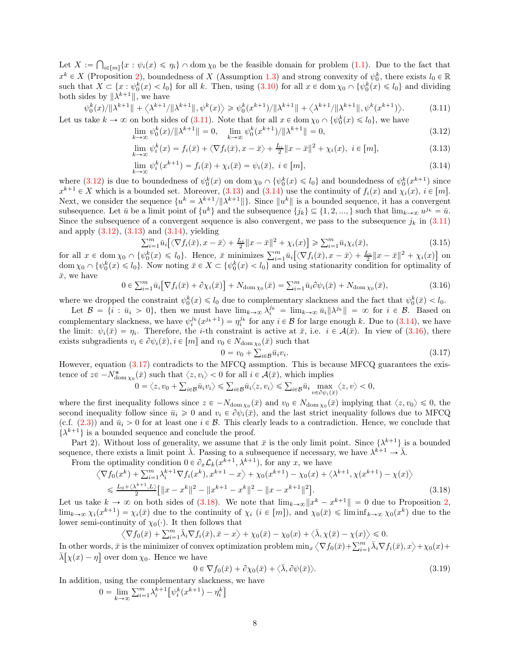Let  $X := \bigcap_{i \in [m]} \{x : \psi_i(x) \leq \eta_i\} \cap \text{dom}\,\chi_0$  be the feasible domain for problem [\(1.1\)](#page-0-1). Due to the fact that  $x^k \in X$  (Proposition [2\)](#page-5-6), boundedness of X (Assumption [1.3\)](#page-4-6) and strong convexity of  $\psi_0^k$ , there exists  $l_0 \in \mathbb{R}$ such that  $X \subseteq \{x : \psi_0^k(x) < l_0\}$  for all k. Then, using  $(3.10)$  for all  $x \in \text{dom}\,\chi_0 \cap \{\psi_0^k(x) \leq l_0\}$  and dividing both sides by  $\|\lambda^{k+1}\|$ , we have

<span id="page-7-0"></span>
$$
\psi_0^k(x)/\|\lambda^{k+1}\| + \langle \lambda^{k+1}/\|\lambda^{k+1}\|, \psi^k(x) \rangle \ge \psi_0^k(x^{k+1})/\|\lambda^{k+1}\| + \langle \lambda^{k+1}/\|\lambda^{k+1}\|, \psi^k(x^{k+1}) \rangle. \tag{3.11}
$$

Let us take  $k \to \infty$  on both sides of [\(3.11\)](#page-7-0). Note that for all  $x \in \text{dom } \chi_0 \cap \{\psi_0^k(x) \leq l_0\}$ , we have  $\lim_{k \to \infty} \psi_0^k(x)/\|\lambda^{k+1}\| = 0, \quad \lim_{k \to \infty} \psi_0^k(x^{k+1})/\|\lambda^{k+1}\|$  $\| = 0,$  (3.12)

<span id="page-7-1"></span>
$$
\lim_{k \to \infty} \psi_i^k(x) = f_i(\bar{x}) + \langle \nabla f_i(\bar{x}), x - \bar{x} \rangle + \frac{L_i}{2} ||x - \bar{x}||^2 + \chi_i(x), \quad i \in [m],
$$
\n(3.13)

$$
\lim_{k \to \infty} \psi_i^k(x^{k+1}) = f_i(\bar{x}) + \chi_i(\bar{x}) = \psi_i(\bar{x}), \quad i \in [m],
$$
\n(3.14)

where [\(3.12\)](#page-7-1) is due to boundedness of  $\psi_0^k(x)$  on dom  $\chi_0 \cap {\psi_0^k(x) \le l_0}$  and boundedness of  $\psi_0^k(x^{k+1})$  since  $x^{k+1} \in X$  which is a bounded set. Moreover, [\(3.13\)](#page-7-2) and [\(3.14\)](#page-7-3) use the continuity of  $f_i(x)$  and  $\chi_i(x)$ ,  $i \in [m]$ . Next, we consider the sequence  $\{u^k = \lambda^{k+1}/\|\lambda^{k+1}\| \}$ . Since  $\|u^k\|$  is a bounded sequence, it has a convergent subsequence. Let  $\bar{u}$  be a limit point of  $\{u^k\}$  and the subsequence  $\{j_k\} \subseteq \{1, 2, ..., \}$  such that  $\lim_{k \to \infty} u^{j_k} = \bar{u}$ . Since the subsequence of a convergent sequence is also convergent, we pass to the subsequence  $j_k$  in [\(3.11\)](#page-7-0) and apply  $(3.12)$ ,  $(3.13)$  and  $(3.14)$ , yielding

$$
\sum_{i=1}^{m} \bar{u}_i \left[ \left\langle \nabla f_i(\bar{x}), x - \bar{x} \right\rangle + \frac{L_i}{2} \|x - \bar{x}\|^2 + \chi_i(x) \right] \ge \sum_{i=1}^{m} \bar{u}_i \chi_i(\bar{x}),\tag{3.15}
$$

for all  $x \in \text{dom } \chi_0 \cap \{\psi_0^k(x) \leq l_0\}$ . Hence,  $\bar{x}$  minimizes  $\sum_{i=1}^m \bar{u}_i \big[ \langle \nabla f_i(\bar{x}), x - \bar{x} \rangle + \frac{L_i}{2} ||x - \bar{x}||^2 + \chi_i(x) \big]$  on  $\text{dom }\chi_0 \cap \{\psi_0^k(x) \leq l_0\}.$  Now noting  $\bar{x} \in X \subset \{\psi_0^k(x) < l_0\}$  and using stationarity condition for optimality of  $\bar{x}$ , we have

<span id="page-7-4"></span>
$$
0 \in \sum_{i=1}^{m} \bar{u}_i \big[ \nabla f_i(\bar{x}) + \partial \chi_i(\bar{x}) \big] + N_{\text{dom}\,\chi_0}(\bar{x}) = \sum_{i=1}^{m} \bar{u}_i \partial \psi_i(\bar{x}) + N_{\text{dom}\,\chi_0}(\bar{x}),\tag{3.16}
$$

where we dropped the constraint  $\psi_0^k(x) \leq l_0$  due to complementary slackness and the fact that  $\psi_0^k(\bar{x}) < l_0$ .

Let  $\mathcal{B} = \{i : \bar{u}_i > 0\}$ , then we must have  $\lim_{k \to \infty} \lambda_i^{j_k} = \lim_{k \to \infty} \bar{u}_i ||\lambda^{j_k}|| = \infty$  for  $i \in \mathcal{B}$ . Based on complementary slackness, we have  $\psi_i^{j_k}(x^{j_k+1}) = \eta_i^{j_k}$  for any  $i \in \mathcal{B}$  for large enough k. Due to [\(3.14\)](#page-7-3), we have the limit:  $\psi_i(\bar{x}) = \eta_i$ . Therefore, the *i*-th constraint is active at  $\bar{x}$ , i.e.  $i \in \mathcal{A}(\bar{x})$ . In view of [\(3.16\)](#page-7-4), there exists subgradients  $v_i \in \partial \psi_i(\bar{x}), i \in [m]$  and  $v_0 \in N_{\text{dom } \chi_0}(\bar{x})$  such that

<span id="page-7-6"></span><span id="page-7-5"></span><span id="page-7-3"></span><span id="page-7-2"></span>
$$
0 = v_0 + \sum_{i \in \mathcal{B}} \bar{u}_i v_i. \tag{3.17}
$$

However, equation [\(3.17\)](#page-7-5) contradicts to the MFCQ assmption. This is because MFCQ guarantees the existence of  $z \in -N^*_{\text{dom } \chi_0}(\bar{x})$  such that  $\langle z, v_i \rangle < 0$  for all  $i \in \mathcal{A}(\bar{x})$ , which implies

$$
0=\big\leqslant\textstyle\sum_{i\in\mathcal{B}}\bar{u}_i\langle z,v_i\rangle\leqslant\textstyle\sum_{i\in\mathcal{B}}\bar{u}_i\max_{v\in\partial\psi_i(\bar{x})}\langle z,v\rangle<0,
$$

where the first inequality follows since  $z \in -N_{\text{dom } \chi_0}(\bar{x})$  and  $v_0 \in N_{\text{dom } \chi_0}(\bar{x})$  implying that  $\langle z, v_0 \rangle \leq 0$ , the second inequality follow since  $\bar{u}_i \geq 0$  and  $v_i \in \partial \psi_i(\bar{x})$ , and the last strict inequality follows due to MFCQ (c.f. [\(2.3\)](#page-4-2)) and  $\bar{u}_i > 0$  for at least one  $i \in \mathcal{B}$ . This clearly leads to a contradiction. Hence, we conclude that  $\{\lambda^{k+1}\}\$  is a bounded sequence and conclude the proof.

Part 2). Without loss of generality, we assume that  $\bar{x}$  is the only limit point. Since  $\{\lambda^{k+1}\}$  is a bounded sequence, there exists a limit point  $\overline{\lambda}$ . Passing to a subsequence if necessary, we have  $\lambda^{k+1} \to \overline{\lambda}$ .

From the optimality condition  $0 \in \partial_x \mathcal{L}_k(x^{k+1}, \lambda^{k+1})$ , for any x, we have

$$
\langle \nabla f_0(x^k) + \sum_{i=1}^m \lambda_i^{k+1} \nabla f_i(x^k), x^{k+1} - x \rangle + \chi_0(x^{k+1}) - \chi_0(x) + \langle \lambda^{k+1}, \chi(x^{k+1}) - \chi(x) \rangle
$$
  
\n
$$
\leq \frac{L_0 + \langle \lambda^{k+1}, L \rangle}{2} \Big[ \|x - x^k\|^2 - \|x^{k+1} - x^k\|^2 - \|x - x^{k+1}\|^2 \Big].
$$
\n(3.18)

Let us take  $k \to \infty$  on both sides of [\(3.18\)](#page-7-6). We note that  $\lim_{k \to \infty} ||x^k - x^{k+1}|| = 0$  due to Proposition [2,](#page-5-6)  $\lim_{k\to\infty}\chi_i(x^{k+1}) = \chi_i(\bar{x})$  due to the continuity of  $\chi_i$   $(i \in [m])$ , and  $\chi_0(\bar{x}) \leq \liminf_{k\to\infty}\chi_0(x^k)$  due to the lower semi-continuity of  $\chi_0(\cdot)$ . It then follows that

$$
\left\langle \nabla f_0(\bar{x}) + \sum_{i=1}^m \bar{\lambda}_i \nabla f_i(\bar{x}), \bar{x} - x \right\rangle + \chi_0(\bar{x}) - \chi_0(x) + \left\langle \bar{\lambda}, \chi(\bar{x}) - \chi(x) \right\rangle \leq 0.
$$

In other words,  $\bar{x}$  is the minimizer of convex optimization problem  $\min_x \langle \nabla f_0(\bar{x}) + \sum_{i=1}^m \bar{\lambda}_i \nabla f_i(\bar{x}), x \rangle + \chi_0(x) + \bar{\chi}_0(x)$  $\bar{\lambda}[\chi(x) - \eta]$  over dom  $\chi_0$ . Hence we have

<span id="page-7-7"></span>
$$
0 \in \nabla f_0(\bar{x}) + \partial \chi_0(\bar{x}) + \langle \bar{\lambda}, \partial \psi(\bar{x}) \rangle.
$$
 (3.19)

In addition, using the complementary slackness, we have

$$
0 = \lim_{k \to \infty} \sum_{i=1}^{m} \lambda_i^{k+1} \left[ \psi_i^k(x^{k+1}) - \eta_i^k \right]
$$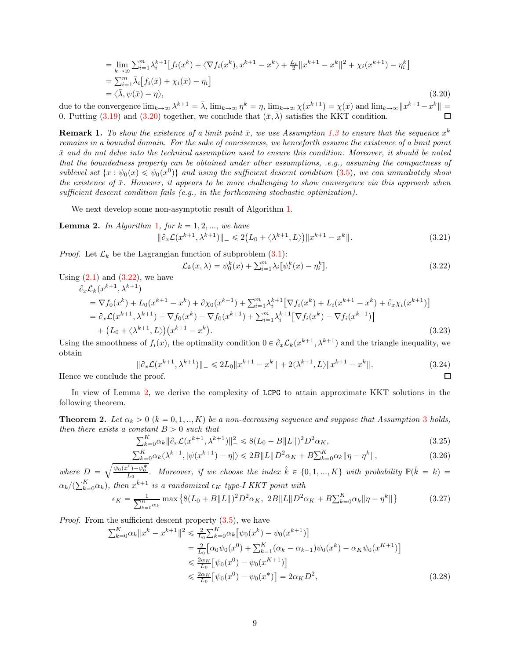$$
= \lim_{k \to \infty} \sum_{i=1}^{m} \lambda_i^{k+1} \left[ f_i(x^k) + \langle \nabla f_i(x^k), x^{k+1} - x^k \rangle + \frac{L_i}{2} ||x^{k+1} - x^k||^2 + \chi_i(x^{k+1}) - \eta_i^k \right]
$$
  
\n
$$
= \sum_{i=1}^{m} \bar{\lambda}_i \left[ f_i(\bar{x}) + \chi_i(\bar{x}) - \eta_i \right]
$$
  
\n
$$
= \langle \bar{\lambda}, \psi(\bar{x}) - \eta \rangle,
$$
\n(3.20)

due to the convergence  $\lim_{k\to\infty}\lambda^{k+1}=\overline{\lambda}$ ,  $\lim_{k\to\infty}\eta^k=\eta$ ,  $\lim_{k\to\infty}\chi(x^{k+1})=\chi(\overline{x})$  and  $\lim_{k\to\infty}||x^{k+1}-x^k||=$ 0. Putting [\(3.19\)](#page-7-7) and [\(3.20\)](#page-8-1) together, we conclude that  $(\bar{x}, \bar{\lambda})$  satisfies the KKT condition.

<span id="page-8-0"></span>**Remark 1.** To show the existence of a limit point  $\bar{x}$ , we use Assumption [1.3](#page-4-6) to ensure that the sequence  $x^k$ remains in a bounded domain. For the sake of conciseness, we henceforth assume the existence of a limit point  $\bar{x}$  and do not delve into the technical assumption used to ensure this condition. Moreover, it should be noted that the boundedness property can be obtained under other assumptions, .e.g., assuming the compactness of sublevel set  $\{x : \psi_0(x) \le \psi_0(x^0)\}$  and using the sufficient descent condition [\(3.5\)](#page-6-1), we can immediately show the existence of  $\bar{x}$ . However, it appears to be more challenging to show convergence via this approach when sufficient descent condition fails  $(e.g., in the forthcoming stochastic optimization)$ .

We next develop some non-asymptotic result of Algorithm [1.](#page-5-1)

<span id="page-8-3"></span>**Lemma 2.** In Algorithm [1](#page-5-1), for  $k = 1, 2, \dots$ , we have  $\|\partial_x \mathcal{L}(x^{k+1}, \lambda^{k+1})\|_{-} \leq 2(L_0 + \langle \lambda^{k+1}, L \rangle) \|x^{k+1} - x^k\|_{-}$  $(3.21)$ 

*Proof.* Let  $\mathcal{L}_k$  be the Lagrangian function of subproblem  $(3.1)$ :

<span id="page-8-4"></span><span id="page-8-2"></span><span id="page-8-1"></span>
$$
\mathcal{L}_k(x,\lambda) = \psi_0^k(x) + \sum_{i=1}^m \lambda_i \left[ \psi_i^k(x) - \eta_i^k \right].
$$
\n(3.22)

Using  $(2.1)$  and  $(3.22)$ , we have

$$
\partial_x \mathcal{L}_k(x^{k+1}, \lambda^{k+1})
$$
\n
$$
= \nabla f_0(x^k) + L_0(x^{k+1} - x^k) + \partial \chi_0(x^{k+1}) + \sum_{i=1}^m \lambda_i^{k+1} [\nabla f_i(x^k) + L_i(x^{k+1} - x^k) + \partial_x \chi_i(x^{k+1})]
$$
\n
$$
= \partial_x \mathcal{L}(x^{k+1}, \lambda^{k+1}) + \nabla f_0(x^k) - \nabla f_0(x^{k+1}) + \sum_{i=1}^m \lambda_i^{k+1} [\nabla f_i(x^k) - \nabla f_i(x^{k+1})]
$$
\n
$$
+ (L_0 + \langle \lambda^{k+1}, L \rangle) (x^{k+1} - x^k).
$$
\n(3.23)

Using the smoothness of  $f_i(x)$ , the optimality condition  $0 \in \partial_x \mathcal{L}_k(x^{k+1}, \lambda^{k+1})$  and the triangle inequality, we obtain

$$
\|\partial_x \mathcal{L}(x^{k+1}, \lambda^{k+1})\|_{-} \le 2L_0 \|x^{k+1} - x^k\| + 2\langle \lambda^{k+1}, L \rangle \|x^{k+1} - x^k\|.
$$
\n(3.24)  
the proof.

Hence we conclude the proof.

In view of Lemma [2,](#page-8-3) we derive the complexity of LCPG to attain approximate KKT solutions in the following theorem.

<span id="page-8-9"></span>**Theorem 2.** Let  $\alpha_k > 0$   $(k = 0, 1, ..., K)$  be a non-decreasing sequence and suppose that Assumption [3](#page-6-3) holds, then there exists a constant  $B > 0$  such that

<span id="page-8-7"></span><span id="page-8-6"></span>
$$
\sum_{k=0}^{K} \alpha_k \|\partial_x \mathcal{L}(x^{k+1}, \lambda^{k+1})\|^2_{-} \leq 8(L_0 + B \|L\|)^2 D^2 \alpha_K,
$$
\n(3.25)

<span id="page-8-5"></span>
$$
\sum_{k=0}^{K} \alpha_k \langle \lambda^{k+1}, |\psi(x^{k+1}) - \eta| \rangle \leq 2B \|L\| D^2 \alpha_K + B \sum_{k=0}^{K} \alpha_k \|\eta - \eta^k\|,
$$
\n(3.26)

where  $D = \sqrt{\frac{\psi_0(x^0) - \psi_0^*}{L_0}}$ . Moreover, if we choose the index  $\hat{k} \in \{0, 1, ..., K\}$  with probability  $\mathbb{P}(\hat{k} = k)$  $\alpha_k/(\sum_{k=0}^K \alpha_k)$ , then  $x^{\hat{k}+1}$  is a randomized  $\epsilon_K$  type-I KKT point with  $\epsilon_K = \frac{1}{\sum_{k=0}^{K} \alpha_k} \max \left\{ 8(L_0 + B||L||)^2 D^2 \alpha_K, 2B||L||D^2 \alpha_K + B \sum_{k=0}^{K} \alpha_k ||\eta - \eta^k|| \right\}$ (3.27)

Proof. From the sufficient descent property [\(3.5\)](#page-6-1), we have

<span id="page-8-8"></span>
$$
\sum_{k=0}^{K} \alpha_k \|x^k - x^{k+1}\|^2 \leq \frac{2}{L_0} \sum_{k=0}^{K} \alpha_k \left[\psi_0(x^k) - \psi_0(x^{k+1})\right]
$$
\n
$$
= \frac{2}{L_0} \left[\alpha_0 \psi_0(x^0) + \sum_{k=1}^{K} (\alpha_k - \alpha_{k-1}) \psi_0(x^k) - \alpha_K \psi_0(x^{K+1})\right]
$$
\n
$$
\leq \frac{2\alpha_K}{L_0} \left[\psi_0(x^0) - \psi_0(x^{K+1})\right]
$$
\n
$$
\leq \frac{2\alpha_K}{L_0} \left[\psi_0(x^0) - \psi_0(x^*)\right] = 2\alpha_K D^2,
$$
\n(3.28)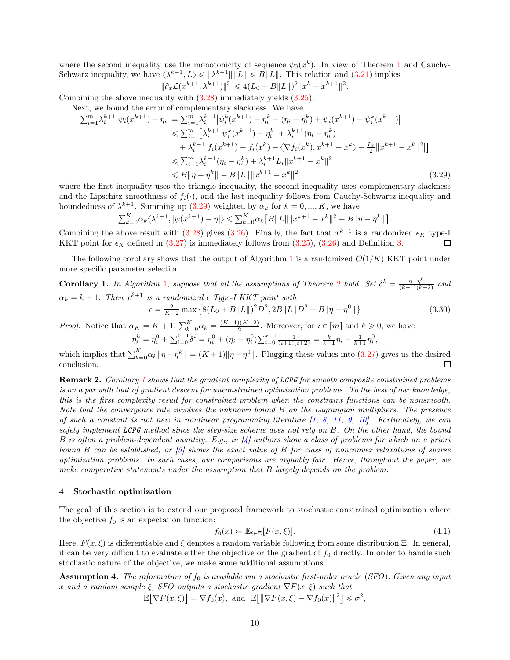where the second inequality use the monotonicity of sequence  $\psi_0(x^k)$ . In view of Theorem [1](#page-6-5) and Cauchy-Schwarz inequality, we have  $\langle \lambda^{k+1}, L \rangle \leq \|\lambda^{k+1}\| \|L\| \leq B \|L\|$ . This relation and  $(3.21)$  implies

<span id="page-9-0"></span>
$$
\|\partial_x \mathcal{L}(x^{k+1}, \lambda^{k+1})\|^2 \le 4(L_0 + B\|L\|)^2 \|x^k - x^{k+1}\|^2.
$$

Combining the above inequality with [\(3.28\)](#page-8-5) immediately yields [\(3.25\)](#page-8-6).

Next, we bound the error of complementary slackness. We have

$$
\sum_{i=1}^{m} \lambda_{i}^{k+1} |\psi_{i}(x^{k+1}) - \eta_{i}| = \sum_{i=1}^{m} \lambda_{i}^{k+1} |\psi_{i}^{k}(x^{k+1}) - \eta_{i}^{k} - (\eta_{i} - \eta_{i}^{k}) + \psi_{i}(x^{k+1}) - \psi_{i}^{k}(x^{k+1})|
$$
  
\n
$$
\leq \sum_{i=1}^{m} [\lambda_{i}^{k+1} |\psi_{i}^{k}(x^{k+1}) - \eta_{i}^{k}| + \lambda_{i}^{k+1} (\eta_{i} - \eta_{i}^{k})
$$
  
\n
$$
+ \lambda_{i}^{k+1} |f_{i}(x^{k+1}) - f_{i}(x^{k}) - \langle \nabla f_{i}(x^{k}), x^{k+1} - x^{k} \rangle - \frac{L_{i}}{2} ||x^{k+1} - x^{k}||^{2}
$$
  
\n
$$
\leq \sum_{i=1}^{m} \lambda_{i}^{k+1} (\eta_{i} - \eta_{i}^{k}) + \lambda_{i}^{k+1} L_{i} ||x^{k+1} - x^{k}||^{2}
$$
  
\n
$$
\leq B ||\eta - \eta^{k}|| + B ||L|| ||x^{k+1} - x^{k}||^{2}
$$
\n(3.29)

where the first inequality uses the triangle inequality, the second inequality uses complementary slackness and the Lipschitz smoothness of  $f_i(\cdot)$ , and the last inequality follows from Cauchy-Schwartz inequality and boundedness of  $\lambda^{k+1}$ . Summing up [\(3.29\)](#page-9-0) weighted by  $\alpha_k$  for  $k = 0, ..., K$ , we have

$$
\textstyle \sum_{k=0}^K \alpha_k \big\langle \lambda^{k+1}, |\psi(x^{k+1})-\eta| \big\rangle \leqslant \sum_{k=0}^K \alpha_k \big[B\|L\|\|x^{k+1}-x^k\|^2+B\|\eta-\eta^k\|\big].
$$

Combining the above result with [\(3.28\)](#page-8-5) gives [\(3.26\)](#page-8-7). Finally, the fact that  $x^{\hat{k}+1}$  is a randomized  $\epsilon_K$  type-I KKT point for  $\epsilon_K$  defined in [\(3.27\)](#page-8-8) is immediately follows from [\(3.25\)](#page-8-6), [\(3.26\)](#page-8-7) and Definition [3.](#page-4-0)  $\Box$ 

The following corollary shows that the output of Algorithm [1](#page-5-1) is a randomized  $\mathcal{O}(1/K)$  KKT point under more specific parameter selection.

<span id="page-9-1"></span>**Corollary [1](#page-5-1).** In Algorithm 1, suppose that all the assumptions of Theorem [2](#page-8-9) hold. Set  $\delta^k = \frac{\eta - \eta^0}{(k+1)(k+1)}$  $\frac{\eta-\eta}{(k+1)(k+2)}$  and  $\alpha_k = k + 1$ . Then  $x^{\hat{k}+1}$  is a randomized  $\epsilon$  Type-I KKT point with  $\epsilon = \frac{2}{K+2} \max \left\{ 8(L_0 + B \|L\|)^2 D^2, 2B \|L\| D^2 + B \|\eta - \eta^0\| \right\}$ (3.30)

*Proof.* Notice that  $\alpha_K = K + 1$ ,  $\sum_{k=0}^{K} \alpha_k = \frac{(K+1)(K+2)}{2}$ . Moreover, for  $i \in [m]$  and  $k \geq 0$ , we have

$$
\eta_i^k = \eta_i^0 + \sum_{i=0}^{k-1} \delta^i = \eta_i^0 + (\eta_i - \eta_i^0) \sum_{i=0}^{k-1} \frac{1}{(i+1)(i+2)} = \frac{k}{k+1} \eta_i + \frac{1}{k+1} \eta_i^0,
$$

which implies that  $\sum_{k=0}^{K} \alpha_k \|\eta - \eta^k\| = (K+1) \|\eta - \eta^0\|$ . Plugging these values into [\(3.27\)](#page-8-8) gives us the desired conclusion.  $\Box$ 

Remark 2. Corollary [1](#page-9-1) shows that the gradient complexity of LCPG for smooth composite constrained problems is on a par with that of gradient descent for unconstrained optimization problems. To the best of our knowledge, this is the first complexity result for constrained problem when the constraint functions can be nonsmooth. Note that the convergence rate involves the unknown bound B on the Lagrangian multipliers. The presence of such a constant is not new in nonlinear programming literature  $\begin{bmatrix} 1, 8, 11, 9, 10 \end{bmatrix}$  $\begin{bmatrix} 1, 8, 11, 9, 10 \end{bmatrix}$  $\begin{bmatrix} 1, 8, 11, 9, 10 \end{bmatrix}$  $\begin{bmatrix} 1, 8, 11, 9, 10 \end{bmatrix}$  $\begin{bmatrix} 1, 8, 11, 9, 10 \end{bmatrix}$  $\begin{bmatrix} 1, 8, 11, 9, 10 \end{bmatrix}$  $\begin{bmatrix} 1, 8, 11, 9, 10 \end{bmatrix}$ . Fortunately, we can safely implement LCPG method since the step-size scheme does not rely on B. On the other hand, the bound B is often a problem-dependent quantity. E.g., in  $\frac{1}{4}$  authors show a class of problems for which an a priori bound B can be established, or [\[5\]](#page-29-19) shows the exact value of B for class of nonconvex relaxations of sparse optimization problems. In such cases, our comparisons are arguably fair. Hence, throughout the paper, we make comparative statements under the assumption that B largely depends on the problem.

#### 4 Stochastic optimization

The goal of this section is to extend our proposed framework to stochastic constrained optimization where the objective  $f_0$  is an expectation function:

<span id="page-9-2"></span>
$$
f_0(x) := \mathbb{E}_{\xi \in \Xi} [F(x, \xi)]. \tag{4.1}
$$

Here,  $F(x, \xi)$  is differentiable and  $\xi$  denotes a random variable following from some distribution Ξ. In general, it can be very difficult to evaluate either the objective or the gradient of  $f_0$  directly. In order to handle such stochastic nature of the objective, we make some additional assumptions.

Assumption 4. The information of  $f_0$  is available via a stochastic first-order oracle (SFO). Given any input x and a random sample  $\xi$ , SFO outputs a stochastic gradient  $\nabla F(x, \xi)$  such that

 $\mathbb{E}[\nabla F(x,\xi)] = \nabla f_0(x)$ , and  $\mathbb{E}[\|\nabla F(x,\xi) - \nabla f_0(x)\|^2] \le \sigma^2$ ,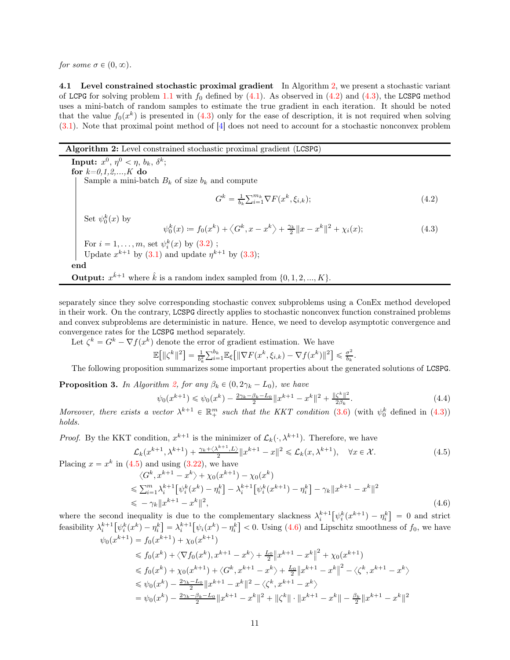<span id="page-10-0"></span>for some  $\sigma \in (0, \infty)$ .

4.1 Level constrained stochastic proximal gradient In Algorithm [2,](#page-10-1) we present a stochastic variant of LCPG for solving problem [1.1](#page-0-1) with  $f_0$  defined by [\(4.1\)](#page-9-2). As observed in [\(4.2\)](#page-10-2) and [\(4.3\)](#page-10-3), the LCSPG method uses a mini-batch of random samples to estimate the true gradient in each iteration. It should be noted that the value  $f_0(x^k)$  is presented in [\(4.3\)](#page-10-3) only for the ease of description, it is not required when solving [\(3.1\)](#page-5-3). Note that proximal point method of [\[4\]](#page-29-12) does not need to account for a stochastic nonconvex problem

### Algorithm 2: Level constrained stochastic proximal gradient (LCSPG)

<span id="page-10-3"></span><span id="page-10-2"></span>**Input:**  $x^0$ ,  $\eta^0 < \eta$ ,  $b_k$ ,  $\delta^k$ ; for  $k=0,1,2,...,K$  do Sample a mini-batch  $B_k$  of size  $b_k$  and compute  $G^k = \frac{1}{b_k} \sum_{i=1}^{m_k} \nabla F(x^k, \xi_{i,k});$ (4.2) Set  $\psi_0^k(x)$  by  $\psi_0^k(x) \coloneqq f_0(x^k) + \langle G^k, x - x^k \rangle + \frac{\gamma_k}{2} ||x - x^k||^2 + \chi_i(x);$ (4.3) For  $i = 1, \ldots, m$ , set  $\psi_i^k(x)$  by  $(3.2)$ ; Update  $x^{k+1}$  by [\(3.1\)](#page-5-3) and update  $\eta^{k+1}$  by [\(3.3\)](#page-5-7); end **Output:**  $x^{\hat{k}+1}$  where  $\hat{k}$  is a random index sampled from  $\{0, 1, 2, ..., K\}$ .

<span id="page-10-1"></span>separately since they solve corresponding stochastic convex subproblems using a ConEx method developed in their work. On the contrary, LCSPG directly applies to stochastic nonconvex function constrained problems and convex subproblems are deterministic in nature. Hence, we need to develop asymptotic convergence and convergence rates for the LCSPG method separately.

Let  $\zeta^k = G^k - \nabla f(x^k)$  denote the error of gradient estimation. We have

$$
\mathbb{E}\!\left[\|\zeta^k\|^2\right] = \tfrac{1}{b_k^2} \textstyle{\sum}_{i=1}^{b_k} \mathbb{E}_\xi\!\left[\|\nabla F(x^k, \xi_{i,k}) - \nabla f(x^k)\|^2\right] \leqslant \tfrac{\sigma^2}{b_k}.
$$

The following proposition summarizes some important properties about the generated solutions of LCSPG.

<span id="page-10-7"></span>**Proposition 3.** In Algorithm [2,](#page-10-1) for any  $\beta_k \in (0, 2\gamma_k - L_0)$ , we have

<span id="page-10-6"></span><span id="page-10-5"></span><span id="page-10-4"></span>
$$
\psi_0(x^{k+1}) \le \psi_0(x^k) - \frac{2\gamma_k - \beta_k - L_0}{2} \|x^{k+1} - x^k\|^2 + \frac{\|\zeta^k\|^2}{2\beta_k}.\tag{4.4}
$$

Moreover, there exists a vector  $\lambda^{k+1} \in \mathbb{R}^m_+$  such that the KKT condition [\(3.6\)](#page-6-2) (with  $\psi_0^k$  defined in [\(4.3\)](#page-10-3)) holds.

*Proof.* By the KKT condition,  $x^{k+1}$  is the minimizer of  $\mathcal{L}_k(\cdot, \lambda^{k+1})$ . Therefore, we have

$$
\mathcal{L}_k(x^{k+1}, \lambda^{k+1}) + \frac{\gamma_k + \langle \lambda^{k+1}, L \rangle}{2} ||x^{k+1} - x||^2 \le \mathcal{L}_k(x, \lambda^{k+1}), \quad \forall x \in \mathcal{X}.
$$
\nPlacing  $x = x^k$  in (4.5) and using (3.22), we have

\n
$$
\tag{4.5}
$$

$$
\langle G^k, x^{k+1} - x^k \rangle + \chi_0(x^{k+1}) - \chi_0(x^k)
$$
  
\n
$$
\leq \sum_{i=1}^m \lambda_i^{k+1} \left[ \psi_i^k(x^k) - \eta_i^k \right] - \lambda_i^{k+1} \left[ \psi_i^k(x^{k+1}) - \eta_i^k \right] - \gamma_k \| x^{k+1} - x^k \|^2
$$
  
\n
$$
\leq - \gamma_k \| x^{k+1} - x^k \|^2,
$$
\n(4.6)

where the second inequality is due to the complementary slackness  $\lambda_i^{k+1} \left[ \psi_i^k(x^{k+1}) - \eta_i^k \right] = 0$  and strict feasibility  $\lambda_i^{k+1} \left[ \psi_i^k(x^k) - \eta_i^k \right] = \lambda_i^{k+1} \left[ \psi_i(x^k) - \eta_i^k \right] < 0$ . Using [\(4.6\)](#page-10-5) and Lipschitz smoothness of  $f_0$ , we have  $\psi_0(x^{k+1}) = f_0(x^{k+1}) + \chi_0(x^{k+1})$ 

$$
\leq f_0(x^k) + \langle \nabla f_0(x^k), x^{k+1} - x^k \rangle + \frac{L_0}{2} \|x^{k+1} - x^k\|^2 + \chi_0(x^{k+1})
$$
  
\n
$$
\leq f_0(x^k) + \chi_0(x^{k+1}) + \langle G^k, x^{k+1} - x^k \rangle + \frac{L_0}{2} \|x^{k+1} - x^k\|^2 - \langle \zeta^k, x^{k+1} - x^k \rangle
$$
  
\n
$$
\leq \psi_0(x^k) - \frac{2\gamma_k - L_0}{2} \|x^{k+1} - x^k\|^2 - \langle \zeta^k, x^{k+1} - x^k \rangle
$$
  
\n
$$
= \psi_0(x^k) - \frac{2\gamma_k - \beta_k - L_0}{2} \|x^{k+1} - x^k\|^2 + \| \zeta^k \| \cdot \|x^{k+1} - x^k \| - \frac{\beta_k}{2} \|x^{k+1} - x^k\|^2
$$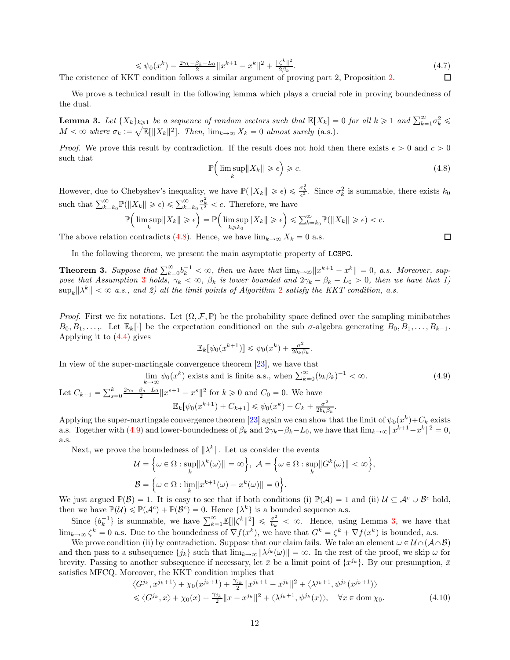$$
\leq \psi_0(x^k) - \frac{2\gamma_k - \beta_k - L_0}{2} \|x^{k+1} - x^k\|^2 + \frac{\zeta^k\|^2}{2\beta_k}.
$$
\n(4.7)

\nToondition follows a similar argument of proving part 2, Proposition 2.

The existence of KKT condition follows a similar argument of proving part 2, Proposition [2.](#page-5-6)

We prove a technical result in the following lemma which plays a crucial role in proving boundedness of the dual.

<span id="page-11-2"></span>**Lemma 3.** Let  $\{X_k\}_{k\geqslant 1}$  be a sequence of random vectors such that  $\mathbb{E}[X_k] = 0$  for all  $k \geqslant 1$  and  $\sum_{k=1}^{\infty} \sigma_k^2 \leqslant$  $M < \infty$  where  $\sigma_k := \sqrt{\mathbb{E}[\|X_k\|^2]}$ . Then,  $\lim_{k \to \infty} X_k = 0$  almost surely (a.s.).

*Proof.* We prove this result by contradiction. If the result does not hold then there exists  $\epsilon > 0$  and  $c > 0$ such that

<span id="page-11-0"></span>
$$
\mathbb{P}\Big(\limsup_{k} \|X_k\| \geq \epsilon\Big) \geq c. \tag{4.8}
$$

However, due to Chebyshev's inequality, we have  $\mathbb{P}(\|X_k\| \geqslant \epsilon) \leqslant \frac{\sigma_k^2}{\epsilon^2}$ . Since  $\sigma_k^2$  is summable, there exists  $k_0$ such that  $\sum_{k=k_0}^{\infty} \mathbb{P}(\|X_k\| \geq \epsilon) \leq \sum_{k=k_0}^{\infty}$  $\frac{\sigma_k^2}{\epsilon^2} < c$ . Therefore, we have

$$
\mathbb{P}\Big(\limsup_{k} \|X_{k}\| \geqslant \epsilon\Big) = \mathbb{P}\Big(\limsup_{k \geqslant k_0} \|X_{k}\| \geqslant \epsilon\Big) \leqslant \sum_{k=k_0}^{\infty} \mathbb{P}(\|X_{k}\| \geqslant \epsilon) < c.
$$

The above relation contradicts [\(4.8\)](#page-11-0). Hence, we have  $\lim_{k\to\infty} X_k = 0$  a.s.

In the following theorem, we present the main asymptotic property of LCSPG.

<span id="page-11-3"></span>**Theorem 3.** Suppose that  $\sum_{k=0}^{\infty} b_k^{-1} < \infty$ , then we have that  $\lim_{k\to\infty} ||x^{k+1} - x^k|| = 0$ , a.s. Moreover, sup-pose that Assumption [3](#page-6-3) holds,  $\gamma_k < \infty$ ,  $\beta_k$  is lower bounded and  $2\gamma_k - \beta_k - L_0 > 0$ , then we have that 1)  $\sup_k \|\lambda^k\| < \infty$  a.s., and [2](#page-10-1)) all the limit points of Algorithm 2 satisfy the KKT condition, a.s.

*Proof.* First we fix notations. Let  $(\Omega, \mathcal{F}, \mathbb{P})$  be the probability space defined over the sampling minibatches  $B_0, B_1, \ldots,$  Let  $\mathbb{E}_k[\cdot]$  be the expectation conditioned on the sub  $\sigma$ -algebra generating  $B_0, B_1, \ldots, B_{k-1}$ . Applying it to [\(4.4\)](#page-10-6) gives

$$
\mathbb{E}_k[\psi_0(x^{k+1})] \leq \psi_0(x^k) + \frac{\sigma^2}{2b_k \beta_k}.
$$

In view of the super-martingale convergence theorem [\[23\]](#page-29-23), we have that

<span id="page-11-1"></span>
$$
\lim_{k \to \infty} \psi_0(x^k) \text{ exists and is finite a.s., when } \sum_{k=0}^{\infty} (b_k \beta_k)^{-1} < \infty. \tag{4.9}
$$

Let 
$$
C_{k+1} = \sum_{s=0}^{k} \frac{2\gamma_s - \beta_s - L_0}{2} ||x^{s+1} - x^s||^2
$$
 for  $k \ge 0$  and  $C_0 = 0$ . We have  

$$
\mathbb{E}_k[\psi_0(x^{k+1}) + C_{k+1}] \le \psi_0(x^k) + C_k + \frac{\sigma^2}{2b_k\beta_k}.
$$

Applying the super-martingale convergence theorem [\[23\]](#page-29-23) again we can show that the limit of  $\psi_0(x^k) + C_k$  exists a.s. Together with [\(4.9\)](#page-11-1) and lower-boundedness of  $\beta_k$  and  $2\gamma_k - \beta_k - L_0$ , we have that  $\lim_{k\to\infty} ||x^{k+1} - x^k||^2 = 0$ , a.s.

Next, we prove the boundedness of  $\|\lambda^k\|$ . Let us consider the events

$$
\mathcal{U} = \Big\{ \omega \in \Omega : \sup_{k} \|\lambda^{k}(\omega)\| = \infty \Big\}, \ \mathcal{A} = \Big\{ \omega \in \Omega : \sup_{k} \|G^{k}(\omega)\| < \infty \Big\},\
$$

$$
\mathcal{B} = \Big\{ \omega \in \Omega : \lim_{k} \|x^{k+1}(\omega) - x^{k}(\omega)\| = 0 \Big\}.
$$

We just argued  $\mathbb{P}(\mathcal{B}) = 1$ . It is easy to see that if both conditions (i)  $\mathbb{P}(\mathcal{A}) = 1$  and (ii)  $\mathcal{U} \subseteq \mathcal{A}^c \cup \mathcal{B}^c$  hold, then we have  $\mathbb{P}(\mathcal{U}) \leq \mathbb{P}(\mathcal{A}^c) + \mathbb{P}(\mathcal{B}^c) = 0$ . Hence  $\{\lambda^k\}$  is a bounded sequence a.s.

Since  $\{b_k^{-1}\}\$ is summable, we have  $\sum_{k=1}^{\infty} \mathbb{E}[\|\zeta^k\|^2] \leq \frac{\sigma^2}{b_k}$  $\frac{\sigma^2}{b_k} < \infty$ . Hence, using Lemma [3,](#page-11-2) we have that  $\lim_{k\to\infty} \zeta^k = 0$  a.s. Due to the boundedness of  $\nabla f(x^k)$ , we have that  $G^k = \zeta^k + \nabla f(x^k)$  is bounded, a.s.

We prove condition (ii) by contradiction. Suppose that our claim fails. We take an element  $\omega \in \mathcal{U} \cap (\mathcal{A} \cap \mathcal{B})$ and then pass to a subsequence  $\{j_k\}$  such that  $\lim_{k\to\infty} ||\lambda^{j_k}(\omega)|| = \infty$ . In the rest of the proof, we skip  $\omega$  for brevity. Passing to another subsequence if necessary, let  $\bar{x}$  be a limit point of  $\{x^{j_k}\}\$ . By our presumption,  $\bar{x}$ satisfies MFCQ. Moreover, the KKT condition implies that

$$
\langle G^{j_k}, x^{j_k+1} \rangle + \chi_0(x^{j_k+1}) + \frac{\gamma_{j_k}}{2} \|x^{j_k+1} - x^{j_k}\|^2 + \langle \lambda^{j_k+1}, \psi^{j_k}(x^{j_k+1}) \rangle
$$
  

$$
\leq \langle G^{j_k}, x \rangle + \chi_0(x) + \frac{\gamma_{j_k}}{2} \|x - x^{j_k}\|^2 + \langle \lambda^{j_k+1}, \psi^{j_k}(x) \rangle, \quad \forall x \in \text{dom}\,\chi_0.
$$
 (4.10)

 $\square$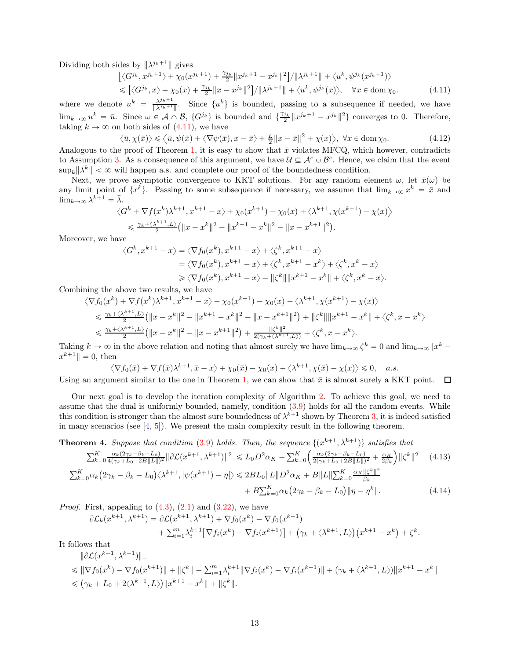Dividing both sides by  $\|\lambda^{j_k+1}\|$  gives

<span id="page-12-0"></span>
$$
\left[ \langle G^{j_k}, x^{j_k+1} \rangle + \chi_0(x^{j_k+1}) + \frac{\gamma_{j_k}}{2} \| x^{j_k+1} - x^{j_k} \|^2 \right] / \| \lambda^{j_k+1} \| + \langle u^k, \psi^{j_k}(x^{j_k+1}) \rangle \n\leq \left[ \langle G^{j_k}, x \rangle + \chi_0(x) + \frac{\gamma_{j_k}}{2} \| x - x^{j_k} \|^2 \right] / \| \lambda^{j_k+1} \| + \langle u^k, \psi^{j_k}(x) \rangle, \quad \forall x \in \text{dom} \chi_0.
$$
\n(4.11)

where we denote  $u^k = \frac{\lambda^{j_k+1}}{\|\lambda^{j_k+1}\|}$  $\frac{\lambda^{j_k+1}}{||\lambda^{j_k+1}||}$ . Since  $\{u^k\}$  is bounded, passing to a subsequence if needed, we have  $\lim_{k\to\infty} u^k = \bar{u}$ . Since  $\omega \in \mathcal{A} \cap \mathcal{B}$ ,  $\{G^{j_k}\}\$ is bounded and  $\{\frac{\gamma_{j_k}}{2} ||x^{j_k+1} - x^{j_k}||^2\}$  converges to 0. Therefore, taking  $k \to \infty$  on both sides of [\(4.11\)](#page-12-0), we have

$$
\langle \bar{u}, \chi(\bar{x}) \rangle \le \langle \bar{u}, \psi(\bar{x}) + \langle \nabla \psi(\bar{x}), x - \bar{x} \rangle + \frac{L}{2} \|x - \bar{x}\|^2 + \chi(x) \rangle, \ \forall x \in \text{dom}\,\chi_0. \tag{4.12}
$$

Analogous to the proof of Theorem [1,](#page-6-5) it is easy to show that  $\bar{x}$  violates MFCQ, which however, contradicts to Assumption [3.](#page-6-3) As a consequence of this argument, we have  $\mathcal{U} \subseteq \mathcal{A}^c \cup \mathcal{B}^c$ . Hence, we claim that the event  $\sup_k ||\lambda^k|| < \infty$  will happen a.s. and complete our proof of the boundedness condition.

Next, we prove asymptotic convergence to KKT solutions. For any random element  $\omega$ , let  $\bar{x}(\omega)$  be any limit point of  $\{x^k\}$ . Passing to some subsequence if necessary, we assume that  $\lim_{k\to\infty} x^k = \bar{x}$  and  $\lim_{k\to\infty}\lambda^{k+1}=\bar{\lambda}.$ 

$$
\langle G^{k} + \nabla f(x^{k}) \lambda^{k+1}, x^{k+1} - x \rangle + \chi_{0}(x^{k+1}) - \chi_{0}(x) + \langle \lambda^{k+1}, \chi(x^{k+1}) - \chi(x) \rangle
$$
  

$$
\leq \frac{\gamma_{k} + \langle \lambda^{k+1}, L \rangle}{2} (\|x - x^{k}\|^{2} - \|x^{k+1} - x^{k}\|^{2} - \|x - x^{k+1}\|^{2}).
$$

Moreover, we have

$$
\langle G^k, x^{k+1} - x \rangle = \langle \nabla f_0(x^k), x^{k+1} - x \rangle + \langle \zeta^k, x^{k+1} - x \rangle
$$
  

$$
= \langle \nabla f_0(x^k), x^{k+1} - x \rangle + \langle \zeta^k, x^{k+1} - x^k \rangle + \langle \zeta^k, x^k - x \rangle
$$
  

$$
\geq \langle \nabla f_0(x^k), x^{k+1} - x \rangle - ||\zeta^k|| ||x^{k+1} - x^k|| + \langle \zeta^k, x^k - x \rangle.
$$

Combining the above two results, we have

$$
\langle \nabla f_0(x^k) + \nabla f(x^k) \lambda^{k+1}, x^{k+1} - x \rangle + \chi_0(x^{k+1}) - \chi_0(x) + \langle \lambda^{k+1}, \chi(x^{k+1}) - \chi(x) \rangle
$$
  
\n
$$
\leq \frac{\gamma_k + \langle \lambda^{k+1}, L \rangle}{2} (\|x - x^k\|^2 - \|x^{k+1} - x^k\|^2 - \|x - x^{k+1}\|^2) + \|\zeta^k\| \|x^{k+1} - x^k\| + \langle \zeta^k, x - x^k \rangle
$$
  
\n
$$
\leq \frac{\gamma_k + \langle \lambda^{k+1}, L \rangle}{2} (\|x - x^k\|^2 - \|x - x^{k+1}\|^2) + \frac{\|\zeta^k\|^2}{2(\gamma_k + \langle \lambda^{k+1}, L \rangle)} + \langle \zeta^k, x - x^k \rangle.
$$

Taking  $k \to \infty$  in the above relation and noting that almost surely we have  $\lim_{k \to \infty} \zeta^k = 0$  and  $\lim_{k \to \infty} ||x^k - \zeta||$  $x^{k+1}$ || = 0, then

$$
\langle \nabla f_0(\bar{x}) + \nabla f(\bar{x}) \lambda^{k+1}, \bar{x} - x \rangle + \chi_0(\bar{x}) - \chi_0(x) + \langle \lambda^{k+1}, \chi(\bar{x}) - \chi(x) \rangle \leq 0, \quad a.s.
$$

Using an argument similar to the one in Theorem [1,](#page-6-5) we can show that  $\bar{x}$  is almost surely a KKT point.  $\Box$ 

Our next goal is to develop the iteration complexity of Algorithm [2.](#page-10-1) To achieve this goal, we need to assume that the dual is uniformly bounded, namely, condition [\(3.9\)](#page-6-6) holds for all the random events. While this condition is stronger than the almost sure boundedness of  $\lambda^{k+1}$  shown by Theorem [3,](#page-11-3) it is indeed satisfied in many scenarios (see  $[4, 5]$  $[4, 5]$ ). We present the main complexity result in the following theorem.

<span id="page-12-3"></span>**Theorem 4.** Suppose that condition (3.9) holds. Then, the sequence 
$$
\{(x^{k+1}, \lambda^{k+1})\}
$$
 satisfies that  
\n
$$
\sum_{k=0}^{K} \frac{\alpha_k (2\gamma_k - \beta_k - L_0)}{4(\gamma_k + L_0 + 2B||L||)^2} ||\partial \mathcal{L}(x^{k+1}, \lambda^{k+1})||^2 \le L_0 D^2 \alpha_K + \sum_{k=0}^{K} \left( \frac{\alpha_k (2\gamma_k - \beta_k - L_0)}{2(\gamma_k + L_0 + 2B||L||)^2} + \frac{\alpha_K}{2\beta_k} \right) ||\zeta^k||^2
$$
\n
$$
\sum_{k=0}^{K} \alpha_k (2\gamma_k - \beta_k - L_0) \langle \lambda^{k+1}, |\psi(x^{k+1}) - \eta| \rangle \le 2BL_0 ||L|| D^2 \alpha_K + B ||L|| \sum_{k=0}^{K} \frac{\alpha_K ||\zeta^k||^2}{\beta_k}
$$
\n(4.13)

<span id="page-12-2"></span><span id="page-12-1"></span>+ 
$$
B\sum_{k=0}^{K} \alpha_k (2\gamma_k - \beta_k - L_0) ||\eta - \eta^k||.
$$
 (4.14)

*Proof.* First, appealing to  $(4.3)$ ,  $(2.1)$  and  $(3.22)$ , we have

 $\partial \mathcal{L}_k(x^{k+1}, \lambda^{k+1}) = \partial \mathcal{L}(x^{k+1}, \lambda^{k+1}) + \nabla f_0(x^k) - \nabla f_0(x^{k+1})$  $+\sum_{i=1}^{m} \lambda_i^{k+1} [\nabla f_i(x^k) - \nabla f_i(x^{k+1})] + (\gamma_k + \langle \lambda^{k+1}, L \rangle)(x^{k+1} - x^k) + \zeta^k.$ 

It follows that

$$
\|\partial \mathcal{L}(x^{k+1}, \lambda^{k+1})\|_{-} \n\leq \|\nabla f_0(x^k) - \nabla f_0(x^{k+1})\| + \|\zeta^k\| + \sum_{i=1}^m \lambda_i^{k+1} \|\nabla f_i(x^k) - \nabla f_i(x^{k+1})\| + (\gamma_k + \langle \lambda^{k+1}, L \rangle) \|x^{k+1} - x^k\| \n\leq (\gamma_k + L_0 + 2\langle \lambda^{k+1}, L \rangle) \|x^{k+1} - x^k\| + \|\zeta^k\|.
$$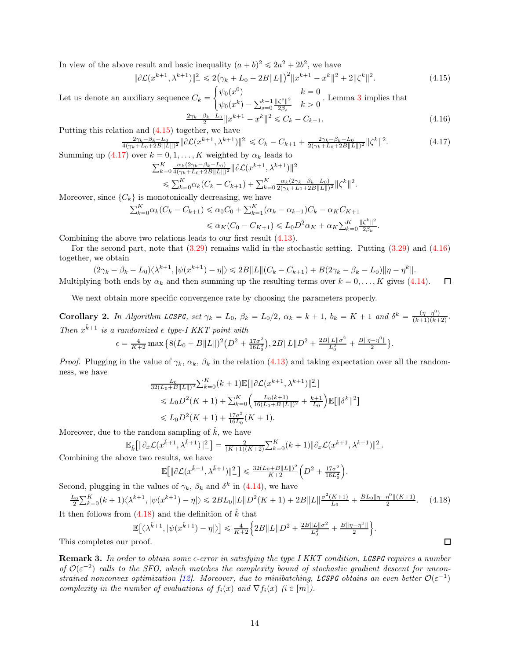In view of the above result and basic inequality  $(a + b)^2 \leq 2a^2 + 2b^2$ , we have

<span id="page-13-1"></span>
$$
\|\partial \mathcal{L}(x^{k+1}, \lambda^{k+1})\|^2 \le 2(\gamma_k + L_0 + 2B\|L\|)^2 \|x^{k+1} - x^k\|^2 + 2\|\zeta^k\|^2. \tag{4.15}
$$

Let us denote an auxiliary sequence  $C_k =$  $\int \psi_0(x^0)$   $k = 0$  $\psi_0(x^k) - \sum_{s=0}^{k-1} \frac{\|\zeta^s\|^2}{2\beta_s}$  $\frac{\zeta^{s} \|^{2}}{2\beta_{s}}$   $k > 0$ . Lemma [3](#page-10-7) implies that

<span id="page-13-3"></span>
$$
\frac{2\gamma_k - \beta_k - L_0}{2} \|x^{k+1} - x^k\|^2 \le C_k - C_{k+1}.
$$
\n(4.16)

Putting this relation and [\(4.15\)](#page-13-1) together, we have

$$
\frac{2\gamma_k - \beta_k - L_0}{4(\gamma_k + L_0 + 2B\|L\|)^2} \|\partial \mathcal{L}(x^{k+1}, \lambda^{k+1})\|_{-}^2 \le C_k - C_{k+1} + \frac{2\gamma_k - \beta_k - L_0}{2(\gamma_k + L_0 + 2B\|L\|)^2} \|\zeta^k\|^2. \tag{4.17}
$$

Summing up [\(4.17\)](#page-13-2) over  $k = 0, 1, ..., K$  weighted by  $\alpha_k$  leads to

$$
\sum_{k=0}^{K} \frac{\alpha_k (2\gamma_k - \beta_k - L_0)}{4(\gamma_k + L_0 + 2B||L||)^2} ||\partial \mathcal{L}(x^{k+1}, \lambda^{k+1})||^2
$$
  
\$\leqslant \sum\_{k=0}^{K} \alpha\_k (C\_k - C\_{k+1}) + \sum\_{k=0}^{K} \frac{\alpha\_k (2\gamma\_k - \beta\_k - L\_0)}{2(\gamma\_k + L\_0 + 2B||L||)^2} ||\zeta^k||^2.\$

Moreover, since  $\{C_k\}$  is monotonically decreasing, we have

$$
\sum_{k=0}^{K} \alpha_k (C_k - C_{k+1}) \le \alpha_0 C_0 + \sum_{k=1}^{K} (\alpha_k - \alpha_{k-1}) C_k - \alpha_K C_{K+1}
$$
  

$$
\le \alpha_K (C_0 - C_{K+1}) \le L_0 D^2 \alpha_K + \alpha_K \sum_{k=0}^{K} \frac{\|\zeta^k\|^2}{2\beta_k}.
$$

Combining the above two relations leads to our first result [\(4.13\)](#page-12-1).

For the second part, note that  $(3.29)$  remains valid in the stochastic setting. Putting  $(3.29)$  and  $(4.16)$ together, we obtain

$$
(2\gamma_k - \beta_k - L_0)\langle \lambda^{k+1}, |\psi(x^{k+1}) - \eta| \rangle \le 2B \|L\| (C_k - C_{k+1}) + B(2\gamma_k - \beta_k - L_0) \|\eta - \eta^k\|.
$$
  
Multiplying both ends by  $\alpha_k$  and then summing up the resulting terms over  $k = 0, ..., K$  gives (4.14).

We next obtain more specific convergence rate by choosing the parameters properly.

**Corollary 2.** In Algorithm LCSPG, set  $\gamma_k = L_0$ ,  $\beta_k = L_0/2$ ,  $\alpha_k = k + 1$ ,  $b_k = K + 1$  and  $\delta^k = \frac{(\eta - \eta^0)}{(k+1)(k+2)}$ . Then  $x^{\hat{k}+1}$  is a randomized  $\epsilon$  type-I KKT point with

$$
\epsilon = \frac{4}{K+2} \max \left\{ 8(L_0 + B \|L\|)^2 \left( D^2 + \frac{17\sigma^2}{16L_0^2} \right), 2B \|L\| D^2 + \frac{2B \|L\|\sigma^2}{L_0^2} + \frac{B \|\eta - \eta^0\|}{2} \right\}.
$$

*Proof.* Plugging in the value of  $\gamma_k$ ,  $\alpha_k$ ,  $\beta_k$  in the relation [\(4.13\)](#page-12-1) and taking expectation over all the randomness, we have

$$
\frac{L_0}{32(L_0+B\|L\|)^2} \sum_{k=0}^K (k+1) \mathbb{E}[\|\partial \mathcal{L}(x^{k+1}, \lambda^{k+1})\|_-^2]
$$
\n
$$
\leq L_0 D^2(K+1) + \sum_{k=0}^K \left( \frac{L_0(k+1)}{16(L_0+B\|L\|)^2} + \frac{k+1}{L_0} \right) \mathbb{E}[\|\delta^k\|^2]
$$
\n
$$
\leq L_0 D^2(K+1) + \frac{17\sigma^2}{16L_0}(K+1).
$$

Moreover, due to the random sampling of  $k$ , we have

$$
\mathbb{E}_{\hat{k}}\big[\|\partial_x \mathcal{L}(x^{\hat{k}+1}, \lambda^{\hat{k}+1})\|_{-}^2\big] = \frac{2}{(K+1)(K+2)}\sum_{k=0}^K (k+1) \|\partial_x \mathcal{L}(x^{k+1}, \lambda^{k+1})\|_{-}^2.
$$

Combining the above two results, we have

$$
\mathbb{E}\!\left[\|\partial \mathcal{L}(x^{\hat{k}+1}, \lambda^{\hat{k}+1})\|_{-}^{2}\right] \leq \frac{32(L_{0}+B\|L\|)^{2}}{K+2}\left(D^{2}+\frac{17\sigma^{2}}{16L_{0}^{2}}\right).
$$

Second, plugging in the values of  $\gamma_k$ ,  $\beta_k$  and  $\delta^k$  in [\(4.14\)](#page-12-2), we have

<span id="page-13-4"></span>
$$
\frac{L_0}{2} \sum_{k=0}^{K} (k+1) \langle \lambda^{k+1}, |\psi(x^{k+1}) - \eta| \rangle \leq 2BL_0 \|L\| D^2(K+1) + 2B \|L\|^{\frac{\sigma^2(K+1)}{L_0}} + \frac{BL_0 \|\eta - \eta^0\|(K+1)}{2}.\tag{4.18}
$$

It then follows from  $(4.18)$  and the definition of k that

$$
\mathbb{E}\big[\langle \lambda^{\hat{k}+1}, |\psi(x^{\hat{k}+1}) - \eta| \rangle\big] \leq \frac{4}{K+2} \Big\{ 2B \|L\| D^2 + \frac{2B \|L\| \sigma^2}{L_0^2} + \frac{B \|\eta - \eta^0\|}{2} \Big\}.
$$

This completes our proof.

<span id="page-13-0"></span>Remark 3. In order to obtain some  $\epsilon$ -error in satisfying the type I KKT condition, LCSPG requires a number of  $\mathcal{O}(\varepsilon^{-2})$  calls to the SFO, which matches the complexity bound of stochastic gradient descent for uncon-strained nonconvex optimization [\[12\]](#page-29-15). Moreover, due to minibatching, LCSPG obtains an even better  $\mathcal{O}(\varepsilon^{-1})$ complexity in the number of evaluations of  $f_i(x)$  and  $\nabla f_i(x)$  (i  $\in [m]$ ).

 $\Box$ 

<span id="page-13-2"></span> $\Box$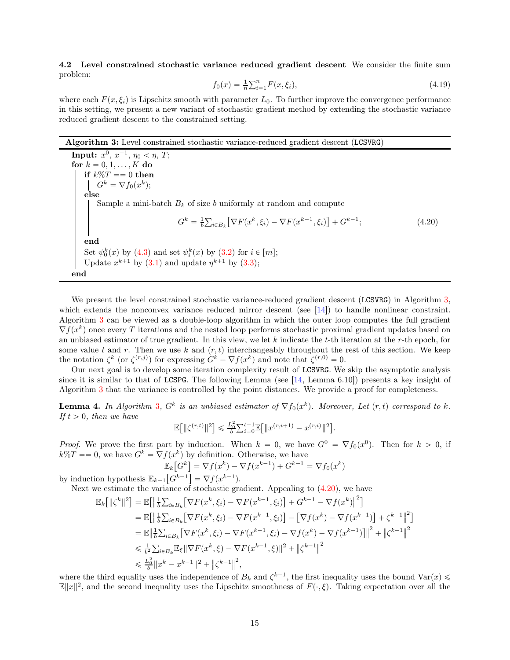4.2 Level constrained stochastic variance reduced gradient descent We consider the finite sum problem:

<span id="page-14-3"></span>
$$
f_0(x) = \frac{1}{n} \sum_{i=1}^n F(x, \xi_i),
$$
\n(4.19)

where each  $F(x, \xi_i)$  is Lipschitz smooth with parameter  $L_0$ . To further improve the convergence performance in this setting, we present a new variant of stochastic gradient method by extending the stochastic variance reduced gradient descent to the constrained setting.

# Algorithm 3: Level constrained stochastic variance-reduced gradient descent (LCSVRG)

<span id="page-14-1"></span>**Input:**  $x^0, x^{-1}, \eta_0 < \eta, T;$ for  $k = 0, 1, \ldots, K$  do if  $k\%T == 0$  then  $G^k = \nabla f_0(x^k);$ else Sample a mini-batch  $B_k$  of size b uniformly at random and compute  $G^k = \frac{1}{b} \sum_{i \in B_k} \left[ \nabla F(x^k, \xi_i) - \nabla F(x^{k-1}, \xi_i) \right] + G^{k-1}$  $(4.20)$ end Set  $\psi_0^k(x)$  by [\(4.3\)](#page-10-3) and set  $\psi_i^k(x)$  by [\(3.2\)](#page-5-2) for  $i \in [m]$ ; Update  $x^{k+1}$  by [\(3.1\)](#page-5-3) and update  $\eta^{k+1}$  by [\(3.3\)](#page-5-7); end

<span id="page-14-0"></span>We present the level constrained stochastic variance-reduced gradient descent (LCSVRG) in Algorithm [3,](#page-14-0) which extends the nonconvex variance reduced mirror descent (see [\[14\]](#page-29-24)) to handle nonlinear constraint. Algorithm [3](#page-14-0) can be viewed as a double-loop algorithm in which the outer loop computes the full gradient  $\nabla f(x^k)$  once every T iterations and the nested loop performs stochastic proximal gradient updates based on an unbiased estimator of true gradient. In this view, we let  $k$  indicate the  $t$ -th iteration at the  $r$ -th epoch, for some value t and r. Then we use k and  $(r, t)$  interchangeably throughout the rest of this section. We keep the notation  $\zeta^k$  (or  $\zeta^{(r,j)}$ ) for expressing  $G^k - \nabla f(x^k)$  and note that  $\zeta^{(r,0)} = 0$ .

Our next goal is to develop some iteration complexity result of LCSVRG. We skip the asymptotic analysis since it is similar to that of LCSPG. The following Lemma (see  $[14, \text{Lemma 6.10}]$ ) presents a key insight of Algorithm [3](#page-14-0) that the variance is controlled by the point distances. We provide a proof for completeness.

<span id="page-14-2"></span>**Lemma 4.** In Algorithm [3](#page-14-0),  $G^k$  is an unbiased estimator of  $\nabla f_0(x^k)$ . Moreover, Let  $(r, t)$  correspond to k. If  $t > 0$ , then we have

$$
\mathbb{E}\!\left[\|\zeta^{(r,t)}\|^2\right] \leqslant \tfrac{L_0^2}{b} \textstyle{\sum}_{i=0}^{t-1} \mathbb{E}\!\left[\|x^{(r,i+1)}-x^{(r,i)}\|^2\right].
$$

*Proof.* We prove the first part by induction. When  $k = 0$ , we have  $G^0 = \nabla f_0(x^0)$ . Then for  $k > 0$ , if  $k\%T == 0$ , we have  $G^k = \nabla f(x^k)$  by definition. Otherwise, we have

$$
\mathbb{E}_k[G^k] = \nabla f(x^k) - \nabla f(x^{k-1}) + G^{k-1} = \nabla f_0(x^k)
$$
  
by induction hypothesis 
$$
\mathbb{E}_{k-1}[G^{k-1}] = \nabla f(x^{k-1}).
$$

Next we estimate the variance of stochastic gradient. Appealing to  $(4.20)$ , we have

$$
\mathbb{E}_{k}[\|\zeta^{k}\|^{2}] = \mathbb{E}[\|\frac{1}{b}\sum_{i\in B_{k}}[\nabla F(x^{k},\xi_{i}) - \nabla F(x^{k-1},\xi_{i})] + G^{k-1} - \nabla f(x^{k})\|^{2}]
$$
\n
$$
= \mathbb{E}[\|\frac{1}{b}\sum_{i\in B_{k}}[\nabla F(x^{k},\xi_{i}) - \nabla F(x^{k-1},\xi_{i})] - [\nabla f(x^{k}) - \nabla f(x^{k-1})] + \zeta^{k-1}\|^{2}]
$$
\n
$$
= \mathbb{E}\|\frac{1}{b}\sum_{i\in B_{k}}[\nabla F(x^{k},\xi_{i}) - \nabla F(x^{k-1},\xi_{i}) - \nabla f(x^{k}) + \nabla f(x^{k-1})]\|^{2} + \|\zeta^{k-1}\|^{2}
$$
\n
$$
\leq \frac{1}{b^{2}}\sum_{i\in B_{k}}\mathbb{E}_{\xi}\|\nabla F(x^{k},\xi) - \nabla F(x^{k-1},\xi)\|^{2} + \|\zeta^{k-1}\|^{2}
$$
\n
$$
\leq \frac{L_{0}^{2}}{b}\|x^{k} - x^{k-1}\|^{2} + \|\zeta^{k-1}\|^{2},
$$

where the third equality uses the independence of  $B_k$  and  $\zeta^{k-1}$ , the first inequality uses the bound  $\text{Var}(x) \leq$  $\mathbb{E}||x||^2$ , and the second inequality uses the Lipschitz smoothness of  $F(\cdot,\xi)$ . Taking expectation over all the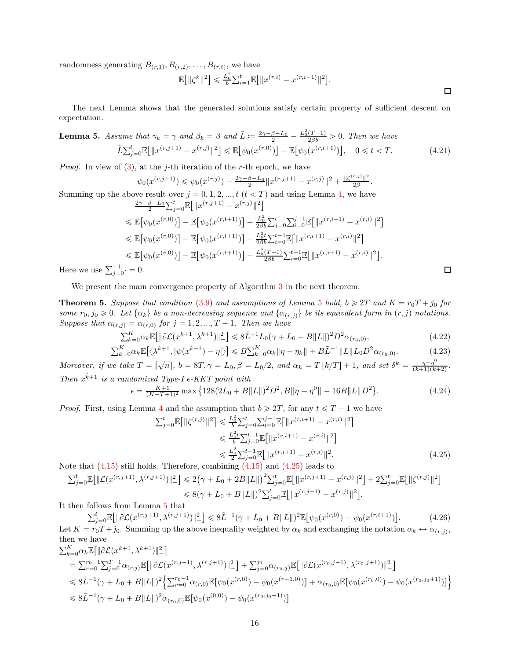randomness generating  $B_{(r,1)}, B_{(r,2)}, \ldots, B_{(r,t)}$ , we have

$$
\mathbb{E}\!\left[\|\zeta^k\|^2\right]\leqslant \tfrac{L_0^2}{b}\!\sum_{i=1}^t\!\mathbb{E}\!\left[\|x^{(r,i)}-x^{(r,i-1)}\|^2\right]\!.
$$

The next Lemma shows that the generated solutions satisfy certain property of sufficient descent on expectation.

<span id="page-15-0"></span>**Lemma 5.** Assume that 
$$
\gamma_k = \gamma
$$
 and  $\beta_k = \beta$  and  $\tilde{L} := \frac{2\gamma - \beta - L_0}{2} - \frac{L_0^2(T-1)}{2\beta b} > 0$ . Then we have  
\n
$$
\tilde{L} \sum_{j=0}^t \mathbb{E} \big[ \|x^{(r,j+1)} - x^{(r,j)}\|^2 \big] \le \mathbb{E} \big[ \psi_0(x^{(r,0)}) \big] - \mathbb{E} \big[ \psi_0(x^{(r,t+1)}) \big], \quad 0 \le t < T.
$$
\n(4.21)

*Proof.* In view of  $(3)$ , at the *j*-th iteration of the *r*-th epoch, we have

<span id="page-15-3"></span>
$$
\psi_0(x^{(r,j+1)})\leqslant \psi_0(x^{(r,j)})-\tfrac{2\gamma-\beta-L_0}{2}\|x^{(r,j+1)}-x^{(r,j)}\|^2+\tfrac{\|\zeta^{(r,j)}\|^2}{2\beta}.
$$

Summing up the above result over  $j = 0, 1, 2, ..., t$   $(t < T)$  and using Lemma [4,](#page-14-2) we have  $\frac{2\gamma-\beta-L_0}{2}\sum_{j=0}^t \mathbb{E}\big[\|x^{(r,j+1)}-x^{(r,j)}\|^2\big]$ 

$$
\leq \mathbb{E}\big[\psi_0(x^{(r,0)})\big] - \mathbb{E}\big[\psi_0(x^{(r,t+1)})\big] + \frac{L_0^2}{2\beta b} \sum_{j=0}^t \sum_{i=0}^{j-1} \mathbb{E}\big[\|x^{(r,i+1)} - x^{(r,i)}\|^2\big] \n\leq \mathbb{E}\big[\psi_0(x^{(r,0)})\big] - \mathbb{E}\big[\psi_0(x^{(r,t+1)})\big] + \frac{L_0^2 t}{2\beta b} \sum_{i=0}^{t-1} \mathbb{E}\big[\|x^{(r,i+1)} - x^{(r,i)}\|^2\big] \n\leq \mathbb{E}\big[\psi_0(x^{(r,0)})\big] - \mathbb{E}\big[\psi_0(x^{(r,t+1)})\big] + \frac{L_0^2 (T-1)}{2\beta b} \sum_{i=0}^{t-1} \mathbb{E}\big[\|x^{(r,i+1)} - x^{(r,i)}\|^2\big].
$$

Here we use  $\sum_{j=0}^{-1}$   $\cdot$  = 0.

We present the main convergence property of Algorithm [3](#page-14-0) in the next theorem.

**Theorem [5](#page-15-0).** Suppose that condition [\(3.9\)](#page-6-6) and assumptions of Lemma 5 hold,  $b \ge 2T$  and  $K = r_0T + j_0$  for some  $r_0, j_0 \geq 0$ . Let  $\{\alpha_k\}$  be a non-decreasing sequence and  $\{\alpha_{(r,j)}\}$  be its equivalent form in  $(r, j)$  notations. Suppose that  $\alpha_{(r,j)} = \alpha_{(r,0)}$  for  $j = 1, 2, ..., T - 1$ . Then we have

$$
\sum_{k=0}^{K} \alpha_k \mathbb{E}[\|\partial \mathcal{L}(x^{k+1}, \lambda^{k+1})\|^2] \le 8\tilde{L}^{-1}L_0(\gamma + L_0 + B\|L\|)^2 D^2 \alpha_{(r_0, 0)},
$$
\n(4.22)

$$
\sum_{k=0}^{K} \alpha_k \mathbb{E} \left[ \langle \lambda^{k+1}, |\psi(x^{k+1}) - \eta| \rangle \right] \leq B \sum_{k=0}^{K} \alpha_k \|\eta - \eta_k\| + B \tilde{L}^{-1} \|L\| L_0 D^2 \alpha_{(r_0, 0)}.
$$
\n(4.23)

Moreover, if we take  $T = \lceil \sqrt{n} \rceil$ ,  $b = 8T$ ,  $\gamma = L_0$ ,  $\beta = L_0/2$ , and  $\alpha_k = T \lfloor k/T \rfloor + 1$ , and set  $\delta^k = \frac{\eta - \eta^0}{(k+1)(k+1)}$  $\frac{\eta-\eta}{(k+1)(k+2)}$ . Then  $x^{\hat{k}+1}$  is a randomized Type-I  $\epsilon$ -KKT point with

$$
\epsilon = \frac{K+1}{(K-T+1)^2} \max \left\{ 128(2L_0 + B||L||)^2 D^2, B||\eta - \eta^0|| + 16B||L||D^2 \right\}.
$$
\n(4.24)

*Proof.* First, using Lemma [4](#page-14-2) and the assumption that  $b \geqslant 2T$ , for any  $t \leqslant T - 1$  we have

$$
\sum_{j=0}^{t} \mathbb{E} \left[ \| \zeta^{(r,j)} \|^{2} \right] \leq \frac{L_{0}^{2}}{b} \sum_{j=0}^{t} \sum_{i=0}^{j-1} \mathbb{E} \left[ \| x^{(r,i+1)} - x^{(r,i)} \|^{2} \right]
$$
  
\n
$$
\leq \frac{L_{0}^{2} t}{b} \sum_{j=0}^{t-1} \mathbb{E} \left[ \| x^{(r,i+1)} - x^{(r,i)} \|^{2} \right]
$$
  
\n
$$
\leq \frac{L_{0}^{2} \sum_{j=0}^{t-1} \mathbb{E} \left[ \| x^{(r,i+1)} - x^{(r,i)} \|^{2} \right]}{\mathbb{E} \left[ \| x^{(r,i+1)} - x^{(r,i)} \|^{2} \right]}.
$$
\n(4.25)

Note that  $(4.15)$  still holds. Therefore, combining  $(4.15)$  and  $(4.25)$  leads to

$$
\sum_{j=0}^{t} \mathbb{E} \big[ \|\mathcal{L}(x^{(r,j+1)}, \lambda^{(r,j+1)})\|_{-}^{2} \big] \leq 2(\gamma + L_{0} + 2B\|L\|)^{2} \sum_{j=0}^{t} \mathbb{E} \big[ \|x^{(r,j+1)} - x^{(r,j)}\|^{2} \big] + 2\sum_{j=0}^{t} \mathbb{E} \big[ \|\zeta^{(r,j)}\|^{2} \big] \leq 8(\gamma + L_{0} + B\|L\|)^{2} \sum_{j=0}^{t} \mathbb{E} \big[ \|x^{(r,j+1)} - x^{(r,j)}\|^{2} \big].
$$

It then follows from Lemma [5](#page-15-0) that

$$
\sum_{j=0}^{t} \mathbb{E}[\|\partial \mathcal{L}(x^{(r,j+1)}, \lambda^{(r,j+1)})\|^{2}] \leq 8\tilde{L}^{-1}(\gamma + L_{0} + B\|L\|)^{2} \mathbb{E}[\psi_{0}(x^{(r,0)}) - \psi_{0}(x^{(r,t+1)})].
$$
\n(4.26)

Let  $K = r_0 T + j_0$ . Summing up the above inequality weighted by  $\alpha_k$  and exchanging the notation  $\alpha_k \leftrightarrow \alpha_{(r,j)}$ , then we have  $\overline{\phantom{m}}$ 

$$
\sum_{k=0}^{K} \alpha_k \mathbb{E} [\|\partial \mathcal{L}(x^{k+1}, \lambda^{k+1})\|^2] \n= \sum_{r=0}^{r_0-1} \sum_{j=0}^{T-1} \alpha_{(r,j)} \mathbb{E} [\|\partial \mathcal{L}(x^{(r,j+1)}, \lambda^{(r,j+1)})\|^2] + \sum_{j=0}^{j_0} \alpha_{(r_0,j)} \mathbb{E} [\|\partial \mathcal{L}(x^{(r_0,j+1)}, \lambda^{(r_0,j+1)})\|^2] \n\leq 8\tilde{L}^{-1}(\gamma + L_0 + B \|L\|)^2 \Big\{ \sum_{r=0}^{r_0-1} \alpha_{(r,0)} \mathbb{E} [\psi_0(x^{(r,0)}) - \psi_0(x^{(r+1,0)})] + \alpha_{(r_0,0)} \mathbb{E} [\psi_0(x^{(r_0,0)}) - \psi_0(x^{(r_0,j_0+1)})] \Big\} \n\leq 8\tilde{L}^{-1}(\gamma + L_0 + B \|L\|)^2 \alpha_{(r_0,0)} \mathbb{E} [\psi_0(x^{(0,0)}) - \psi_0(x^{(r_0,j_0+1)})]
$$

<span id="page-15-5"></span><span id="page-15-4"></span><span id="page-15-2"></span><span id="page-15-1"></span> $\Box$ 

 $\Box$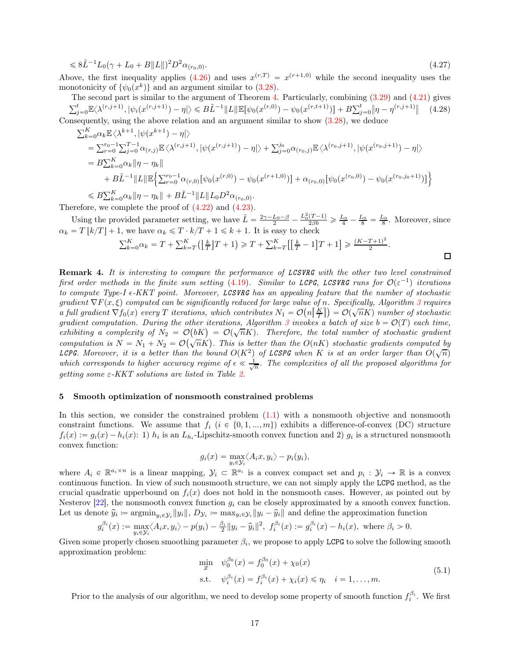$$
\leq 8\tilde{L}^{-1}L_0(\gamma + L_0 + B||L||)^2 D^2 \alpha_{(r_0,0)}.\tag{4.27}
$$

Above, the first inequality applies [\(4.26\)](#page-15-2) and uses  $x^{(r,T)} = x^{(r+1,0)}$  while the second inequality uses the monotonicity of  $\{\psi_0(x^k)\}\$ and an argument similar to [\(3.28\)](#page-8-5).

The second part is similar to the argument of Theorem [4.](#page-12-3) Particularly, combining [\(3.29\)](#page-9-0) and [\(4.21\)](#page-15-3) gives  $\sum_{j=0}^{t} \mathbb{E}\langle \lambda^{(r,j+1)}, |\psi_i(x^{(r,j+1)}) - \eta| \rangle \leq B\tilde{L}^{-1} \|L\| \mathbb{E}[\psi_0(x^{(r,0)}) - \psi_0(x^{(r,t+1)})] + B\sum_{j=0}^{t} \|\eta - \eta^{(r,j+1)}\|$  (4.28) Consequently, using the above relation and an argument similar to show [\(3.28\)](#page-8-5), we deduce

$$
\sum_{k=0}^{K} \alpha_k \mathbb{E} \langle \lambda^{k+1}, |\psi(x^{k+1}) - \eta| \rangle
$$
\n
$$
= \sum_{r=0}^{r_0 - 1} \sum_{j=0}^{T-1} \alpha_{(r,j)} \mathbb{E} \langle \lambda^{(r,j+1)}, |\psi(x^{(r,j+1)}) - \eta| \rangle + \sum_{j=0}^{j_0} \alpha_{(r_0,j)} \mathbb{E} \langle \lambda^{(r_0,j+1)}, |\psi(x^{(r_0,j+1)}) - \eta| \rangle
$$
\n
$$
= B \sum_{k=0}^{K} \alpha_k ||\eta - \eta_k|| + B \tilde{L}^{-1} ||L|| \mathbb{E} \Big\{ \sum_{r=0}^{r_0 - 1} \alpha_{(r,0)} [\psi_0(x^{(r,0)}) - \psi_0(x^{(r+1,0)})] + \alpha_{(r_0,0)} [\psi_0(x^{(r_0,0)}) - \psi_0(x^{(r_0,j_0+1)})] \Big\}
$$
\n
$$
\leq B \sum_{k=0}^{K} \alpha_k ||\eta - \eta_k|| + B \tilde{L}^{-1} ||L|| L_0 D^2 \alpha_{(r_0,0)}.
$$

Therefore, we complete the proof of [\(4.22\)](#page-15-4) and [\(4.23\)](#page-15-5).

Using the provided parameter setting, we have  $\tilde{L} = \frac{2\gamma - L_0 - \beta}{2} - \frac{L_0^2(T-1)}{2\beta b} \ge \frac{L_0}{4} - \frac{L_0}{8} = \frac{L_0}{8}$ . Moreover, since  $\alpha_k = T \lfloor k/T \rfloor + 1$ , we have  $\alpha_k \leq T \cdot k/T + 1 \leq k + 1$ . It is easy to check

$$
\sum_{k=0}^{K} \alpha_k = T + \sum_{k=T}^{K} (\left\lfloor \frac{k}{T} \right\rfloor T + 1) \ge T + \sum_{k=T}^{K} \left[ \left\lfloor \frac{k}{T} - 1 \right\rfloor T + 1 \right] \ge \frac{(K - T + 1)^2}{2}.
$$

 $\Box$ 

Remark 4. It is interesting to compare the performance of LCSVRG with the other two level constrained first order methods in the finite sum setting [\(4.19\)](#page-14-3). Similar to LCPG, LCSVRG runs for  $\mathcal{O}(\varepsilon^{-1})$  iterations to compute Type-I  $\epsilon$ -KKT point. Moreover, LCSVRG has an appealing feature that the number of stochastic gradient  $\nabla F(x, \xi)$  computed can be significantly reduced for large value of n. Specifically, Algorithm [3](#page-14-0) requires a full gradient  $\nabla f_0(x)$  every T iterations, which contributes  $N_1 = \mathcal{O}(n\left[\frac{K}{T}\right]) = \mathcal{O}(\sqrt{nK})$  number of stochastic gradient computation. During the other iterations, Algorithm [3](#page-14-0) invokes a batch of size  $b = \mathcal{O}(T)$  each time, exhibiting a complexity of  $N_2 = \mathcal{O}(bK) = \mathcal{O}(\sqrt{n}K)$ . Therefore, the total number of stochastic gradient computation is  $N = N_1 + N_2 = \mathcal{O}(\sqrt{nK})$ . This is better than the  $O(nK)$  stochastic gradients computed by LCPG. Moreover, it is a better than the bound  $O(K^2)$  of LCSPG when K is at an order larger than  $O(\sqrt{n})$ which corresponds to higher accuracy regime of  $\epsilon \ll \frac{1}{\sqrt{n}}$ . The complexities of all the proposed algorithms for getting some  $\varepsilon$ -KKT solutions are listed in Table [2.](#page-3-1)

### <span id="page-16-0"></span>5 Smooth optimization of nonsmooth constrained problems

In this section, we consider the constrained problem  $(1.1)$  with a nonsmooth objective and nonsmooth constraint functions. We assume that  $f_i$  ( $i \in \{0, 1, ..., m\}$ ) exhibits a difference-of-convex (DC) structure  $f_i(x) := g_i(x) - h_i(x)$ : 1)  $h_i$  is an  $L_{h_i}$ -Lipschitz-smooth convex function and 2)  $g_i$  is a structured nonsmooth convex function:

$$
g_i(x) = \max_{y_i \in \mathcal{Y}_i} \langle A_i x, y_i \rangle - p_i(y_i),
$$

where  $A_i \in \mathbb{R}^{a_i \times n}$  is a linear mapping,  $\mathcal{Y}_i \subset \mathbb{R}^{a_i}$  is a convex compact set and  $p_i : \mathcal{Y}_i \to \mathbb{R}$  is a convex continuous function. In view of such nonsmooth structure, we can not simply apply the LCPG method, as the crucial quadratic upperbound on  $f_i(x)$  does not hold in the nonsmooth cases. However, as pointed out by Nesterov [\[22\]](#page-29-17), the nonsmooth convex function  $g_i$  can be closely approximated by a smooth convex function. Let us denote  $\hat{y}_i \coloneqq \operatorname{argmin}_{y_i \in \mathcal{Y}_i} ||y_i||$ ,  $D_{\mathcal{Y}_i} \coloneqq \max_{y_i \in \mathcal{Y}_i} ||y_i - \hat{y}_i||$  and define the approximation function

$$
g_i^{\beta_i}(x) := \max_{y_i \in \mathcal{Y}_i} \langle A_i x, y_i \rangle - p(y_i) - \frac{\beta_i}{2} ||y_i - \hat{y}_i||^2, \ f_i^{\beta_i}(x) := g_i^{\beta_i}(x) - h_i(x), \text{ where } \beta_i > 0.
$$

Given some properly chosen smoothing parameter  $\beta_i$ , we propose to apply LCPG to solve the following smooth approximation problem:

<span id="page-16-1"></span>
$$
\min_{x} \quad \psi_0^{\beta_0}(x) = f_0^{\beta_0}(x) + \chi_0(x) \n\text{s.t.} \quad \psi_i^{\beta_i}(x) = f_i^{\beta_i}(x) + \chi_i(x) \le \eta_i \quad i = 1, ..., m.
$$
\n(5.1)

Prior to the analysis of our algorithm, we need to develop some property of smooth function  $f_i^{\beta_i}$ . We first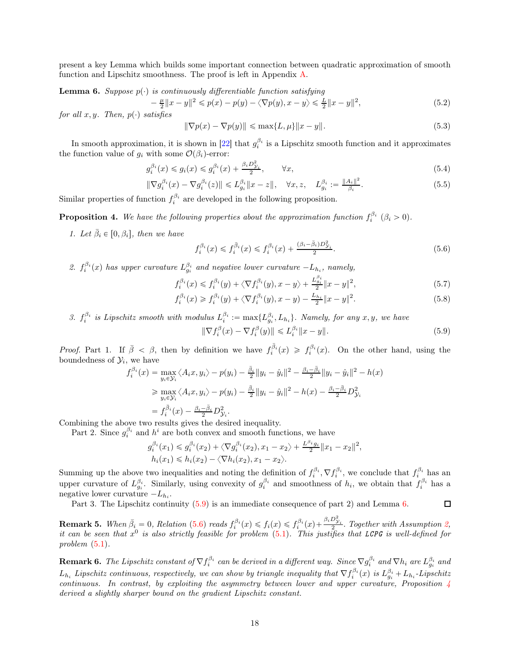present a key Lemma which builds some important connection between quadratic approximation of smooth function and Lipschitz smoothness. The proof is left in Appendix [A.](#page-29-25)

<span id="page-17-1"></span>**Lemma 6.** Suppose  $p(\cdot)$  is continuously differentiable function satisfying

<span id="page-17-5"></span>
$$
-\frac{\mu}{2}||x-y||^2 \le p(x) - p(y) - \langle \nabla p(y), x - y \rangle \le \frac{L}{2}||x-y||^2,
$$
\n(5.2)

for all  $x, y$ . Then,  $p(\cdot)$  satisfies

<span id="page-17-6"></span>
$$
\|\nabla p(x) - \nabla p(y)\| \le \max\{L, \mu\} \|x - y\|.
$$
\n(5.3)

In smooth approximation, it is shown in [\[22\]](#page-29-17) that  $g_i^{\beta_i}$  is a Lipschitz smooth function and it approximates the function value of  $g_i$  with some  $\mathcal{O}(\beta_i)$ -error:

$$
g_i^{\beta_i}(x) \le g_i(x) \le g_i^{\beta_i}(x) + \frac{\beta_i D_{\mathcal{Y}_i}^2}{2}, \qquad \forall x,
$$
\n
$$
(5.4)
$$

$$
\|\nabla g_i^{\beta_i}(x) - \nabla g_i^{\beta_i}(z)\| \le L_{g_i}^{\beta_i} \|x - z\|, \quad \forall x, z, \quad L_{g_i}^{\beta_i} := \frac{\|A_i\|^2}{\beta_i}.
$$
 (5.5)

Similar properties of function  $f_i^{\beta_i}$  are developed in the following proposition.

<span id="page-17-3"></span>**Proposition 4.** We have the following properties about the approximation function  $f_i^{\beta_i}$  ( $\beta_i > 0$ ).

1. Let  $\bar{\beta}_i \in [0, \beta_i]$ , then we have

<span id="page-17-4"></span><span id="page-17-2"></span>
$$
f_i^{\beta_i}(x) \le f_i^{\bar{\beta}_i}(x) \le f_i^{\beta_i}(x) + \frac{(\beta_i - \bar{\beta}_i)D_{\mathcal{Y}_i}^2}{2}.
$$
\n(5.6)

2.  $f_i^{\beta_i}(x)$  has upper curvature  $L_{g_i}^{\beta_i}$  and negative lower curvature  $-L_{h_i}$ , namely,

$$
f_i^{\beta_i}(x) \le f_i^{\beta_i}(y) + \langle \nabla f_i^{\beta_i}(y), x - y \rangle + \frac{L_{g_i}^{\beta_i}}{2} \|x - y\|^2, \tag{5.7}
$$

$$
f_i^{\beta_i}(x) \ge f_i^{\beta_i}(y) + \langle \nabla f_i^{\beta_i}(y), x - y \rangle - \frac{L_{h_i}}{2} \|x - y\|^2.
$$
 (5.8)

3.  $f_i^{\beta_i}$  is Lipschitz smooth with modulus  $L_i^{\beta_i} := \max\{L_{g_i}^{\beta_i}, L_{h_i}\}\$ . Namely, for any  $x, y$ , we have

<span id="page-17-0"></span>
$$
\|\nabla f_i^{\beta}(x) - \nabla f_i^{\beta}(y)\| \le L_i^{\beta_i} \|x - y\|.
$$
\n(5.9)

*Proof.* Part 1. If  $\bar{\beta} < \beta$ , then by definition we have  $f_i^{\bar{\beta}_i}(x) \geq f_i^{\beta_i}(x)$ . On the other hand, using the boundedness of  $\mathcal{Y}_i$ , we have

$$
f_i^{\beta_i}(x) = \max_{y_i \in \mathcal{Y}_i} \langle A_i x, y_i \rangle - p(y_i) - \frac{\overline{\beta}_i}{2} ||y_i - \hat{y}_i||^2 - \frac{\beta_i - \overline{\beta}_i}{2} ||y_i - \hat{y}_i||^2 - h(x)
$$
  
\n
$$
\geq \max_{y_i \in \mathcal{Y}_i} \langle A_i x, y_i \rangle - p(y_i) - \frac{\overline{\beta}_i}{2} ||y_i - \hat{y}_i||^2 - h(x) - \frac{\beta_i - \overline{\beta}_i}{2} D_{\mathcal{Y}_i}^2
$$
  
\n
$$
= f_i^{\overline{\beta}_i}(x) - \frac{\beta_i - \overline{\beta}_i}{2} D_{\mathcal{Y}_i}^2.
$$

Combining the above two results gives the desired inequality.

Part 2. Since  $g_i^{\beta_i}$  and  $h^i$  are both convex and smooth functions, we have

$$
g_i^{\beta_i}(x_1) \leq g_i^{\beta_i}(x_2) + \langle \nabla g_i^{\beta_i}(x_2), x_1 - x_2 \rangle + \frac{L^{\beta_i} g_i}{2} ||x_1 - x_2||^2,
$$
  
\n
$$
h_i(x_1) \leq h_i(x_2) - \langle \nabla h_i(x_2), x_1 - x_2 \rangle.
$$

Summing up the above two inequalities and noting the definition of  $f_i^{\beta_i}$ ,  $\nabla f_i^{\beta_i}$ , we conclude that  $f_i^{\beta_i}$  has an upper curvature of  $L_{g_i}^{\beta_i}$ . Similarly, using convexity of  $g_i^{\beta_i}$  and smoothness of  $h_i$ , we obtain that  $f_i^{\beta_i}$  has a negative lower curvature  $-L_{h_i}$ .  $\Box$ 

Part 3. The Lipschitz continuity  $(5.9)$  is an immediate consequence of part 2) and Lemma [6.](#page-17-1)

**Remark 5.** When  $\bar{\beta}_i = 0$ , Relation [\(5.6\)](#page-17-2) reads  $f_i^{\beta_i}(x) \leq f_i(x) \leq f_i^{\beta_i}(x) + \frac{\beta_i D_{\mathcal{Y}_i}^2}{2}$ . Together with Assumption [2,](#page-5-4) it can be seen that  $x^0$  is also strictly feasible for problem  $(5.1)$ . This justifies that LCPG is well-defined for problem  $(5.1)$ .

**Remark 6.** The Lipschitz constant of  $\nabla f_i^{\beta_i}$  can be derived in a different way. Since  $\nabla g_i^{\beta_i}$  and  $\nabla h_i$  are  $L_{g_i}^{\beta_i}$  and  $L_{h_i}$  Lipschitz continuous, respectively, we can show by triangle inequality that  $\nabla f_i^{\beta_i}(x)$  is  $L_{g_i}^{\beta_i} + L_{h_i}$ -Lipschitz continuous. In contrast, by exploiting the asymmetry between lower and upper curvature, Proposition [4](#page-17-3) derived a slightly sharper bound on the gradient Lipschitz constant.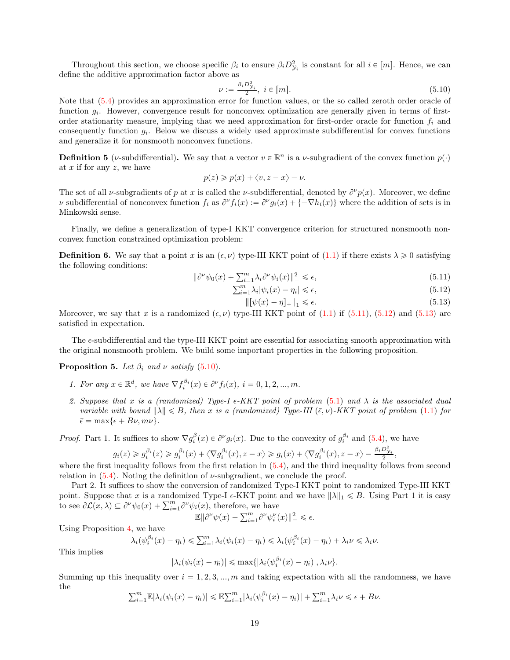Throughout this section, we choose specific  $\beta_i$  to ensure  $\beta_i D_{\mathcal{Y}_i}^2$  is constant for all  $i \in [m]$ . Hence, we can define the additive approximation factor above as

<span id="page-18-3"></span>
$$
\nu := \frac{\beta_i D_{\mathcal{Y}_i}^2}{2}, \ i \in [m]. \tag{5.10}
$$

Note that [\(5.4\)](#page-17-4) provides an approximation error for function values, or the so called zeroth order oracle of function  $g_i$ . However, convergence result for nonconvex optimization are generally given in terms of firstorder stationarity measure, implying that we need approximation for first-order oracle for function  $f_i$  and consequently function  $g_i$ . Below we discuss a widely used approximate subdifferential for convex functions and generalize it for nonsmooth nonconvex functions.

**Definition 5** (*v*-subdifferential). We say that a vector  $v \in \mathbb{R}^n$  is a *v*-subgradient of the convex function  $p(\cdot)$ at  $x$  if for any  $z$ , we have

$$
p(z) \geqslant p(x) + \langle v, z - x \rangle - \nu.
$$

The set of all *v*-subgradients of p at x is called the *v*-subdifferential, denoted by  $\partial^{\nu}p(x)$ . Moreover, we define v subdifferential of nonconvex function  $f_i$  as  $\partial^{\nu} f_i(x) := \partial^{\nu} g_i(x) + \{-\nabla h_i(x)\}\$  where the addition of sets is in Minkowski sense.

Finally, we define a generalization of type-I KKT convergence criterion for structured nonsmooth nonconvex function constrained optimization problem:

**Definition 6.** We say that a point x is an  $(\epsilon, \nu)$  type-III KKT point of [\(1.1\)](#page-0-1) if there exists  $\lambda \geq 0$  satisfying the following conditions:

$$
\|\partial^{\nu}\psi_0(x) + \sum_{i=1}^m \lambda_i \partial^{\nu}\psi_i(x)\|^2 \le \epsilon,
$$
\n(5.11)

$$
\sum_{i=1}^{m} \lambda_i |\psi_i(x) - \eta_i| \le \epsilon,
$$
\n(5.12)

<span id="page-18-2"></span><span id="page-18-1"></span><span id="page-18-0"></span>
$$
\| \left[ \psi(x) - \eta \right]_+ \|_1 \le \epsilon. \tag{5.13}
$$

Moreover, we say that x is a randomized  $(\epsilon, \nu)$  type-III KKT point of [\(1.1\)](#page-0-1) if [\(5.11\)](#page-18-0), [\(5.12\)](#page-18-1) and [\(5.13\)](#page-18-2) are satisfied in expectation.

The  $\epsilon$ -subdifferential and the type-III KKT point are essential for associating smooth approximation with the original nonsmooth problem. We build some important properties in the following proposition.

<span id="page-18-4"></span>**Proposition 5.** Let  $\beta_i$  and  $\nu$  satisfy [\(5.10\)](#page-18-3).

- 1. For any  $x \in \mathbb{R}^d$ , we have  $\nabla f_i^{\beta_i}(x) \in \partial^{\nu} f_i(x)$ ,  $i = 0, 1, 2, ..., m$ .
- 2. Suppose that x is a (randomized) Type-I  $\epsilon$ -KKT point of problem [\(5.1\)](#page-16-1) and  $\lambda$  is the associated dual variable with bound  $\|\lambda\| \leq B$ , then x is a (randomized) Type-III  $(\bar{\epsilon}, \nu)$ -KKT point of problem [\(1.1\)](#page-0-1) for  $\bar{\epsilon} = \max\{\epsilon + B\nu, m\nu\}.$

*Proof.* Part 1. It suffices to show  $\nabla g_i^{\beta}(x) \in \partial^{\nu} g_i(x)$ . Due to the convexity of  $g_i^{\beta_i}$  and [\(5.4\)](#page-17-4), we have

$$
g_i(z) \geqslant g_i^{\beta_i}(z) \geqslant g_i^{\beta_i}(x) + \left\langle \nabla g_i^{\beta_i}(x), z - x \right\rangle \geqslant g_i(x) + \left\langle \nabla g_i^{\beta_i}(x), z - x \right\rangle - \frac{\beta_i D_{\mathcal{Y}_i}^2}{2},
$$

where the first inequality follows from the first relation in  $(5.4)$ , and the third inequality follows from second relation in  $(5.4)$ . Noting the definition of  $\nu$ -subgradient, we conclude the proof.

Part 2. It suffices to show the conversion of randomized Type-I KKT point to randomized Type-III KKT point. Suppose that x is a randomized Type-I  $\epsilon$ -KKT point and we have  $||\lambda||_1 \le B$ . Using Part 1 it is easy to see  $\partial \mathcal{L}(x, \lambda) \subseteq \partial^{\nu} \psi_0(x) + \sum_{i=1}^m \partial^{\nu} \psi_i(x)$ , therefore, we have

$$
\mathbb{E} \|\partial^{\nu} \psi(x) + \sum_{i=1}^{m} \partial^{\nu} \psi_i^{\nu}(x)\|_{-}^2 \le \epsilon.
$$

Using Proposition [4,](#page-17-3) we have

$$
\lambda_i(\psi_i^{\beta_i}(x) - \eta_i) \leq \sum_{i=1}^m \lambda_i(\psi_i(x) - \eta_i) \leq \lambda_i(\psi_i^{\beta_i}(x) - \eta_i) + \lambda_i \nu \leq \lambda_i \nu.
$$

This implies

$$
|\lambda_i(\psi_i(x)-\eta_i)| \leq \max\{|\lambda_i(\psi_i^{\beta_i}(x)-\eta_i)|,\lambda_i\nu\}.
$$

Summing up this inequality over  $i = 1, 2, 3, ..., m$  and taking expectation with all the randomness, we have the

$$
\sum_{i=1}^m \mathbb{E}|\lambda_i(\psi_i(x) - \eta_i)| \le \mathbb{E}\sum_{i=1}^m |\lambda_i(\psi_i^{\beta_i}(x) - \eta_i)| + \sum_{i=1}^m \lambda_i \nu \le \epsilon + B\nu.
$$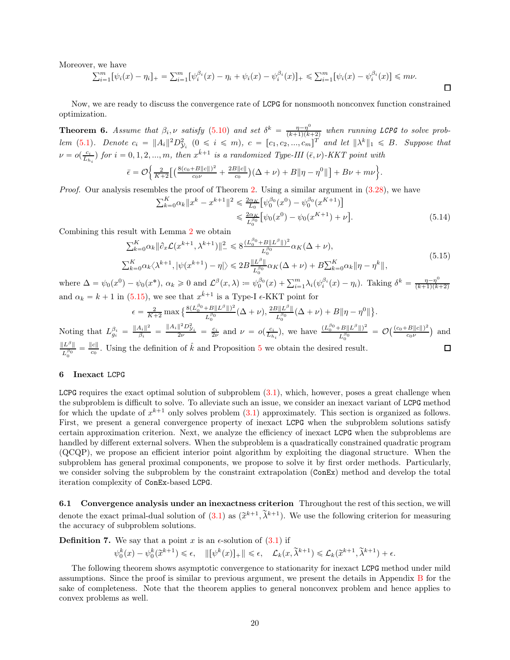Moreover, we have

$$
\sum_{i=1}^{m} [\psi_i(x) - \eta_i]_+ = \sum_{i=1}^{m} [\psi_i^{\beta_i}(x) - \eta_i + \psi_i(x) - \psi_i^{\beta_i}(x)]_+ \leq \sum_{i=1}^{m} [\psi_i(x) - \psi_i^{\beta_i}(x)] \leq m\nu.
$$

Now, we are ready to discuss the convergence rate of LCPG for nonsmooth nonconvex function constrained optimization.

**Theorem 6.** Assume that  $\beta_i$ , v satisfy [\(5.10\)](#page-18-3) and set  $\delta^k = \frac{\eta - \eta^0}{(k+1)(k+1)}$  $\frac{\eta-\eta^0}{(k+1)(k+2)}$  when running LCPG to solve prob-lem [\(5.1\)](#page-16-1). Denote  $c_i = ||A_i||^2 D_{\mathcal{Y}_i}^2$   $(0 \le i \le m)$ ,  $c = [c_1, c_2, ..., c_m]^T$  and let  $||\lambda^k||_1 \le B$ . Suppose that  $\nu = o(\frac{c_i}{L_{h_i}})$  for  $i = 0, 1, 2, ..., m$ , then  $x^{\hat{k}+1}$  is a randomized Type-III  $(\bar{\epsilon}, \nu)$ -KKT point with 2 .

$$
\bar{\epsilon} = \mathcal{O}\left\{\frac{2}{K+2}\Big[\Big(\frac{8(c_0+B\|c\|)^2}{c_0\nu} + \frac{2B\|c\|}{c_0}\Big)(\Delta+\nu) + B\|\eta-\eta^0\|\Big] + B\nu + m\nu\right\}
$$

Proof. Our analysis resembles the proof of Theorem [2.](#page-8-9) Using a similar argument in  $(3.28)$ , we have

$$
\sum_{k=0}^{K} \alpha_k \|x^k - x^{k+1}\|^2 \leq \frac{2\alpha_K}{L_0} \left[\psi_0^{\beta_0}(x^0) - \psi_0^{\beta_0}(x^{K+1})\right] \leq \frac{2\alpha_K}{L_0^{\beta_0}} \left[\psi_0(x^0) - \psi_0(x^{K+1}) + \nu\right].
$$
\n(5.14)

 $\Box$ 

 $\Box$ 

Combining this result with Lemma [2](#page-8-3) we obtain

<span id="page-19-1"></span>
$$
\sum_{k=0}^{K} \alpha_k \|\partial_x \mathcal{L}(x^{k+1}, \lambda^{k+1})\|^2_{-} \leq 8 \frac{(L_0^{\beta_0} + B \|L^{\beta}\|)^2}{L_0^{\beta_0}} \alpha_K(\Delta + \nu),
$$
\n
$$
\sum_{k=0}^{K} \alpha_k \langle \lambda^{k+1}, |\psi(x^{k+1}) - \eta| \rangle \leq 2B \frac{\|L^{\beta}\|}{L_0^{\beta_0}} \alpha_K(\Delta + \nu) + B \sum_{k=0}^{K} \alpha_k \|\eta - \eta^k\|,
$$
\n(5.15)

where  $\Delta = \psi_0(x^0) - \psi_0(x^*)$ ,  $\alpha_k \geq 0$  and  $\mathcal{L}^{\beta}(x, \lambda) := \psi_0^{\beta_0}(x) + \sum_{i=1}^m \lambda_i (\psi_i^{\beta_i}(x) - \eta_i)$ . Taking  $\delta^k = \frac{\eta - \eta^0}{(k+1)(k+1)}$  $(k+1)(k+2)$ and  $\alpha_k = k + 1$  in [\(5.15\)](#page-19-1), we see that  $x^{\hat{k}+1}$  is a Type-I  $\epsilon$ -KKT point for

$$
\epsilon = \frac{2}{K+2} \max \left\{ \frac{8(L_0^{\beta_0} + B \|L^{\beta}\|)^2}{L_0^{\beta_0}} (\Delta + \nu), \frac{2B \|L^{\beta}\|}{L_0^{\beta_0}} (\Delta + \nu) + B \|\eta - \eta^0\| \right\}.
$$
  
Noting that  $L_{gi}^{\beta_i} = \frac{\|A_i\|^2}{\beta_i} = \frac{\|A_i\|^2 D_{\mathcal{Y}_i}^2}{2\nu} = \frac{c_i}{2\nu}$  and  $\nu = o(\frac{c_i}{L_{h_i}})$ , we have  $\frac{(L_0^{\beta_0} + B \|L^{\beta}\|)^2}{L_0^{\beta_0}} = \mathcal{O}\left(\frac{(c_0 + B \|c\|)^2}{c_0\nu}\right)$  and

 $\|L^{\beta}\|$  $\frac{\|L^{\beta}\|}{L^{\beta_0}_0} = \frac{\|c\|}{c_0}$  $\frac{|c||}{c_0}$ . Using the definition of  $\hat{k}$  and Proposition [5](#page-18-4) we obtain the desired result.

## <span id="page-19-0"></span>6 Inexact LCPG

LCPG requires the exact optimal solution of subproblem  $(3.1)$ , which, however, poses a great challenge when the subproblem is difficult to solve. To alleviate such an issue, we consider an inexact variant of LCPG method for which the update of  $x^{k+1}$  only solves problem  $(3.1)$  approximately. This section is organized as follows. First, we present a general convergence property of inexact LCPG when the subproblem solutions satisfy certain approximation criterion. Next, we analyze the efficiency of inexact LCPG when the subproblems are handled by different external solvers. When the subproblem is a quadratically constrained quadratic program (QCQP), we propose an efficient interior point algorithm by exploiting the diagonal structure. When the subproblem has general proximal components, we propose to solve it by first order methods. Particularly, we consider solving the subproblem by the constraint extrapolation (ConEx) method and develop the total iteration complexity of ConEx-based LCPG.

6.1 Convergence analysis under an inexactness criterion Throughout the rest of this section, we will denote the exact primal-dual solution of  $(3.1)$  as  $(\tilde{x}^{k+1}, \tilde{\lambda}^{k+1})$ . We use the following criterion for measuring the accuracy of subproblem solutions.

<span id="page-19-2"></span>**Definition 7.** We say that a point x is an  $\epsilon$ -solution of  $(3.1)$  if

$$
\psi_0^k(x) - \psi_0^k(\widetilde{x}^{k+1}) \le \epsilon, \quad \|\left[\psi^k(x)\right]_+\| \le \epsilon, \quad \mathcal{L}_k(x, \widetilde{\lambda}^{k+1}) \le \mathcal{L}_k(\widetilde{x}^{k+1}, \widetilde{\lambda}^{k+1}) + \epsilon.
$$

The following theorem shows asymptotic convergence to stationarity for inexact LCPG method under mild assumptions. Since the proof is similar to previous argument, we present the details in Appendix [B](#page-30-0) for the sake of completeness. Note that the theorem applies to general nonconvex problem and hence applies to convex problems as well.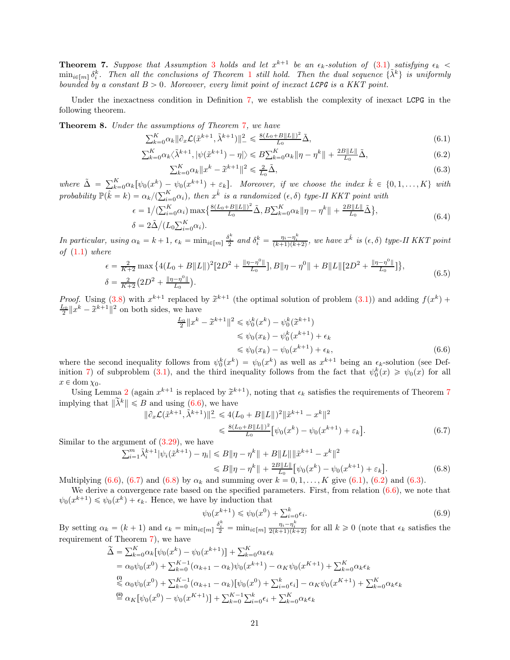<span id="page-20-0"></span>**Theorem 7.** Suppose that Assumption [3](#page-6-3) holds and let  $x^{k+1}$  be an  $\epsilon_k$ -solution of  $(3.1)$  satisfying  $\epsilon_k$  $\min_{i\in[m]} \delta_i^k$ . Then all the conclusions of Theorem [1](#page-6-5) still hold. Then the dual sequence  $\{\tilde{\lambda}^k\}$  is uniformly bounded by a constant  $B > 0$ . Moreover, every limit point of inexact LCPG is a KKT point.

Under the inexactness condition in Definition [7,](#page-19-2) we establish the complexity of inexact LCPG in the following theorem.

<span id="page-20-10"></span>Theorem 8. Under the assumptions of Theorem [7](#page-20-0), we have

$$
\sum_{k=0}^{K} \alpha_k \|\partial_x \mathcal{L}(\tilde{x}^{k+1}, \tilde{\lambda}^{k+1})\|_{-}^2 \le \frac{8(L_0 + B\|L\|)^2}{L_0} \tilde{\Delta},\tag{6.1}
$$

$$
\sum_{k=0}^{K} \alpha_k \langle \tilde{\lambda}^{k+1}, |\psi(\tilde{x}^{k+1}) - \eta| \rangle \leq B \sum_{k=0}^{K} \alpha_k \|\eta - \eta^k\| + \frac{2B\|L\|}{L_0} \tilde{\Delta},\tag{6.2}
$$

<span id="page-20-6"></span><span id="page-20-5"></span><span id="page-20-4"></span>
$$
\sum_{k=0}^{K} \alpha_k \|x^k - \tilde{x}^{k+1}\|^2 \le \frac{2}{L_0} \tilde{\Delta},\tag{6.3}
$$

where  $\tilde{\Delta} = \sum_{k=0}^{K} \alpha_k [\psi_0(x^k) - \psi_0(x^{k+1}) + \varepsilon_k].$  Moreover, if we choose the index  $\hat{k} \in \{0, 1, ..., K\}$  with probability  $\mathbb{P}(\hat{k} = k) = \alpha_k / (\sum_{i=0}^K \alpha_i)$ , then  $x^{\hat{k}}$  is a randomized  $(\epsilon, \delta)$  type-II KKT point with

$$
\epsilon = 1/(\sum_{i=0}^{K} \alpha_i) \max\left\{ \frac{8(L_0 + B\|L\|)^2}{L_0} \tilde{\Delta}, B \sum_{k=0}^{K} \alpha_k \|\eta - \eta^k\| + \frac{2B\|L\|}{L_0} \tilde{\Delta} \right\},\
$$
  

$$
\delta = 2\tilde{\Delta}/(L_0 \sum_{i=0}^{K} \alpha_i).
$$
 (6.4)

<span id="page-20-8"></span>In particular, using  $\alpha_k = k + 1$ ,  $\epsilon_k = \min_{i \in [m]} \frac{\delta_i^k}{2}$  and  $\delta_i^k = \frac{\eta_i - \eta_i^k}{(k+1)(k+2)}$ , we have  $x^{\hat{k}}$  is  $(\epsilon, \delta)$  type-II KKT point of  $(1.1)$  where

$$
\epsilon = \frac{2}{K+2} \max \left\{ 4(L_0 + B \|L\|)^2 [2D^2 + \frac{\|\eta - \eta^0\|}{L_0}], B\|\eta - \eta^0\| + B\|L\| [2D^2 + \frac{\|\eta - \eta^0\|}{L_0}]\right\},
$$
  

$$
\delta = \frac{2}{K+2} (2D^2 + \frac{\|\eta - \eta^0\|}{L_0}).
$$
 (6.5)

<span id="page-20-9"></span>*Proof.* Using [\(3.8\)](#page-6-7) with  $x^{k+1}$  replaced by  $\tilde{x}^{k+1}$  (the optimal solution of problem [\(3.1\)](#page-5-3)) and adding  $f(x^k) + L_0||x^k - \tilde{x}^{k+1}||^2$  are hother idea we have  $\frac{L_0}{2} \|x^k - \tilde{x}^{k+1}\|^2$  on both sides, we have

<span id="page-20-1"></span>
$$
\frac{L_0}{2} \|x^k - \tilde{x}^{k+1}\|^2 \leq \psi_0^k(x^k) - \psi_0^k(\tilde{x}^{k+1})
$$
  
\n
$$
\leq \psi_0(x_k) - \psi_0^k(x^{k+1}) + \epsilon_k
$$
  
\n
$$
\leq \psi_0(x_k) - \psi_0(x^{k+1}) + \epsilon_k,
$$
\n(6.6)

where the second inequality follows from  $\psi_0^k(x^k) = \psi_0(x^k)$  as well as  $x^{k+1}$  being an  $\epsilon_k$ -solution (see Def-inition [7\)](#page-19-2) of subproblem [\(3.1\)](#page-5-3), and the third inequality follows from the fact that  $\psi_0^k(x) \geq \psi_0(x)$  for all  $x \in \text{dom } \chi_0$ .

Using Lemma [2](#page-8-3) (again  $x^{k+1}$  is replaced by  $\tilde{x}^{k+1}$ ), noting that  $\epsilon_k$  satisfies the requirements of Theorem [7](#page-20-0) implying that  $\|\tilde{\lambda}^k\| \leq B$  and using [\(6.6\)](#page-20-1), we have

$$
\|\partial_x \mathcal{L}(\tilde{x}^{k+1}, \tilde{\lambda}^{k+1})\|^2_{-} \le 4(L_0 + B \|L\|)^2 \|\tilde{x}^{k+1} - x^k\|^2
$$
  

$$
\le \frac{8(L_0 + B \|L\|)^2}{L_0} \big[\psi_0(x^k) - \psi_0(x^{k+1}) + \varepsilon_k\big].
$$
 (6.7)

Similar to the argument of  $(3.29)$ , we have

$$
\sum_{i=1}^{m} \tilde{\lambda}_{i}^{k+1} |\psi_{i}(\tilde{x}^{k+1}) - \eta_{i}| \leq B \|\eta - \eta^{k}\| + B\|L\| \|\tilde{x}^{k+1} - x^{k}\|^{2}
$$
  
\n
$$
\leq B \|\eta - \eta^{k}\| + \frac{2B\|L\|}{L_{0}} [\psi_{0}(x^{k}) - \psi_{0}(x^{k+1}) + \varepsilon_{k}].
$$
\n(6.8)

Multiplying [\(6.6\)](#page-20-1), [\(6.7\)](#page-20-2) and [\(6.8\)](#page-20-3) by  $\alpha_k$  and summing over  $k = 0, 1, ..., K$  give [\(6.1\)](#page-20-4), [\(6.2\)](#page-20-5) and [\(6.3\)](#page-20-6).

We derive a convergence rate based on the specified parameters. First, from relation  $(6.6)$ , we note that  $\psi_0(x^{k+1}) \leq \psi_0(x^k) + \epsilon_k$ . Hence, we have by induction that

<span id="page-20-7"></span><span id="page-20-3"></span><span id="page-20-2"></span>
$$
\psi_0(x^{k+1}) \le \psi_0(x^0) + \sum_{i=0}^k \epsilon_i.
$$
\n(6.9)

By setting  $\alpha_k = (k+1)$  and  $\epsilon_k = \min_{i \in [m]} \frac{\delta_i^k}{2} = \min_{i \in [m]} \frac{\eta_i - \eta_i^k}{2(k+1)(k+2)}$  for all  $k \ge 0$  (note that  $\epsilon_k$  satisfies the requirement of Theorem [7\)](#page-20-0), we have

$$
\tilde{\Delta} = \sum_{k=0}^{K} \alpha_k [\psi_0(x^k) - \psi_0(x^{k+1})] + \sum_{k=0}^{K} \alpha_k \epsilon_k
$$
\n
$$
= \alpha_0 \psi_0(x^0) + \sum_{k=0}^{K-1} (\alpha_{k+1} - \alpha_k) \psi_0(x^{k+1}) - \alpha_K \psi_0(x^{K+1}) + \sum_{k=0}^{K} \alpha_k \epsilon_k
$$
\n
$$
\stackrel{\text{(i)}}{\leq} \alpha_0 \psi_0(x^0) + \sum_{k=0}^{K-1} (\alpha_{k+1} - \alpha_k) [\psi_0(x^0) + \sum_{i=0}^{k} \epsilon_i] - \alpha_K \psi_0(x^{K+1}) + \sum_{k=0}^{K} \alpha_k \epsilon_k
$$
\n
$$
\stackrel{\text{(ii)}}{=} \alpha_K [\psi_0(x^0) - \psi_0(x^{K+1})] + \sum_{k=0}^{K-1} \sum_{i=0}^{k} \epsilon_i + \sum_{k=0}^{K} \alpha_k \epsilon_k
$$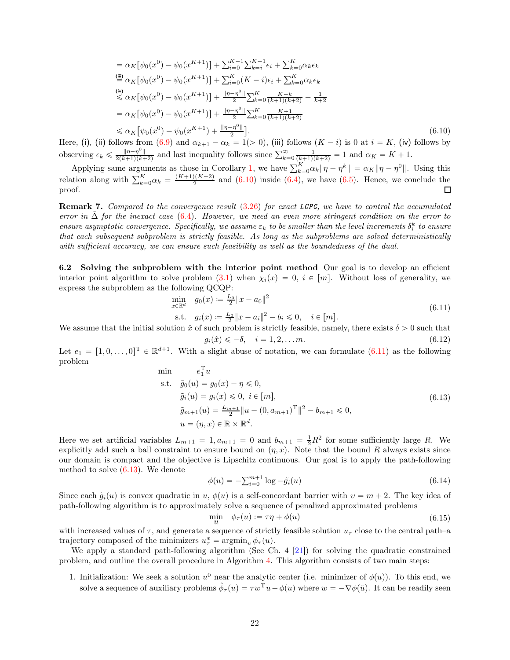$$
= \alpha_K[\psi_0(x^0) - \psi_0(x^{K+1})] + \sum_{i=0}^{K-1} \sum_{k=i}^{K-1} \epsilon_i + \sum_{k=0}^{K} \alpha_k \epsilon_k
$$
  
\n
$$
\stackrel{\text{(iii)}}{=} \alpha_K[\psi_0(x^0) - \psi_0(x^{K+1})] + \sum_{i=0}^{K} (K-i)\epsilon_i + \sum_{k=0}^{K} \alpha_k \epsilon_k
$$
  
\n
$$
\stackrel{\text{(iv)}}{=} \alpha_K[\psi_0(x^0) - \psi_0(x^{K+1})] + \frac{\|\eta - \eta^0\|}{2} \sum_{k=0}^{K} \frac{K-k}{(k+1)(k+2)} + \frac{1}{k+2}
$$
  
\n
$$
= \alpha_K[\psi_0(x^0) - \psi_0(x^{K+1})] + \frac{\|\eta - \eta^0\|}{2} \sum_{k=0}^{K} \frac{K+1}{(k+1)(k+2)}
$$
  
\n
$$
\leq \alpha_K[\psi_0(x^0) - \psi_0(x^{K+1}) + \frac{\|\eta - \eta^0\|}{2}]. \tag{6.10}
$$

Here, (i), (ii) follows from [\(6.9\)](#page-20-7) and  $\alpha_{k+1} - \alpha_k = 1$  (> 0), (iii) follows  $(K - i)$  is 0 at  $i = K$ , (iv) follows by observing  $\epsilon_k \leq \frac{\|\eta - \eta^0\|}{2(k+1)(k+1)}$  $\frac{\|\eta-\eta^0\|}{2(k+1)(k+2)}$  and last inequality follows since  $\sum_{k=0}^{\infty} \frac{1}{(k+1)(k+2)} = 1$  and  $\alpha_K = K + 1$ .

Applying same arguments as those in Corollary [1,](#page-9-1) we have  $\sum_{k=0}^{K} \alpha_k \|\eta - \eta^k\| = \alpha_K \|\eta - \eta^0\|$ . Using this relation along with  $\sum_{k=0}^{K} \alpha_k = \frac{(K+1)(K+2)}{2}$  and [\(6.10\)](#page-21-0) inside [\(6.4\)](#page-20-8), we have [\(6.5\)](#page-20-9). Hence, we conclude the proof. 口

Remark 7. Compared to the convergence result [\(3.26\)](#page-8-7) for exact LCPG, we have to control the accumulated error in  $\Delta$  for the inexact case [\(6.4\)](#page-20-8). However, we need an even more stringent condition on the error to ensure asymptotic convergence. Specifically, we assume  $\varepsilon_k$  to be smaller than the level increments  $\delta_i^k$  to ensure that each subsequent subproblem is strictly feasible. As long as the subproblems are solved deterministically with sufficient accuracy, we can ensure such feasibility as well as the boundedness of the dual.

6.2 Solving the subproblem with the interior point method Our goal is to develop an efficient interior point algorithm to solve problem [\(3.1\)](#page-5-3) when  $\chi_i(x) = 0$ ,  $i \in [m]$ . Without loss of generality, we express the subproblem as the following QCQP:

<span id="page-21-1"></span><span id="page-21-0"></span>
$$
\min_{x \in \mathbb{R}^d} g_0(x) \coloneqq \frac{L_0}{2} \|x - a_0\|^2
$$
\n
$$
\text{s.t.} \quad g_i(x) \coloneqq \frac{L_0}{2} \|x - a_i\|^2 - b_i \leq 0, \quad i \in [m]. \tag{6.11}
$$

We assume that the initial solution  $\hat{x}$  of such problem is strictly feasible, namely, there exists  $\delta > 0$  such that  $g_i(\hat{x}) \leq -\delta, \quad i = 1, 2, \dots m.$  (6.12)

Let  $e_1 = [1, 0, \ldots, 0]^T \in \mathbb{R}^{d+1}$ . With a slight abuse of notation, we can formulate  $(6.11)$  as the following problem

<span id="page-21-2"></span>min 
$$
e_1^{\mathrm{T}} u
$$
  
\ns.t.  $\tilde{g}_0(u) = g_0(x) - \eta \le 0$ ,  
\n $\tilde{g}_i(u) = g_i(x) \le 0, \ i \in [m]$ ,  
\n $\tilde{g}_{m+1}(u) = \frac{L_{m+1}}{2} ||u - (0, a_{m+1})^{\mathrm{T}}||^2 - b_{m+1} \le 0$ ,  
\n $u = (\eta, x) \in \mathbb{R} \times \mathbb{R}^d$ . (6.13)

Here we set artificial variables  $L_{m+1} = 1, a_{m+1} = 0$  and  $b_{m+1} = \frac{1}{2}R^2$  for some sufficiently large R. We explicitly add such a ball constraint to ensure bound on  $(\eta, x)$ . Note that the bound R always exists since our domain is compact and the objective is Lipschitz continuous. Our goal is to apply the path-following method to solve [\(6.13\)](#page-21-2). We denote

$$
\phi(u) = -\sum_{i=0}^{m+1} \log -\tilde{g}_i(u) \tag{6.14}
$$

Since each  $\tilde{g}_i(u)$  is convex quadratic in u,  $\phi(u)$  is a self-concordant barrier with  $v = m + 2$ . The key idea of path-following algorithm is to approximately solve a sequence of penalized approximated problems

$$
\min_{u} \quad \phi_{\tau}(u) := \tau \eta + \phi(u) \tag{6.15}
$$

with increased values of  $\tau$ , and generate a sequence of strictly feasible solution  $u_{\tau}$  close to the central path–a trajectory composed of the minimizers  $u_{\tau}^* = \operatorname{argmin}_{u} \phi_{\tau}(u)$ .

We apply a standard path-following algorithm (See Ch. 4 [\[21\]](#page-29-26)) for solving the quadratic constrained problem, and outline the overall procedure in Algorithm [4.](#page-22-0) This algorithm consists of two main steps:

1. Initialization: We seek a solution  $u^0$  near the analytic center (i.e. minimizer of  $\phi(u)$ ). To this end, we solve a sequence of auxiliary problems  $\hat{\phi}_{\tau}(u) = \tau w^{\mathrm{T}} u + \phi(u)$  where  $w = -\nabla \phi(\hat{u})$ . It can be readily seen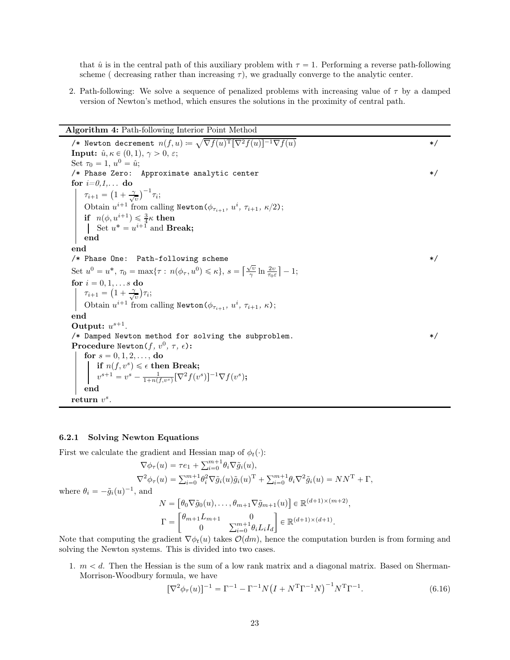that  $\hat{u}$  is in the central path of this auxiliary problem with  $\tau = 1$ . Performing a reverse path-following scheme ( decreasing rather than increasing  $\tau$ ), we gradually converge to the analytic center.

2. Path-following: We solve a sequence of penalized problems with increasing value of  $\tau$  by a damped version of Newton's method, which ensures the solutions in the proximity of central path.

### Algorithm 4: Path-following Interior Point Method

<span id="page-22-0"></span>/\* Newton decrement  $n(f, u) \coloneqq \sqrt{\nabla f(u)^\mathrm{T}[\nabla^2 f(u)]^{-1} \nabla f(u)}$  \*/ **Input:**  $\hat{u}, \kappa \in (0, 1), \gamma > 0, \varepsilon;$ Set  $\tau_0 = 1, u^0 = \hat{u};$  $/*$  Phase Zero: Approximate analytic center for  $i=0,1,...$  do  $\tau_{i+1} = \left(1 + \frac{\gamma}{\sqrt{\gamma}}\right)$  $\left(\frac{1}{v}\right)^{-1} \tau_i;$ Obtain  $u^{i+1}$  from calling Newton( $\phi_{\tau_{i+1}}$ ,  $u^i$ ,  $\tau_{i+1}$ ,  $\kappa/2$ ); if  $n(\phi, u^{i+1}) \leq \frac{3}{4}\kappa$  then Set  $u^* = u^{i+1}$  and **Break;** end end /\* Phase One: Path-following scheme  $\ast/$ Set  $u^0 = u^*$ ,  $\tau_0 = \max{\lbrace \tau : n(\phi_{\tau}, u^0) \leq \kappa \rbrace}$ ,  $s = \lceil \frac{\sqrt{v}}{\gamma} \rceil$  $\sqrt{\frac{v}{\gamma}}\ln\frac{2v}{\tau_0\varepsilon}$  |  $-1;$ for  $i = 0, 1, \ldots s$  do  $\tau_{i+1} = \left(1 + \frac{\gamma}{\sqrt{\gamma}}\right)$  $\frac{1}{v}$ ) $\tau_i$ ; Obtain  $u^{i+1}$  from calling Newton( $\phi_{\tau_{i+1}}, u^i, \tau_{i+1}, \kappa$ ); end Output:  $u^{s+1}$ . /\* Damped Newton method for solving the subproblem. \*/  $\textbf{Proceedure Newton}(f,\,v^0,\,\tau,\,\epsilon)$  : for  $s = 0, 1, 2, \ldots$ , do if  $n(f, v^s) \leqslant \epsilon$  then Break;  $v^{s+1} = v^s - \frac{1}{1+n(f,v^s)}[\nabla^2 f(v^s)]^{-1}\nabla f(v^s);$ end return  $v^s$ .

#### 6.2.1 Solving Newton Equations

where  $\theta_i =$ 

First we calculate the gradient and Hessian map of  $\phi_t(\cdot)$ :

$$
\nabla \phi_{\tau}(u) = \tau e_1 + \sum_{i=0}^{m+1} \theta_i \nabla \tilde{g}_i(u),
$$
  
\n
$$
\nabla^2 \phi_{\tau}(u) = \sum_{i=0}^{m+1} \theta_i^2 \nabla \tilde{g}_i(u) \tilde{g}_i(u)^{\mathrm{T}} + \sum_{i=0}^{m+1} \theta_i \nabla^2 \tilde{g}_i(u) = NN^{\mathrm{T}} + \Gamma,
$$
  
\n
$$
-\tilde{g}_i(u)^{-1}, \text{ and}
$$
  
\n
$$
N = \begin{bmatrix} \theta_0 \nabla \tilde{g}_0(u), \dots, \theta_{m+1} \nabla \tilde{g}_{m+1}(u) \end{bmatrix} \in \mathbb{R}^{(d+1)\times(m+2)},
$$
  
\n
$$
\Gamma = \begin{bmatrix} \theta_{m+1} L_{m+1} & 0 \\ 0 & \sum_{i=0}^{m+1} \theta_i L_i I_d \end{bmatrix} \in \mathbb{R}^{(d+1)\times(d+1)}.
$$

Note that computing the gradient  $\nabla \phi_t(u)$  takes  $\mathcal{O}(dm)$ , hence the computation burden is from forming and solving the Newton systems. This is divided into two cases.

1.  $m < d$ . Then the Hessian is the sum of a low rank matrix and a diagonal matrix. Based on Sherman-Morrison-Woodbury formula, we have

$$
[\nabla^2 \phi_\tau(u)]^{-1} = \Gamma^{-1} - \Gamma^{-1} N (I + N^{\mathrm{T}} \Gamma^{-1} N)^{-1} N^{\mathrm{T}} \Gamma^{-1}.
$$
\n(6.16)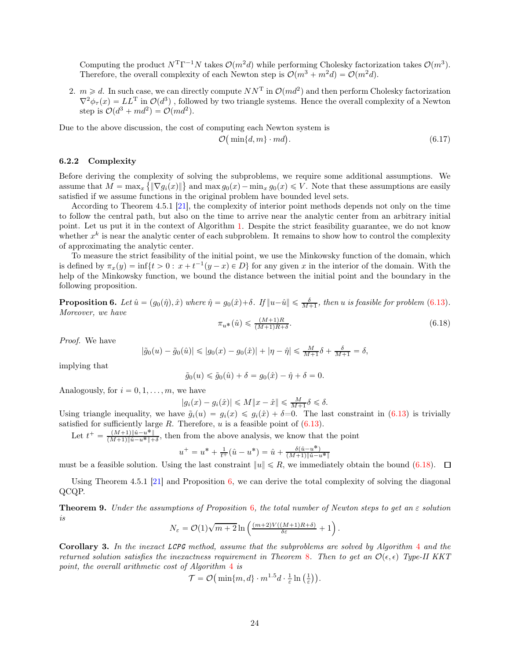Computing the product  $N^{\mathrm{T}}\Gamma^{-1}N$  takes  $\mathcal{O}(m^2d)$  while performing Cholesky factorization takes  $\mathcal{O}(m^3)$ . Therefore, the overall complexity of each Newton step is  $\mathcal{O}(m^3 + m^2d) = \mathcal{O}(m^2d)$ .

2.  $m \geq d$ . In such case, we can directly compute  $NN^T$  in  $\mathcal{O}(md^2)$  and then perform Cholesky factorization  $\nabla^2 \phi_\tau(x) = LL^{\rm T}$  in  $\mathcal{O}(d^3)$ , followed by two triangle systems. Hence the overall complexity of a Newton step is  $\mathcal{O}(d^3 + md^2) = \mathcal{O}(md^2)$ .

Due to the above discussion, the cost of computing each Newton system is

<span id="page-23-3"></span>
$$
\mathcal{O}\big(\min\{d,m\}\cdot md\big). \tag{6.17}
$$

.

## 6.2.2 Complexity

Before deriving the complexity of solving the subproblems, we require some additional assumptions. We assume that  $M = \max_x {\{\|\nabla g_i(x)\|\}}$  and  $\max g_0(x) - \min_x g_0(x) \leq V$ . Note that these assumptions are easily satisfied if we assume functions in the original problem have bounded level sets.

According to Theorem 4.5.1 [\[21\]](#page-29-26), the complexity of interior point methods depends not only on the time to follow the central path, but also on the time to arrive near the analytic center from an arbitrary initial point. Let us put it in the context of Algorithm [1.](#page-5-1) Despite the strict feasibility guarantee, we do not know whether  $x^k$  is near the analytic center of each subproblem. It remains to show how to control the complexity of approximating the analytic center.

To measure the strict feasibility of the initial point, we use the Minkowsky function of the domain, which is defined by  $\pi_x(y) = \inf\{t > 0 : x + t^{-1}(y - x) \in D\}$  for any given x in the interior of the domain. With the help of the Minkowsky function, we bound the distance between the initial point and the boundary in the following proposition.

<span id="page-23-1"></span>**Proposition 6.** Let  $\hat{u} = (g_0(\hat{\eta}), \hat{x})$  where  $\hat{\eta} = g_0(\hat{x}) + \delta$ . If  $||u - \hat{u}|| \le \frac{\delta}{M+1}$ , then u is feasible for problem [\(6.13\)](#page-21-2). Moreover, we have  $\pi_{u^*}(\hat{u}) \leqslant \frac{(M+1)R}{(M+1)R+\delta}$  $(6.18)$ 

Proof. We have

$$
|\tilde{g}_0(u) - \tilde{g}_0(\hat{u})| \le |g_0(x) - g_0(\hat{x})| + |\eta - \hat{\eta}| \le \frac{M}{M+1}\delta + \frac{\delta}{M+1} = \delta,
$$

implying that

<span id="page-23-0"></span>
$$
\tilde{g}_0(u) \leq \tilde{g}_0(\hat{u}) + \delta = g_0(\hat{x}) - \hat{\eta} + \delta = 0.
$$

Analogously, for  $i = 0, 1, \ldots, m$ , we have

$$
|g_i(x) - g_i(\hat{x})| \le M \|x - \hat{x}\| \le \frac{M}{M+1} \delta \le \delta.
$$

Using triangle inequality, we have  $\tilde{g}_i(u) = g_i(x) \leq g_i(\hat{x}) + \delta = 0$ . The last constraint in [\(6.13\)](#page-21-2) is trivially satisfied for sufficiently large  $R$ . Therefore,  $u$  is a feasible point of [\(6.13\)](#page-21-2).

Let  $t^+ = \frac{(M+1)\|\hat{u}-u^*\|}{(M+1)\|\hat{u}-u^*\|+1}$  $\frac{(M+1)\|u-u^*\|}{(M+1)\|\hat{u}-u^*\|+\delta}$ , then from the above analysis, we know that the point

$$
u^+ = u^* + \frac{1}{t^+}(\hat{u} - u^*) = \hat{u} + \frac{\delta(\hat{u} - u^*)}{(M+1)\|\hat{u} - u^*\|}
$$

must be a feasible solution. Using the last constraint  $||u|| \le R$ , we immediately obtain the bound [\(6.18\)](#page-23-0).  $\square$ 

Using Theorem 4.5.1 [\[21\]](#page-29-26) and Proposition [6,](#page-23-1) we can derive the total complexity of solving the diagonal QCQP.

<span id="page-23-2"></span>**Theorem 9.** Under the assumptions of Proposition [6](#page-23-1), the total number of Newton steps to get an  $\varepsilon$  solution is

$$
N_{\varepsilon} = \mathcal{O}(1)\sqrt{m+2}\ln\left(\frac{(m+2)V((M+1)R+\delta)}{\delta \varepsilon} + 1\right)
$$

Corollary 3. In the inexact LCPG method, assume that the subproblems are solved by Algorithm [4](#page-22-0) and the returned solution satisfies the inexactness requirement in Theorem [8](#page-20-10). Then to get an  $\mathcal{O}(\epsilon, \epsilon)$  Type-II KKT point, the overall arithmetic cost of Algorithm [4](#page-22-0) is

$$
\mathcal{T} = \mathcal{O}\left(\min\{m, d\} \cdot m^{1.5} d \cdot \frac{1}{\varepsilon} \ln\left(\frac{1}{\varepsilon}\right)\right).
$$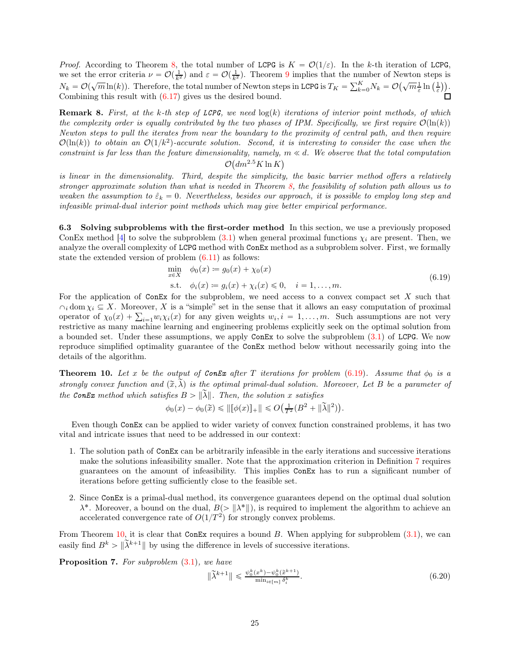*Proof.* According to Theorem [8,](#page-20-10) the total number of LCPG is  $K = \mathcal{O}(1/\varepsilon)$ . In the k-th iteration of LCPG, we set the error criteria  $\nu = \mathcal{O}(\frac{1}{k^2})$  and  $\varepsilon = \mathcal{O}(\frac{1}{k^2})$ . Theorem [9](#page-23-2) implies that the number of Newton steps is  $N_k = \mathcal{O}(\sqrt{m}\ln(k))$ . Therefore, the total number of Newton steps in LCPG is  $T_K = \sum_{k=0}^K N_k = \mathcal{O}(\sqrt{m}\frac{1}{\varepsilon}\ln\left(\frac{1}{\varepsilon}\right))$ . Combining this result with [\(6.17\)](#page-23-3) gives us the desired bound.

**Remark 8.** First, at the k-th step of LCPG, we need  $log(k)$  iterations of interior point methods, of which the complexity order is equally contributed by the two phases of IPM. Specifically, we first require  $\mathcal{O}(\ln(k))$ Newton steps to pull the iterates from near the boundary to the proximity of central path, and then require  $\mathcal{O}(\ln(k))$  to obtain an  $\mathcal{O}(1/k^2)$ -accurate solution. Second, it is interesting to consider the case when the constraint is far less than the feature dimensionality, namely,  $m \ll d$ . We observe that the total computation  $\mathcal{L}_{\mathcal{A}}$ 

$$
\mathcal{O}\big(dm^{2.5}K\ln K\big)
$$

is linear in the dimensionality. Third, despite the simplicity, the basic barrier method offers a relatively stronger approximate solution than what is needed in Theorem [8,](#page-20-10) the feasibility of solution path allows us to weaken the assumption to  $\hat{\varepsilon}_k = 0$ . Nevertheless, besides our approach, it is possible to employ long step and infeasible primal-dual interior point methods which may give better empirical performance.

6.3 Solving subproblems with the first-order method In this section, we use a previously proposed ConEx method [\[4\]](#page-29-12) to solve the subproblem [\(3.1\)](#page-5-3) when general proximal functions  $\chi_i$  are present. Then, we analyze the overall complexity of LCPG method with ConEx method as a subproblem solver. First, we formally state the extended version of problem [\(6.11\)](#page-21-1) as follows:

$$
\min_{x \in X} \phi_0(x) := g_0(x) + \chi_0(x) \n\text{s.t. } \phi_i(x) := g_i(x) + \chi_i(x) \le 0, \quad i = 1, ..., m.
$$
\n(6.19)

<span id="page-24-0"></span>For the application of  $ConEx$  for the subproblem, we need access to a convex compact set  $X$  such that  $\cap_i$  dom  $\chi_i \subseteq X$ . Moreover, X is a "simple" set in the sense that it allows an easy computation of proximal operator of  $\chi_0(x) + \sum_{i=1} w_i \chi_i(x)$  for any given weights  $w_i, i = 1, ..., m$ . Such assumptions are not very restrictive as many machine learning and engineering problems explicitly seek on the optimal solution from a bounded set. Under these assumptions, we apply ConEx to solve the subproblem [\(3.1\)](#page-5-3) of LCPG. We now reproduce simplified optimality guarantee of the ConEx method below without necessarily going into the details of the algorithm.

<span id="page-24-1"></span>**Theorem 10.** Let x be the output of ConEx after T iterations for problem [\(6.19\)](#page-24-0). Assume that  $\phi_0$  is a strongly convex function and  $(\tilde{x}, \tilde{\lambda})$  is the optimal primal-dual solution. Moreover, Let B be a parameter of the ConEx method which satisfies  $B > ||\widetilde{\lambda}||$ . Then, the solution x satisfies

$$
\phi_0(x) - \phi_0(\tilde{x}) \le ||[\phi(x)]_+|| \le O(\frac{1}{T^2}(B^2 + ||\tilde{\lambda}||^2)).
$$

Even though ConEx can be applied to wider variety of convex function constrained problems, it has two vital and intricate issues that need to be addressed in our context:

- 1. The solution path of ConEx can be arbitrarily infeasible in the early iterations and successive iterations make the solutions infeasibility smaller. Note that the approximation criterion in Definition [7](#page-19-2) requires guarantees on the amount of infeasibility. This implies ConEx has to run a significant number of iterations before getting sufficiently close to the feasible set.
- 2. Since ConEx is a primal-dual method, its convergence guarantees depend on the optimal dual solution  $\lambda^*$ . Moreover, a bound on the dual,  $B(>\|\lambda^*\|)$ , is required to implement the algorithm to achieve an accelerated convergence rate of  $O(1/T^2)$  for strongly convex problems.

From Theorem [10,](#page-24-1) it is clear that ConEx requires a bound  $B$ . When applying for subproblem  $(3.1)$ , we can easily find  $B^k > \|\tilde{\lambda}^{k+1}\|$  by using the difference in levels of successive iterations.

<span id="page-24-2"></span>Proposition 7. For subproblem  $(3.1)$ , we have

$$
\|\tilde{\lambda}^{k+1}\| \leq \frac{\psi_0^k(x^k) - \psi_0^k(\tilde{x}^{k+1})}{\min_{i \in [m]} \delta_i^k}.
$$
\n(6.20)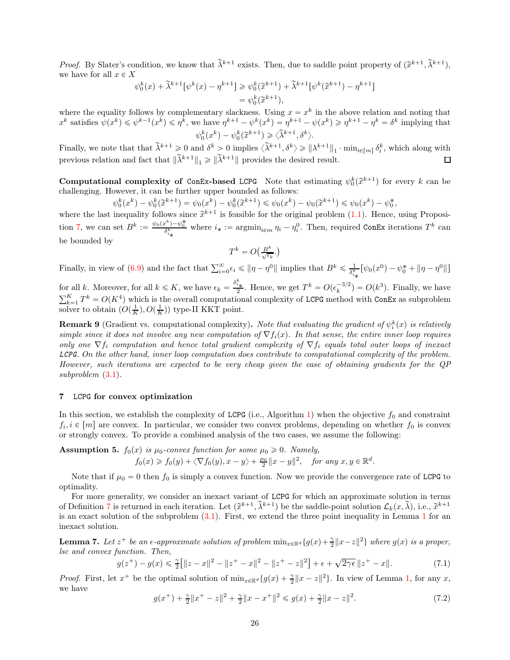*Proof.* By Slater's condition, we know that  $\tilde{\lambda}^{k+1}$  exists. Then, due to saddle point property of  $(\tilde{x}^{k+1}, \tilde{\lambda}^{k+1})$ , we have for all  $x \in X$ 

$$
\psi_0^k(x) + \tilde{\lambda}^{k+1} [\psi^k(x) - \eta^{k+1}] \ge \psi_0^k(\tilde{x}^{k+1}) + \tilde{\lambda}^{k+1} [\psi^k(\tilde{x}^{k+1}) - \eta^{k+1}]
$$
  
=  $\psi_0^k(\tilde{x}^{k+1}),$ 

where the equality follows by complementary slackness. Using  $x = x^k$  in the above relation and noting that  $x^k$  satisfies  $\psi(x^k) \leq \psi^{k-1}(x^k) \leq \eta^k$ , we have  $\eta^{k+1} - \psi^k(x^k) = \eta^{k+1} - \psi(x^k) \geq \eta^{k+1} - \eta^k = \delta^k$  implying that  $\psi_0^k(x^k) - \psi_0^k(\widetilde{x}^{k+1}) \geqslant \langle \widetilde{\lambda}^{k+1}, \delta^k \rangle.$ 

Finally, we note that that  $\tilde{\lambda}^{k+1} \geq 0$  and  $\delta^k > 0$  implies  $\langle \tilde{\lambda}^{k+1}, \delta^k \rangle \geq ||\lambda^{k+1}||_1 \cdot \min_{i \in [m]} \delta_i^k$ , which along with previous relation and fact that  $\|\tilde{\lambda}^{k+1}\|_1 \ge \|\tilde{\lambda}^{k+1}\|$  provides the desired result.  $\Box$ 

**Computational complexity of ConEx-based LCPG** Note that estimating  $\psi_0^k(\tilde{x}^{k+1})$  for every k can be challenging. However, it can be further upper bounded as follows:

 $\psi_0^k(x^k) - \psi_0^k(\tilde{x}^{k+1}) = \psi_0(x^k) - \psi_0^k(\tilde{x}^{k+1}) \leq \psi_0(x^k) - \psi_0(\tilde{x}^{k+1}) \leq \psi_0(x^k) - \psi_0^*,$ 

where the last inequality follows since  $\tilde{x}^{k+1}$  is feasible for the original problem [\(1.1\)](#page-0-1). Hence, using Proposi-tion [7,](#page-24-2) we can set  $B^k := \frac{\psi_0(x^k) - \psi_0^*}{\delta_{i_*}^k}$  where  $i_* := \operatorname{argmin}_{i \in m} \eta_i - \eta_i^0$ . Then, required ConEx iterations  $T^k$  can be bounded by

$$
T^k = O\left(\frac{B^k}{\sqrt{\epsilon_k}}\right)
$$

Finally, in view of [\(6.9\)](#page-20-7) and the fact that  $\sum_{i=0}^{\infty} \epsilon_i \leq \|\eta - \eta^0\|$  implies that  $B^k \leq \frac{1}{\delta_{i*}^k} [\psi_0(x^0) - \psi_0^* + \|\eta - \eta^0\|]$ 

for all k. Moreover, for all  $k \leq K$ , we have  $\epsilon_k = \frac{\delta_{i_{\ast}}^k}{2}$ . Hence, we get  $T^k = O(\epsilon_k^{-3/2}) = O(k^3)$ . Finally, we have  $\sum_{k=1}^K T^k = O(K^4)$  which is the overall computational complexity of LCPG method with ConEx as subproblem solver to obtain  $(O(\frac{1}{K}), O(\frac{1}{K}))$  type-II KKT point.

**Remark 9** (Gradient vs. computational complexity). Note that evaluating the gradient of  $\psi_i^k(x)$  is relatively simple since it does not involve any new computation of  $\nabla f_i(x)$ . In that sense, the entire inner loop requires only one  $\nabla f_i$  computation and hence total gradient complexity of  $\nabla f_i$  equals total outer loops of inexact LCPG. On the other hand, inner loop computation does contribute to computational complexity of the problem. However, such iterations are expected to be very cheap given the ease of obtaining gradients for the QP subproblem [\(3.1\)](#page-5-3).

# <span id="page-25-0"></span>7 LCPG for convex optimization

In this section, we establish the complexity of LCPG (i.e., Algorithm [1\)](#page-5-1) when the objective  $f_0$  and constraint  $f_i, i \in [m]$  are convex. In particular, we consider two convex problems, depending on whether  $f_0$  is convex or strongly convex. To provide a combined analysis of the two cases, we assume the following:

**Assumption 5.**  $f_0(x)$  is  $\mu_0$ -convex function for some  $\mu_0 \geq 0$ . Namely,

$$
f_0(x) \geq f_0(y) + \langle \nabla f_0(y), x - y \rangle + \frac{\mu_0}{2} ||x - y||^2
$$
, for any  $x, y \in \mathbb{R}^d$ .

Note that if  $\mu_0 = 0$  then  $f_0$  is simply a convex function. Now we provide the convergence rate of LCPG to optimality.

For more generality, we consider an inexact variant of LCPG for which an approximate solution in terms of Definition [7](#page-19-2) is returned in each iteration. Let  $(\tilde{x}^{k+1}, \tilde{\lambda}^{k+1})$  be the saddle-point solution  $\mathcal{L}_k(x, \tilde{\lambda})$ , i.e.,  $\tilde{x}^{k+1}$ is an exact solution of the subproblem [\(3.1\)](#page-5-3). First, we extend the three point inequality in Lemma [1](#page-5-5) for an inexact solution.

<span id="page-25-3"></span>**Lemma 7.** Let  $z^+$  be an  $\epsilon$ -approximate solution of problem  $\min_{x \in \mathbb{R}^d} \{g(x) + \frac{\gamma}{2} ||x - z||^2\}$  where  $g(x)$  is a proper, lsc and convex function. Then,

<span id="page-25-2"></span>
$$
g(z^{+}) - g(x) \leq \frac{\gamma}{2} \left[ \|z - x\|^2 - \|z^+ - x\|^2 - \|z^+ - z\|^2 \right] + \epsilon + \sqrt{2\gamma\epsilon} \, \|z^+ - x\|.
$$
 (7.1)

*Proof.* First, let  $x^+$  be the optimal solution of  $\min_{x \in \mathbb{R}^d} \{g(x) + \frac{\gamma}{2} ||x - z||^2\}$ . In view of Lemma [1,](#page-5-5) for any x, we have

<span id="page-25-1"></span>
$$
g(x^{+}) + \frac{\gamma}{2} \|x^{+} - z\|^{2} + \frac{\gamma}{2} \|x - x^{+}\|^{2} \le g(x) + \frac{\gamma}{2} \|x - z\|^{2}.
$$
 (7.2)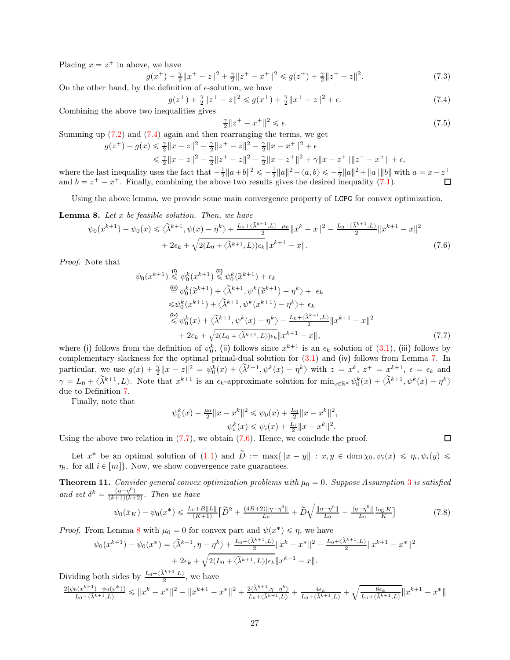Placing  $x = z^+$  in above, we have

$$
(x^{+}) + \frac{\gamma}{2} \|x^{+} - z\|^{2} + \frac{\gamma}{2} \|z^{+} - x^{+}\|^{2} \le g(z^{+}) + \frac{\gamma}{2} \|z^{+} - z\|^{2}.
$$
\n(7.3)

On the other hand, by the definition of  $\epsilon$ -solution, we have

<span id="page-26-0"></span>
$$
g(z^{+}) + \frac{\gamma}{2} \|z^{+} - z\|^{2} \leq g(x^{+}) + \frac{\gamma}{2} \|x^{+} - z\|^{2} + \epsilon.
$$
 (7.4)

Combining the above two inequalities gives

 $\overline{g}$ 

$$
\frac{\gamma}{2} \|z^+ - x^+\|^2 \le \epsilon. \tag{7.5}
$$

Summing up  $(7.2)$  and  $(7.4)$  again and then rearranging the terms, we get

$$
g(z^+) - g(x) \leq \frac{\gamma}{2} \|x - z\|^2 - \frac{\gamma}{2} \|z^+ - z\|^2 - \frac{\gamma}{2} \|x - x^+\|^2 + \epsilon
$$
  

$$
\leq \frac{\gamma}{2} \|x - z\|^2 - \frac{\gamma}{2} \|z^+ - z\|^2 - \frac{\gamma}{2} \|x - z^+\|^2 + \gamma \|x - z^+\| \|z^+ - x^+\| + \epsilon,
$$

where the last inequality uses the fact that  $-\frac{1}{2}||a+b||^2 \leq -\frac{1}{2}||a||^2 - \langle a,b\rangle \leq -\frac{1}{2}||a||^2 + ||a|| ||b||$  with  $a = x - z^+$ and  $b = z^+ - x^+$ . Finally, combining the above two results gives the desired inequality [\(7.1\)](#page-25-2).

Using the above lemma, we provide some main convergence property of LCPG for convex optimization.

<span id="page-26-3"></span>**Lemma 8.** Let  $x$  be feasible solution. Then, we have

$$
\psi_0(x^{k+1}) - \psi_0(x) \le \langle \tilde{\lambda}^{k+1}, \psi(x) - \eta^k \rangle + \frac{L_0 + \langle \tilde{\lambda}^{k+1}, L \rangle - \mu_0}{2} ||x^k - x||^2 - \frac{L_0 + \langle \tilde{\lambda}^{k+1}, L \rangle}{2} ||x^{k+1} - x||^2
$$
  
+ 2\epsilon\_k + \sqrt{2(L\_0 + \langle \tilde{\lambda}^{k+1}, L \rangle)\epsilon\_k} ||x^{k+1} - x||. (7.6)

Proof. Note that

$$
\psi_0(x^{k+1}) \stackrel{\text{(i)}}{\leq} \psi_0^k(x^{k+1}) \stackrel{\text{(ii)}}{\leq} \psi_0^k(\tilde{x}^{k+1}) + \epsilon_k
$$
\n
$$
\stackrel{\text{(iii)}}{=} \psi_0^k(\tilde{x}^{k+1}) + \langle \tilde{\lambda}^{k+1}, \psi^k(\tilde{x}^{k+1}) - \eta^k \rangle + \epsilon_k
$$
\n
$$
\leq \psi_0^k(x^{k+1}) + \langle \tilde{\lambda}^{k+1}, \psi^k(x^{k+1}) - \eta^k \rangle + \epsilon_k
$$
\n
$$
\stackrel{\text{(iv)}}{\leq} \psi_0^k(x) + \langle \tilde{\lambda}^{k+1}, \psi^k(x) - \eta^k \rangle - \frac{L_0 + \langle \tilde{\lambda}^{k+1}, L \rangle}{2} ||x^{k+1} - x||^2
$$
\n
$$
+ 2\epsilon_k + \sqrt{2(L_0 + \langle \tilde{\lambda}^{k+1}, L \rangle)\epsilon_k} ||x^{k+1} - x||,
$$
\n(7.7)

where (i) follows from the definition of  $\psi_0^k$ , (ii) follows since  $x^{k+1}$  is an  $\epsilon_k$  solution of [\(3.1\)](#page-5-3), (iii) follows by complementary slackness for the optimal primal-dual solution for [\(3.1\)](#page-5-3) and (iv) follows from Lemma [7.](#page-25-3) In particular, we use  $g(x) + \frac{\gamma}{2} \|x - z\|^2 = \psi_0^k(x) + \langle \tilde{\lambda}^{k+1}, \psi^k(x) - \eta^k \rangle$  with  $z = x^k, z^+ = x^{k+1}, \epsilon = \epsilon_k$  and  $\gamma = L_0 + \langle \tilde{\lambda}^{k+1}, L \rangle$ . Note that  $x^{k+1}$  is an  $\epsilon_k$ -approximate solution for  $\min_{x \in \mathbb{R}^d} \psi_0^k(x) + \langle \tilde{\lambda}^{k+1}, \psi^k(x) - \eta^k \rangle$ due to Definition [7.](#page-19-2)

Finally, note that

$$
\psi_0^k(x) + \frac{\mu_0}{2} \|x - x^k\|^2 \leq \psi_0(x) + \frac{L_0}{2} \|x - x^k\|^2,
$$
  

$$
\psi_i^k(x) \leq \psi_i(x) + \frac{L_i}{2} \|x - x^k\|^2.
$$

Using the above two relation in  $(7.7)$ , we obtain  $(7.6)$ . Hence, we conclude the proof.

Let  $x^*$  be an optimal solution of  $(1.1)$  and  $D := \max\{||x - y|| : x, y \in \text{dom}\,\chi_0, \psi_i(x) \leq \eta_i, \psi_i(y) \leq \eta_i\}$  $\eta_i$ , for all  $i \in [m]$ . Now, we show convergence rate guarantees.

**Theorem 11.** Consider general convex optimization problems with  $\mu_0 = 0$ . Suppose Assumption [3](#page-6-3) is satisfied and set  $\delta^k = \frac{(\eta - \eta^0)}{(k+1)(k+2)}$ . Then we have

$$
\psi_0(\bar{x}_K) - \psi_0(x^*) \le \frac{L_0 + B\|L\|}{(K+1)} \Big[\widetilde{D}^2 + \frac{(4B+2)\|\eta - \eta^0\|}{L_0} + \widetilde{D}\sqrt{\frac{\|\eta - \eta^0\|}{L_0}} + \frac{\|\eta - \eta^0\|}{L_0}\frac{\log K}{K}\Big] \tag{7.8}
$$

*Proof.* From Lemma [8](#page-26-3) with  $\mu_0 = 0$  for convex part and  $\psi(x^*) \leq \eta$ , we have

$$
\psi_0(x^{k+1}) - \psi_0(x^*) = \langle \widetilde{\lambda}^{k+1}, \eta - \eta^k \rangle + \frac{L_0 + \langle \widetilde{\lambda}^{k+1}, L \rangle}{2} \|x^k - x^*\|^2 - \frac{L_0 + \langle \widetilde{\lambda}^{k+1}, L \rangle}{2} \|x^{k+1} - x^*\|^2
$$

$$
+ 2\epsilon_k + \sqrt{2(L_0 + \langle \widetilde{\lambda}^{k+1}, L \rangle)\epsilon_k} \|x^{k+1} - x\|.
$$

Dividing both sides by  $\frac{L_0 + \langle \tilde{\lambda}^{k+1}, L \rangle}{2}$ , we have

$$
\tfrac{2[\psi_0(x^{k+1})-\psi_0(x^*)]}{L_0+\langle\tilde{\lambda}^{k+1},L\rangle}\leqslant \|x^k-x^*\|^2-\|x^{k+1}-x^*\|^2+\tfrac{2\langle\tilde{\lambda}^{k+1},\eta-\eta^k\rangle}{L_0+\langle\tilde{\lambda}^{k+1},L\rangle}+\tfrac{4\epsilon_k}{L_0+\langle\tilde{\lambda}^{k+1},L\rangle}+\sqrt{\tfrac{8\epsilon_k}{L_0+\langle\tilde{\lambda}^{k+1},L\rangle}}\|x^{k+1}-x^*\|
$$

<span id="page-26-4"></span><span id="page-26-2"></span><span id="page-26-1"></span> $\Box$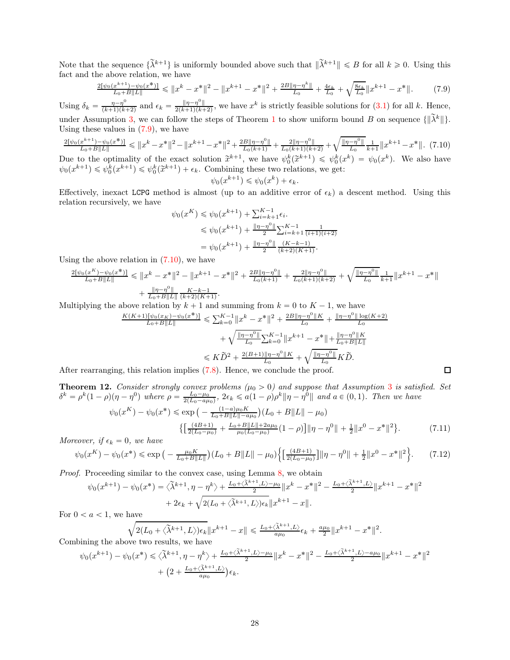Note that the sequence  $\{\tilde{\lambda}^{k+1}\}\$  is uniformly bounded above such that  $\|\tilde{\lambda}^{k+1}\| \leq B$  for all  $k \geq 0$ . Using this fact and the above relation, we have

$$
\frac{2[\psi_0(x^{k+1}) - \psi_0(x^*)]}{L_0 + B\|L\|} \le \|x^k - x^*\|^2 - \|x^{k+1} - x^*\|^2 + \frac{2B\|\eta - \eta^k\|}{L_0} + \frac{4\epsilon_k}{L_0} + \sqrt{\frac{8\epsilon_k}{L_0}} \|x^{k+1} - x^*\|.
$$
 (7.9)

Using  $\delta_k = \frac{\eta - \eta^0}{(k+1)(k+1)}$  $\frac{\eta-\eta^0}{(k+1)(k+2)}$  and  $\epsilon_k = \frac{\|\eta-\eta^0\|}{2(k+1)(k+1)}$  $\frac{\|\eta-\eta^{\circ}\|}{2(k+1)(k+2)}$ , we have  $x^k$  is strictly feasible solutions for [\(3.1\)](#page-5-3) for all k. Hence, under Assumption [3,](#page-6-3) we can follow the steps of Theorem [1](#page-6-5) to show uniform bound B on sequence  $\{\|\tilde{\lambda}^k\|\}.$ Using these values in  $(7.9)$ , we have

<span id="page-27-1"></span>
$$
\frac{2[\psi_0(x^{k+1}) - \psi_0(x^*)]}{L_0 + B\|L\|} \le \|x^k - x^*\|^2 - \|x^{k+1} - x^*\|^2 + \frac{2B\|\eta - \eta^0\|}{L_0(k+1)} + \frac{2\|\eta - \eta^0\|}{L_0(k+1)(k+2)} + \sqrt{\frac{\|\eta - \eta^0\|}{L_0}} \frac{1}{k+1} \|x^{k+1} - x^*\|. \tag{7.10}
$$

Due to the optimality of the exact solution  $\tilde{x}^{k+1}$ , we have  $\psi_0^k(\tilde{x}^{k+1}) \leq \psi_0^k(x^k) = \psi_0(x^k)$ . We also have  $\psi_0(x^{k+1}) \leq \psi_0^k(x^{k+1}) \leq \psi_0^k(\tilde{x}^{k+1}) + \epsilon_k$ . Combining these two relations, we get:

<span id="page-27-0"></span>
$$
\psi_0(x^{k+1}) \leq \psi_0(x^k) + \epsilon_k.
$$

Effectively, inexact LCPG method is almost (up to an additive error of  $\epsilon_k$ ) a descent method. Using this relation recursively, we have

$$
\psi_0(x^K) \leq \psi_0(x^{k+1}) + \sum_{i=k+1}^{K-1} \epsilon_i.
$$
  
\n
$$
\leq \psi_0(x^{k+1}) + \frac{||\eta - \eta^0||}{2} \sum_{i=k+1}^{K-1} \frac{1}{(i+1)(i+2)}
$$
  
\n
$$
= \psi_0(x^{k+1}) + \frac{||\eta - \eta^0||}{2} \frac{(K-k-1)}{(k+2)(K+1)}.
$$

Using the above relation in  $(7.10)$ , we have

$$
\frac{2[\psi_0(x^K) - \psi_0(x^*)]}{L_0 + B\|L\|} \le \|x^k - x^*\|^2 - \|x^{k+1} - x^*\|^2 + \frac{2B\|\eta - \eta^0\|}{L_0(k+1)} + \frac{2\|\eta - \eta^0\|}{L_0(k+1)(k+2)} + \sqrt{\frac{\|\eta - \eta^0\|}{L_0}} \frac{1}{k+1} \|x^{k+1} - x^*\| + \frac{\|\eta - \eta^0\|}{L_0 + B\|L\|} \frac{K - k - 1}{(k+2)(K+1)}.
$$

Multiplying the above relation by  $k + 1$  and summing from  $k = 0$  to  $K - 1$ , we have

$$
\frac{K(K+1)[\psi_0(x_K) - \psi_0(x^*)]}{L_0 + B\|L\|} \le \sum_{k=0}^{K-1} \|x^k - x^*\|^2 + \frac{2B\|\eta - \eta^0\|K}{L_0} + \frac{\|\eta - \eta^0\| \log(K+2)}{L_0}
$$

$$
+ \sqrt{\frac{\|\eta - \eta^0\|}{L_0}} \sum_{k=0}^{K-1} \|x^{k+1} - x^*\| + \frac{\|\eta - \eta^0\|K}{L_0 + B\|L\|}
$$

$$
\le K\widetilde{D}^2 + \frac{2(B+1)\|\eta - \eta^0\|K}{L_0 + B\|L_0 + B\|L\|} + \sqrt{\frac{\|\eta - \eta^0\|}{L_0}} K\widetilde{D}.
$$

 $\Box$ 

After rearranging, this relation implies [\(7.8\)](#page-26-4). Hence, we conclude the proof.

**Theorem 12.** Consider strongly convex problems  $(\mu_0 > 0)$  and suppose that Assumption [3](#page-6-3) is satisfied. Set  $\delta^k = \rho^k (1-\rho)(\eta - \eta^0)$  where  $\rho = \frac{L_0 - \mu_0}{2(L_0 - a\mu_0)}, 2\epsilon_k \leq a(1-\rho)\rho^k ||\eta - \eta^0||$  and  $a \in (0,1)$ . Then we have  $\psi$ 

$$
v_0(x^K) - \psi_0(x^*) \le \exp\left(-\frac{(1-a)\mu_0 K}{L_0 + B\|L\| - a\mu_0}\right)(L_0 + B\|L\| - \mu_0)
$$

$$
\left\{\left[\frac{(4B+1)}{2(L_0 - \mu_0)} + \frac{L_0 + B\|L\| + 2a\mu_0}{\mu_0(L_0 - \mu_0)}(1 - \rho)\right] \|\eta - \eta^0\| + \frac{1}{2}\|x^0 - x^*\|^2\right\}.
$$
(7.11)

Moreover, if  $\epsilon_k = 0$ , we have

<span id="page-27-2"></span>
$$
\psi_0(x^K) - \psi_0(x^*) \le \exp\left(-\frac{\mu_0 K}{L_0 + B\|L\|}\right) (L_0 + B\|L\| - \mu_0) \left\{ \left[\frac{(4B+1)}{2(L_0 - \mu_0)}\right] \|\eta - \eta^0\| + \frac{1}{2} \|x^0 - x^*\|^2 \right\}.
$$
 (7.12)

Proof. Proceeding similar to the convex case, using Lemma [8,](#page-26-3) we obtain

$$
\psi_0(x^{k+1}) - \psi_0(x^*) = \langle \tilde{\lambda}^{k+1}, \eta - \eta^k \rangle + \frac{L_0 + \langle \tilde{\lambda}^{k+1}, L \rangle - \mu_0}{2} ||x^k - x^*||^2 - \frac{L_0 + \langle \tilde{\lambda}^{k+1}, L \rangle}{2} ||x^{k+1} - x^*||^2
$$
  
+ 2\epsilon\_k + \sqrt{2(L\_0 + \langle \tilde{\lambda}^{k+1}, L \rangle)\epsilon\_k} ||x^{k+1} - x||.

For  $0 < a < 1$ , we have

$$
\sqrt{2(L_0+\langle \tilde{\lambda}^{k+1}, L \rangle)\epsilon_k} \|x^{k+1} - x\| \le \frac{L_0 + \langle \tilde{\lambda}^{k+1}, L \rangle}{a\mu_0} \epsilon_k + \frac{a\mu_0}{2} \|x^{k+1} - x^*\|^2.
$$

Combining the above two results, we have

$$
\psi_0(x^{k+1}) - \psi_0(x^*) \le \langle \tilde{\lambda}^{k+1}, \eta - \eta^k \rangle + \frac{L_0 + \langle \tilde{\lambda}^{k+1}, L \rangle - \mu_0}{2} ||x^k - x^*||^2 - \frac{L_0 + \langle \tilde{\lambda}^{k+1}, L \rangle - a\mu_0}{2} ||x^{k+1} - x^*||^2
$$
  
+ 
$$
\left(2 + \frac{L_0 + \langle \tilde{\lambda}^{k+1}, L \rangle}{a\mu_0}\right) \epsilon_k.
$$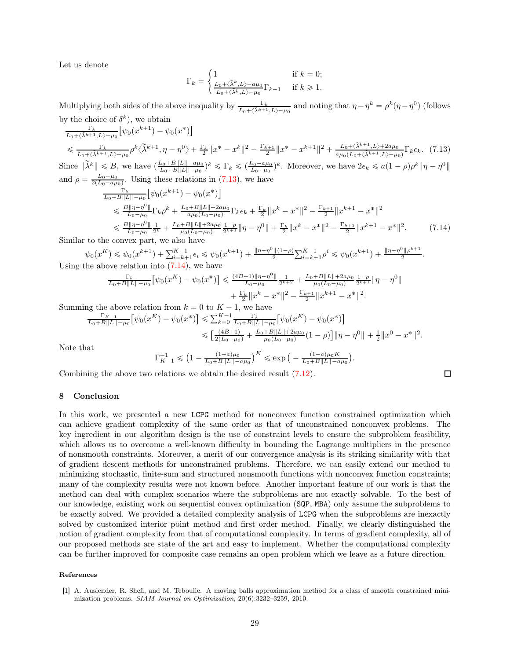Let us denote

$$
\Gamma_k=\begin{cases} 1 & \text{if }k=0;\\ \frac{L_0+\langle\tilde\lambda^k,L\rangle-a\mu_0}{L_0+\langle\tilde\lambda^k,L\rangle-\mu_0}\Gamma_{k-1} & \text{if }k\geqslant1. \end{cases}
$$

Multiplying both sides of the above inequality by  $\frac{\Gamma_k}{L_0 + \langle \tilde{\lambda}^{k+1}, L \rangle - \mu_0}$  and noting that  $\eta - \eta^k = \rho^k (\eta - \eta^0)$  (follows by the choice of  $\delta^k$ ), we obtain

$$
\frac{\Gamma_k}{L_0 + \langle \tilde{\lambda}^{k+1}, L \rangle - \mu_0} \left[ \psi_0(x^{k+1}) - \psi_0(x^*) \right]
$$
\n
$$
\leq \frac{\Gamma_k}{L_0 + \langle \tilde{\lambda}^{k+1}, L \rangle - \mu_0} \rho^k \langle \tilde{\lambda}^{k+1}, \eta - \eta^0 \rangle + \frac{\Gamma_k}{2} \| x^* - x^k \|^2 - \frac{\Gamma_{k+1}}{2} \| x^* - x^{k+1} \|^2 + \frac{L_0 + \langle \tilde{\lambda}^{k+1}, L \rangle + 2a\mu_0}{a\mu_0 (L_0 + \langle \tilde{\lambda}^{k+1}, L \rangle - \mu_0)} \Gamma_k \epsilon_k. \tag{7.13}
$$
\nsince  $\|\tilde{\lambda}^k\| \leq B$ , we have  $\left( \frac{L_0 + B \| L \| - a\mu_0}{2} \right) k \leq \Gamma_k \leq \left( \frac{L_0 - a\mu_0}{2} \right) k$ . Moreover, we have  $2\epsilon_k \leq a(1 - \rho)\rho^k \| \eta - \eta^0 \|$ 

Since  $\|\tilde{\lambda}^k\| \leq B$ , we have  $\left(\frac{L_0 + B\|L\| - a\mu_0}{L_0 + B\|L\| - \mu_0}\right)$  $\frac{L_0 + B||L|| - a\mu_0}{L_0 + B||L|| - \mu_0}$ <sup>k</sup>  $\leq \Gamma_k \leq (\frac{L_0 - a\mu_0}{L_0 - \mu_0})^k$ . Moreover, we have  $2\epsilon_k \leq a(1-\rho)\rho^k \|\eta - \eta^0\|$ and  $\rho = \frac{L_0 - \mu_0}{2(L_0 - a\mu_0)}$ . Using these relations in [\(7.13\)](#page-28-1), we have

$$
\frac{\Gamma_{k}}{L_{0}+B\|L\|-\mu_{0}} \left[ \psi_{0}(x^{k+1}) - \psi_{0}(x^{*}) \right]
$$
\n
$$
\leq \frac{B\|\eta-\eta^{0}\|}{L_{0}-\mu_{0}} \Gamma_{k}\rho^{k} + \frac{L_{0}+B\|L\|+2a\mu_{0}}{a\mu_{0}(L_{0}-\mu_{0})} \Gamma_{k}\epsilon_{k} + \frac{\Gamma_{k}}{2} \|x^{k}-x^{*}\|^{2} - \frac{\Gamma_{k+1}}{2} \|x^{k+1}-x^{*}\|^{2}
$$
\n
$$
\leq \frac{B\|\eta-\eta^{0}\|}{L_{0}-\mu_{0}} \frac{1}{2^{k}} + \frac{L_{0}+B\|L\|+2a\mu_{0}}{\mu_{0}(L_{0}-\mu_{0})} \frac{1-\rho}{2^{k+1}} \|\eta-\eta^{0}\| + \frac{\Gamma_{k}}{2} \|x^{k}-x^{*}\|^{2} - \frac{\Gamma_{k+1}}{2} \|x^{k+1}-x^{*}\|^{2}.
$$
\n(7.14)

Similar to the convex part, we also have

$$
\psi_0(x^K) \leq \psi_0(x^{k+1}) + \sum_{i=k+1}^{K-1} \epsilon_i \leq \psi_0(x^{k+1}) + \frac{\|\eta - \eta^0\| (1-\rho)}{2} \sum_{i=k+1}^{K-1} \rho^i \leq \psi_0(x^{k+1}) + \frac{\|\eta - \eta^0\| \rho^{k+1}}{2}.
$$
 Using the above relation into (7.14), we have

$$
\frac{\Gamma_k}{L_0+B\|L\|-\mu_0} \left[ \psi_0(x^K) - \psi_0(x^*) \right] \leqslant \frac{(4B+1)\|\eta-\eta^0\|}{L_0-\mu_0} \frac{1}{2^{k+2}} + \frac{L_0+B\|L\|+2a\mu_0}{\mu_0(L_0-\mu_0)} \frac{1-\rho}{2^{k+1}} \|\eta-\eta^0\| + \frac{\Gamma_k}{2} \|x^k-x^*\|^2 - \frac{\Gamma_{k+1}}{2} \|x^{k+1}-x^*\|^2.
$$

Summing the above relation from  $k = 0$  to  $K - 1$ , we have

$$
\frac{\Gamma_{K-1}}{L_0 + B\|L\| - \mu_0} \left[ \psi_0(x^K) - \psi_0(x^*) \right] \leq \sum_{k=0}^{K-1} \frac{\Gamma_k}{L_0 + B\|L\| - \mu_0} \left[ \psi_0(x^K) - \psi_0(x^*) \right]
$$
\n
$$
\leq \left[ \frac{(4B+1)}{2(L_0 - \mu_0)} + \frac{L_0 + B\|L\| + 2a\mu_0}{\mu_0(L_0 - \mu_0)} (1 - \rho) \right] \|\eta - \eta^0\| + \frac{1}{2} \|x^0 - x^*\|^2.
$$

Note that

$$
\Gamma_{K-1}^{-1} \leq (1 - \frac{(1-a)\mu_0}{L_0 + B\|L\| - a\mu_0})^K \leq \exp\Big(-\frac{(1-a)\mu_0 K}{L_0 + B\|L\| - a\mu_0}\Big).
$$

<span id="page-28-2"></span><span id="page-28-1"></span>口

Combining the above two relations we obtain the desired result [\(7.12\)](#page-27-2).

## 8 Conclusion

In this work, we presented a new LCPG method for nonconvex function constrained optimization which can achieve gradient complexity of the same order as that of unconstrained nonconvex problems. The key ingredient in our algorithm design is the use of constraint levels to ensure the subproblem feasibility, which allows us to overcome a well-known difficulty in bounding the Lagrange multipliers in the presence of nonsmooth constraints. Moreover, a merit of our convergence analysis is its striking similarity with that of gradient descent methods for unconstrained problems. Therefore, we can easily extend our method to minimizing stochastic, finite-sum and structured nonsmooth functions with nonconvex function constraints; many of the complexity results were not known before. Another important feature of our work is that the method can deal with complex scenarios where the subproblems are not exactly solvable. To the best of our knowledge, existing work on sequential convex optimization (SQP, MBA) only assume the subproblems to be exactly solved. We provided a detailed complexity analysis of LCPG when the subproblems are inexactly solved by customized interior point method and first order method. Finally, we clearly distinguished the notion of gradient complexity from that of computational complexity. In terms of gradient complexity, all of our proposed methods are state of the art and easy to implement. Whether the computational complexity can be further improved for composite case remains an open problem which we leave as a future direction.

### References

<span id="page-28-0"></span><sup>[1]</sup> A. Auslender, R. Shefi, and M. Teboulle. A moving balls approximation method for a class of smooth constrained minimization problems. *SIAM Journal on Optimization*, 20(6):3232–3259, 2010.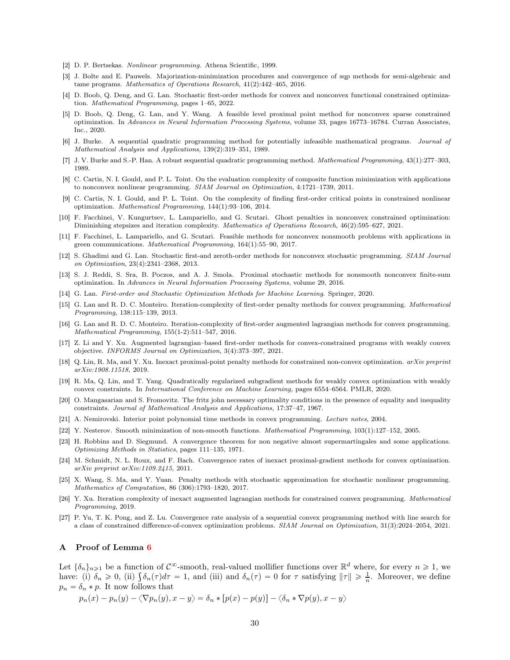- <span id="page-29-21"></span><span id="page-29-11"></span>[2] D. P. Bertsekas. *Nonlinear programming*. Athena Scientific, 1999.
- [3] J. Bolte and E. Pauwels. Majorization-minimization procedures and convergence of sqp methods for semi-algebraic and tame programs. *Mathematics of Operations Research*, 41(2):442–465, 2016.
- <span id="page-29-12"></span>[4] D. Boob, Q. Deng, and G. Lan. Stochastic first-order methods for convex and nonconvex functional constrained optimization. *Mathematical Programming*, pages 1–65, 2022.
- <span id="page-29-19"></span>[5] D. Boob, Q. Deng, G. Lan, and Y. Wang. A feasible level proximal point method for nonconvex sparse constrained optimization. In *Advances in Neural Information Processing Systems*, volume 33, pages 16773–16784. Curran Associates, Inc., 2020.
- <span id="page-29-8"></span>[6] J. Burke. A sequential quadratic programming method for potentially infeasible mathematical programs. *Journal of Mathematical Analysis and Applications*, 139(2):319–351, 1989.
- <span id="page-29-9"></span><span id="page-29-7"></span>[7] J. V. Burke and S.-P. Han. A robust sequential quadratic programming method. *Mathematical Programming*, 43(1):277–303, 1989.
- [8] C. Cartis, N. I. Gould, and P. L. Toint. On the evaluation complexity of composite function minimization with applications to nonconvex nonlinear programming. *SIAM Journal on Optimization*, 4:1721–1739, 2011.
- <span id="page-29-0"></span>[9] C. Cartis, N. I. Gould, and P. L. Toint. On the complexity of finding first-order critical points in constrained nonlinear optimization. *Mathematical Programming*, 144(1):93–106, 2014.
- <span id="page-29-10"></span>[10] F. Facchinei, V. Kungurtsev, L. Lampariello, and G. Scutari. Ghost penalties in nonconvex constrained optimization: Diminishing stepsizes and iteration complexity. *Mathematics of Operations Research*, 46(2):595–627, 2021.
- <span id="page-29-22"></span>[11] F. Facchinei, L. Lampariello, and G. Scutari. Feasible methods for nonconvex nonsmooth problems with applications in green communications. *Mathematical Programming*, 164(1):55–90, 2017.
- <span id="page-29-15"></span>[12] S. Ghadimi and G. Lan. Stochastic first-and zeroth-order methods for nonconvex stochastic programming. *SIAM Journal on Optimization*, 23(4):2341–2368, 2013.
- <span id="page-29-16"></span>[13] S. J. Reddi, S. Sra, B. Poczos, and A. J. Smola. Proximal stochastic methods for nonsmooth nonconvex finite-sum optimization. In *Advances in Neural Information Processing Systems*, volume 29, 2016.
- <span id="page-29-24"></span><span id="page-29-3"></span>[14] G. Lan. *First-order and Stochastic Optimization Methods for Machine Learning*. Springer, 2020.
- [15] G. Lan and R. D. C. Monteiro. Iteration-complexity of first-order penalty methods for convex programming. *Mathematical Programming*, 138:115–139, 2013.
- <span id="page-29-4"></span>[16] G. Lan and R. D. C. Monteiro. Iteration-complexity of first-order augmented lagrangian methods for convex programming. *Mathematical Programming*, 155(1-2):511–547, 2016.
- <span id="page-29-6"></span>[17] Z. Li and Y. Xu. Augmented lagrangian–based first-order methods for convex-constrained programs with weakly convex objective. *INFORMS Journal on Optimization*, 3(4):373–397, 2021.
- <span id="page-29-2"></span>[18] Q. Lin, R. Ma, and Y. Xu. Inexact proximal-point penalty methods for constrained non-convex optimization. *arXiv preprint arXiv:1908.11518*, 2019.
- <span id="page-29-13"></span>[19] R. Ma, Q. Lin, and T. Yang. Quadratically regularized subgradient methods for weakly convex optimization with weakly convex constraints. In *International Conference on Machine Learning*, pages 6554–6564. PMLR, 2020.
- <span id="page-29-14"></span>[20] O. Mangasarian and S. Fromovitz. The fritz john necessary optimality conditions in the presence of equality and inequality constraints. *Journal of Mathematical Analysis and Applications*, 17:37–47, 1967.
- <span id="page-29-26"></span><span id="page-29-17"></span>[21] A. Nemirovski. Interior point polynomial time methods in convex programming. *Lecture notes*, 2004.
- <span id="page-29-23"></span>[22] Y. Nesterov. Smooth minimization of non-smooth functions. *Mathematical Programming*, 103(1):127–152, 2005.
- [23] H. Robbins and D. Siegmund. A convergence theorem for non negative almost supermartingales and some applications. *Optimizing Methods in Statistics*, pages 111–135, 1971.
- <span id="page-29-18"></span>[24] M. Schmidt, N. L. Roux, and F. Bach. Convergence rates of inexact proximal-gradient methods for convex optimization. *arXiv preprint arXiv:1109.2415*, 2011.
- <span id="page-29-1"></span>[25] X. Wang, S. Ma, and Y. Yuan. Penalty methods with stochastic approximation for stochastic nonlinear programming. *Mathematics of Computation*, 86 (306):1793–1820, 2017.
- <span id="page-29-5"></span>[26] Y. Xu. Iteration complexity of inexact augmented lagrangian methods for constrained convex programming. *Mathematical Programming*, 2019.
- <span id="page-29-25"></span><span id="page-29-20"></span>[27] P. Yu, T. K. Pong, and Z. Lu. Convergence rate analysis of a sequential convex programming method with line search for a class of constrained difference-of-convex optimization problems. *SIAM Journal on Optimization*, 31(3):2024–2054, 2021.

#### A Proof of Lemma [6](#page-17-1)

Let  $\{\delta_n\}_{n\geqslant1}$  be a function of  $\mathcal{C}^{\infty}$ -smooth, real-valued mollifier functions over  $\mathbb{R}^d$  where, for every  $n\geqslant1$ , we have: (i)  $\delta_n \geq 0$ , (ii)  $\int \delta_n(\tau) d\tau = 1$ , and (iii) and  $\delta_n(\tau) = 0$  for  $\tau$  satisfying  $\|\tau\| \geq \frac{1}{n}$ . Moreover, we define  $p_n = \delta_n * p$ . It now follows that

$$
p_n(x) - p_n(y) - \langle \nabla p_n(y), x - y \rangle = \delta_n * [p(x) - p(y)] - \langle \delta_n * \nabla p(y), x - y \rangle
$$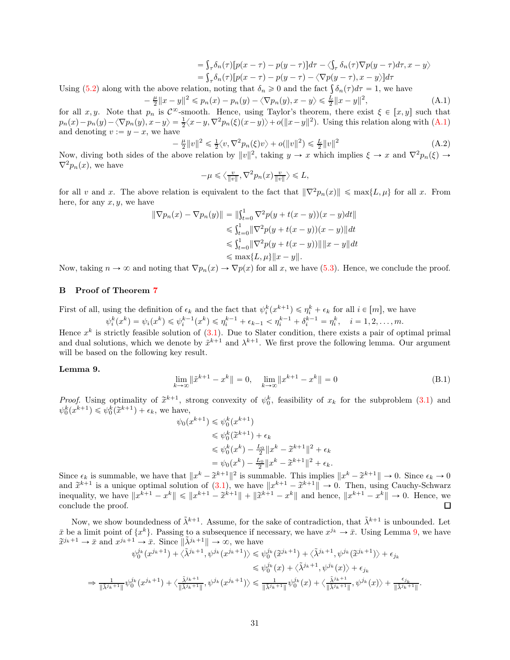$$
= \int_{\tau} \delta_n(\tau) [p(x - \tau) - p(y - \tau)] d\tau - \langle \int_{\tau} \delta_n(\tau) \nabla p(y - \tau) d\tau, x - y \rangle
$$
  
= 
$$
\int_{\tau} \delta_n(\tau) [p(x - \tau) - p(y - \tau) - \langle \nabla p(y - \tau), x - y \rangle] d\tau
$$

Using [\(5.2\)](#page-17-5) along with the above relation, noting that  $\delta_n \geq 0$  and the fact  $\int \delta_n(\tau) d\tau = 1$ , we have

<span id="page-30-1"></span>
$$
-\frac{\mu}{2}||x-y||^2 \le p_n(x) - p_n(y) - \langle \nabla p_n(y), x - y \rangle \le \frac{L}{2}||x-y||^2,
$$
\n(A.1)

for all  $x, y$ . Note that  $p_n$  is  $C^\infty$ -smooth. Hence, using Taylor's theorem, there exist  $\xi \in [x, y]$  such that  $p_n(x) - p_n(y) - \langle \nabla p_n(y), x - y \rangle = \frac{1}{2} \langle x - y, \nabla^2 p_n(\xi)(x - y) \rangle + o(||x - y||^2)$ . Using this relation along with  $(A.1)$ and denoting  $v := y - x$ , we have

$$
-\frac{\mu}{2}||v||^2 \le \frac{1}{2}\langle v, \nabla^2 p_n(\xi)v \rangle + o(||v||^2) \le \frac{L}{2}||v||^2
$$
\n(A.2)

Now, diving both sides of the above relation by  $||v||^2$ , taking  $y \to x$  which implies  $\xi \to x$  and  $\nabla^2 p_n(\xi) \to$  $\nabla^2 p_n(x)$ , we have

$$
-\mu \leqslant \left\langle \frac{v}{\|v\|}, \nabla^2 p_n(x) \frac{v}{\|v\|} \right\rangle \leqslant L,
$$

for all v and x. The above relation is equivalent to the fact that  $\|\nabla^2 p_n(x)\| \leq \max\{L, \mu\}$  for all x. From here, for any  $x, y$ , we have

$$
\|\nabla p_n(x) - \nabla p_n(y)\| = \|\int_{t=0}^1 \nabla^2 p(y + t(x - y))(x - y)dt\|
$$
  
\n
$$
\leq \int_{t=0}^1 \|\nabla^2 p(y + t(x - y))(x - y)\|dt
$$
  
\n
$$
\leq \int_{t=0}^1 \|\nabla^2 p(y + t(x - y))\| \|x - y\| dt
$$
  
\n
$$
\leq \max\{L, \mu\} \|x - y\|.
$$

<span id="page-30-0"></span>Now, taking  $n \to \infty$  and noting that  $\nabla p_n(x) \to \nabla p(x)$  for all x, we have [\(5.3\)](#page-17-6). Hence, we conclude the proof.

# B Proof of Theorem [7](#page-20-0)

First of all, using the definition of  $\epsilon_k$  and the fact that  $\psi_i^k(x^{k+1}) \leq \eta_i^k + \epsilon_k$  for all  $i \in [m]$ , we have  $\psi_i^k(x^k) = \psi_i(x^k) \leq \psi_i^{k-1}(x^k) \leq \eta_i^{k-1} + \epsilon_{k-1} < \eta_i^{k-1} + \delta_i^{k-1} = \eta_i^k, \quad i = 1, 2, \dots, m.$ 

Hence  $x^k$  is strictly feasible solution of  $(3.1)$ . Due to Slater condition, there exists a pair of optimal primal and dual solutions, which we denote by  $\tilde{x}^{k+1}$  and  $\lambda^{k+1}$ . We first prove the following lemma. Our argument will be based on the following key result.

#### <span id="page-30-2"></span>Lemma 9.

$$
\lim_{k \to \infty} \|\tilde{x}^{k+1} - x^k\| = 0, \quad \lim_{k \to \infty} \|x^{k+1} - x^k\| = 0
$$
\n(B.1)

*Proof.* Using optimality of  $\tilde{x}^{k+1}$ , strong convexity of  $\psi_0^k$ , feasibility of  $x_k$  for the subproblem [\(3.1\)](#page-5-3) and  $\psi_0^k(x^{k+1}) \leq \psi_0^k(\tilde{x}^{k+1}) + \epsilon_k$ , we have,

$$
\psi_0(x^{k+1}) \leq \psi_0^k(x^{k+1})
$$
  
\n
$$
\leq \psi_0^k(\tilde{x}^{k+1}) + \epsilon_k
$$
  
\n
$$
\leq \psi_0^k(x^k) - \frac{L_0}{2} ||x^k - \tilde{x}^{k+1}||^2 + \epsilon_k
$$
  
\n
$$
= \psi_0(x^k) - \frac{L_0}{2} ||x^k - \tilde{x}^{k+1}||^2 + \epsilon_k.
$$

Since  $\epsilon_k$  is summable, we have that  $||x^k - \tilde{x}^{k+1}||^2$  is summable. This implies  $||x^k - \tilde{x}^{k+1}|| \to 0$ . Since  $\epsilon_k \to 0$ and  $\tilde{x}^{k+1}$  is a unique optimal solution of  $(3.1)$ , we have  $||x^{k+1} - \tilde{x}^{k+1}|| \to 0$ . Then, using Cauchy-Schwarz inequality, we have  $||x^{k+1} - x^k|| \le ||x^{k+1} - \tilde{x}^{k+1}|| + ||\tilde{x}^{k+1} - x^k||$  and hence,  $||x^{k+1} - x^k|| \to 0$ . Hence, we conclude the proof.

Now, we show boundedness of  $\tilde{\lambda}^{k+1}$ . Assume, for the sake of contradiction, that  $\tilde{\lambda}^{k+1}$  is unbounded. Let  $\bar{x}$  be a limit point of  $\{x^k\}$ . Passing to a subsequence if necessary, we have  $x^{j_k} \to \bar{x}$ . Using Lemma [9,](#page-30-2) we have  $\tilde{x}^{j_k+1} \to \bar{x}$  and  $x^{j_k+1} \to \bar{x}$ . Since  $\|\tilde{\lambda}^{j_k+1}\| \to \infty$ , we have

$$
\psi_0^{j_k}(x^{j_k+1}) + \langle \tilde{\lambda}^{j_k+1}, \psi^{j_k}(x^{j_k+1}) \rangle \leq \psi_0^{j_k}(\tilde{x}^{j_k+1}) + \langle \tilde{\lambda}^{j_k+1}, \psi^{j_k}(\tilde{x}^{j_k+1}) \rangle + \epsilon_{j_k}
$$
  
\n
$$
\leq \psi_0^{j_k}(x) + \langle \tilde{\lambda}^{j_k+1}, \psi^{j_k}(x) \rangle + \epsilon_{j_k}
$$
  
\n
$$
\Rightarrow \frac{1}{\|\tilde{\lambda}^{j_k+1}\|} \psi_0^{j_k}(x^{j_k+1}) + \langle \frac{\tilde{\lambda}^{j_k+1}}{\|\tilde{\lambda}^{j_k+1}\|}, \psi^{j_k}(x^{j_k+1}) \rangle \leq \frac{1}{\|\tilde{\lambda}^{j_k+1}\|} \psi_0^{j_k}(x) + \langle \frac{\tilde{\lambda}^{j_k+1}}{\|\tilde{\lambda}^{j_k+1}\|}, \psi^{j_k}(x) \rangle + \frac{\epsilon_{j_k}}{\|\tilde{\lambda}^{j_k+1}\|}.
$$